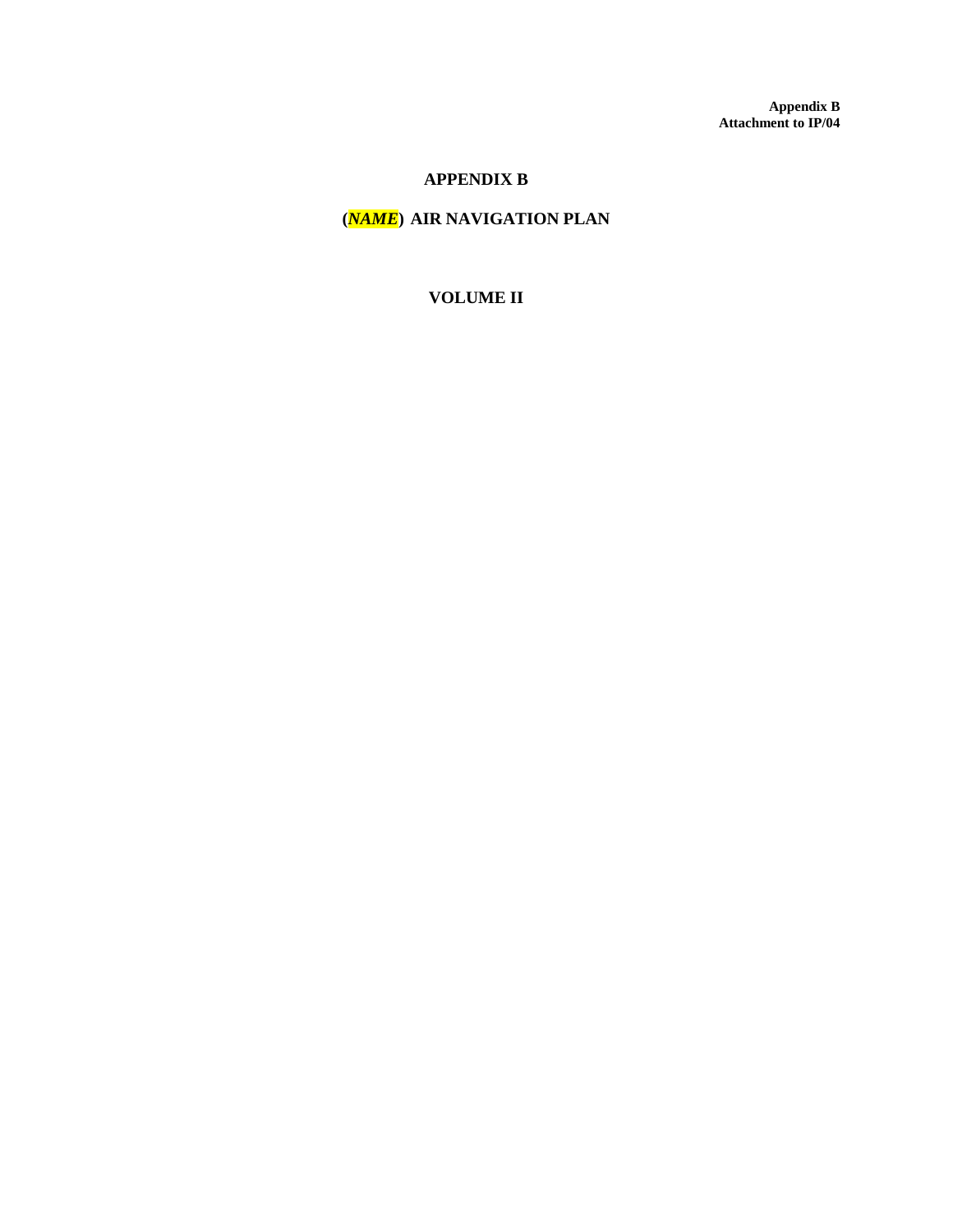**Appendix B Attachment to IP/04**

#### **APPENDIX B**

### **(***NAME***) AIR NAVIGATION PLAN**

#### **VOLUME II**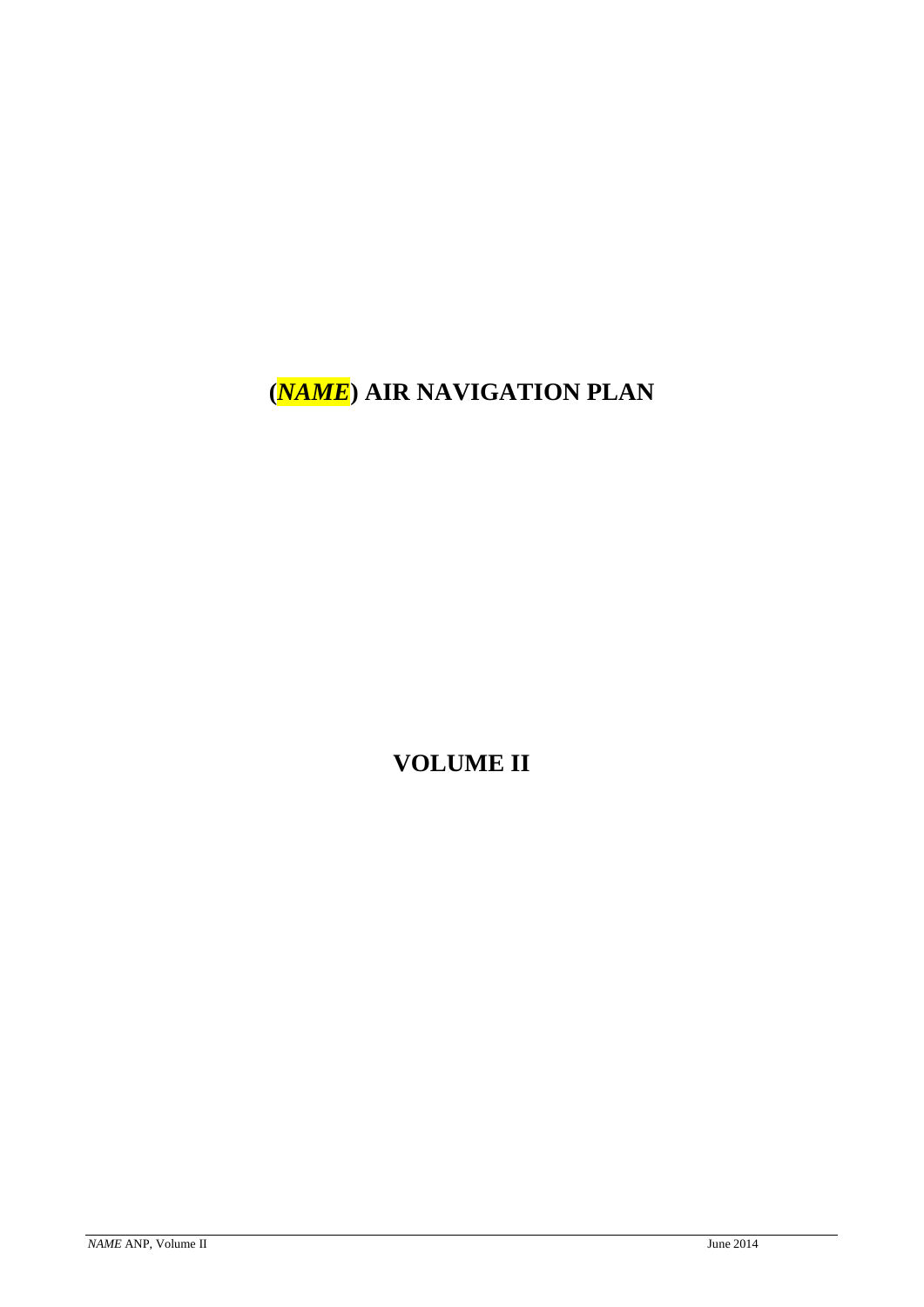**(***NAME***) AIR NAVIGATION PLAN**

**VOLUME II**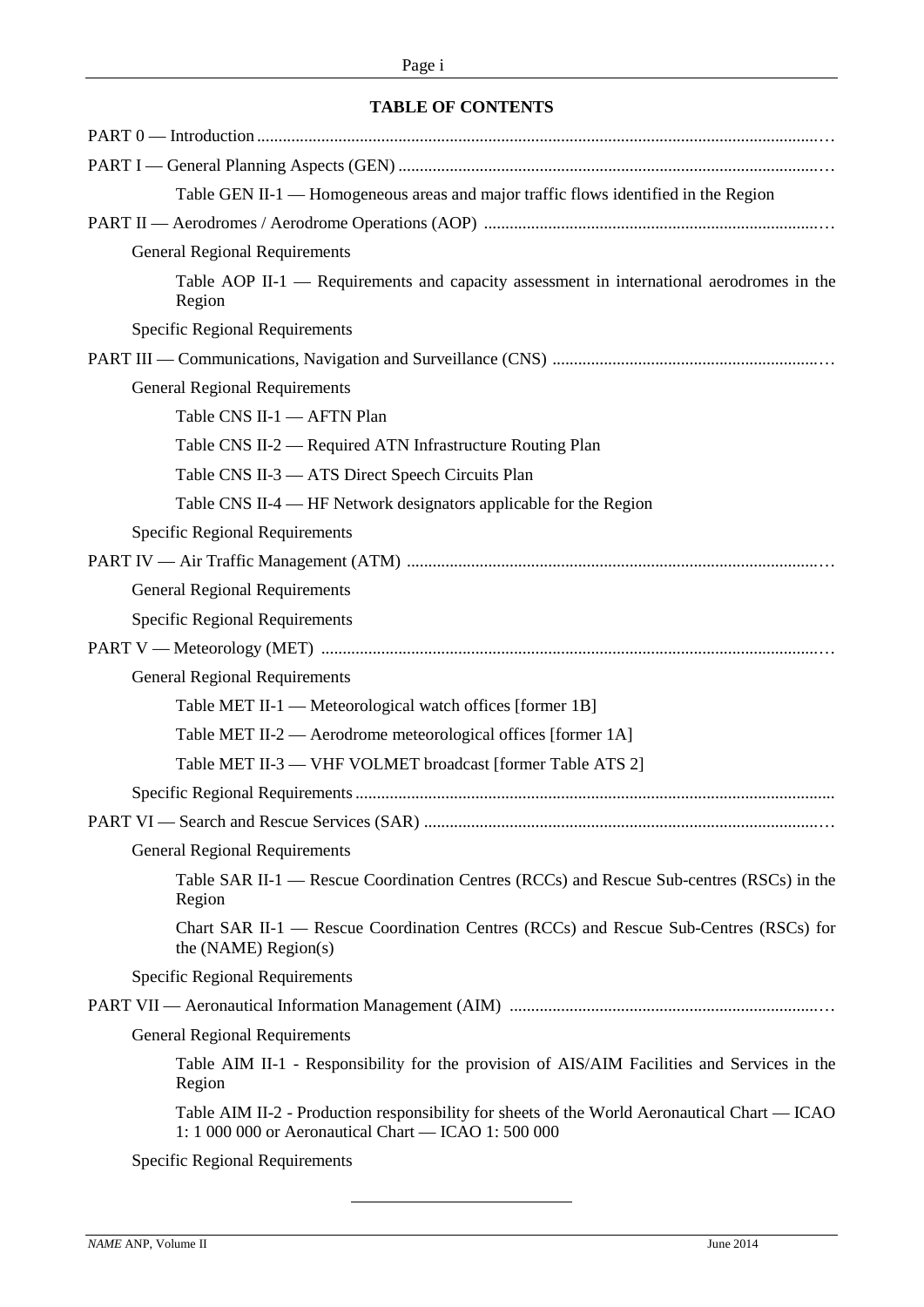#### **TABLE OF CONTENTS**

| Table GEN II-1 — Homogeneous areas and major traffic flows identified in the Region                                                                  |
|------------------------------------------------------------------------------------------------------------------------------------------------------|
|                                                                                                                                                      |
| <b>General Regional Requirements</b>                                                                                                                 |
| Table AOP II-1 — Requirements and capacity assessment in international aerodromes in the<br>Region                                                   |
| <b>Specific Regional Requirements</b>                                                                                                                |
|                                                                                                                                                      |
| <b>General Regional Requirements</b>                                                                                                                 |
| Table CNS II-1 - AFTN Plan                                                                                                                           |
| Table CNS II-2 — Required ATN Infrastructure Routing Plan                                                                                            |
| Table CNS II-3 - ATS Direct Speech Circuits Plan                                                                                                     |
| Table CNS II-4 — HF Network designators applicable for the Region                                                                                    |
| <b>Specific Regional Requirements</b>                                                                                                                |
|                                                                                                                                                      |
| <b>General Regional Requirements</b>                                                                                                                 |
| <b>Specific Regional Requirements</b>                                                                                                                |
|                                                                                                                                                      |
| <b>General Regional Requirements</b>                                                                                                                 |
| Table MET II-1 — Meteorological watch offices [former 1B]                                                                                            |
| Table MET II-2 — Aerodrome meteorological offices [former 1A]                                                                                        |
| Table MET II-3 — VHF VOLMET broadcast [former Table ATS 2]                                                                                           |
|                                                                                                                                                      |
|                                                                                                                                                      |
| <b>General Regional Requirements</b>                                                                                                                 |
| Table SAR II-1 — Rescue Coordination Centres (RCCs) and Rescue Sub-centres (RSCs) in the<br>Region                                                   |
| Chart SAR II-1 — Rescue Coordination Centres (RCCs) and Rescue Sub-Centres (RSCs) for<br>the $(NAME) Region(s)$                                      |
| <b>Specific Regional Requirements</b>                                                                                                                |
|                                                                                                                                                      |
| <b>General Regional Requirements</b>                                                                                                                 |
| Table AIM II-1 - Responsibility for the provision of AIS/AIM Facilities and Services in the<br>Region                                                |
| Table AIM II-2 - Production responsibility for sheets of the World Aeronautical Chart — ICAO<br>1: 1 000 000 or Aeronautical Chart - ICAO 1: 500 000 |
| Specific Regional Requirements                                                                                                                       |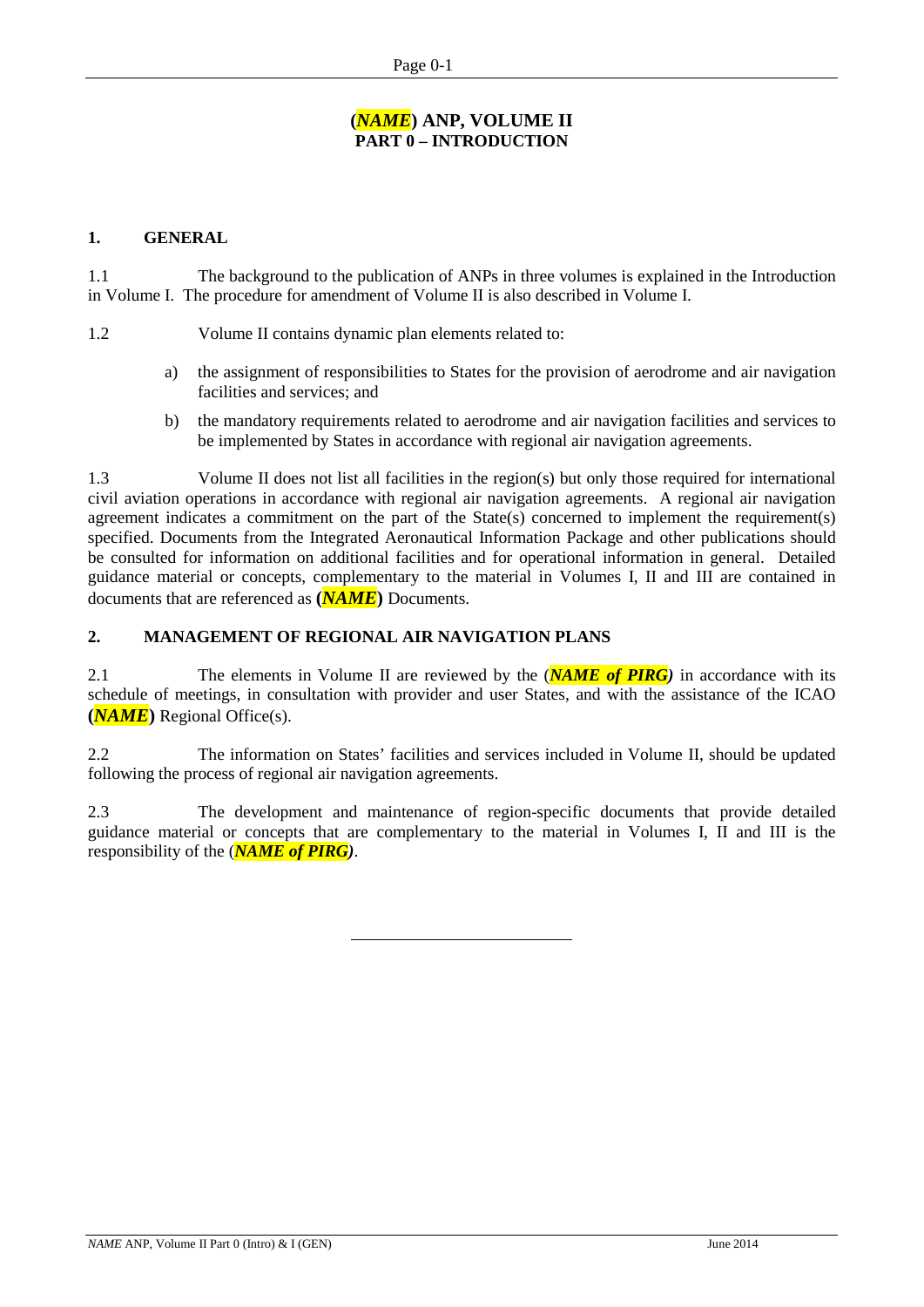#### **(***NAME***) ANP, VOLUME II PART 0 – INTRODUCTION**

#### **1. GENERAL**

1.1 The background to the publication of ANPs in three volumes is explained in the Introduction in Volume I. The procedure for amendment of Volume II is also described in Volume I.

1.2 Volume II contains dynamic plan elements related to:

- a) the assignment of responsibilities to States for the provision of aerodrome and air navigation facilities and services; and
- b) the mandatory requirements related to aerodrome and air navigation facilities and services to be implemented by States in accordance with regional air navigation agreements.

1.3 Volume II does not list all facilities in the region(s) but only those required for international civil aviation operations in accordance with regional air navigation agreements. A regional air navigation agreement indicates a commitment on the part of the State(s) concerned to implement the requirement(s) specified. Documents from the Integrated Aeronautical Information Package and other publications should be consulted for information on additional facilities and for operational information in general. Detailed guidance material or concepts, complementary to the material in Volumes I, II and III are contained in documents that are referenced as **(***NAME***)** Documents.

#### **2. MANAGEMENT OF REGIONAL AIR NAVIGATION PLANS**

2.1 The elements in Volume II are reviewed by the (*NAME of PIRG)* in accordance with its schedule of meetings, in consultation with provider and user States, and with the assistance of the ICAO **(***NAME***)** Regional Office(s).

2.2 The information on States' facilities and services included in Volume II, should be updated following the process of regional air navigation agreements.

2.3 The development and maintenance of region-specific documents that provide detailed guidance material or concepts that are complementary to the material in Volumes I, II and III is the responsibility of the (*NAME of PIRG)*.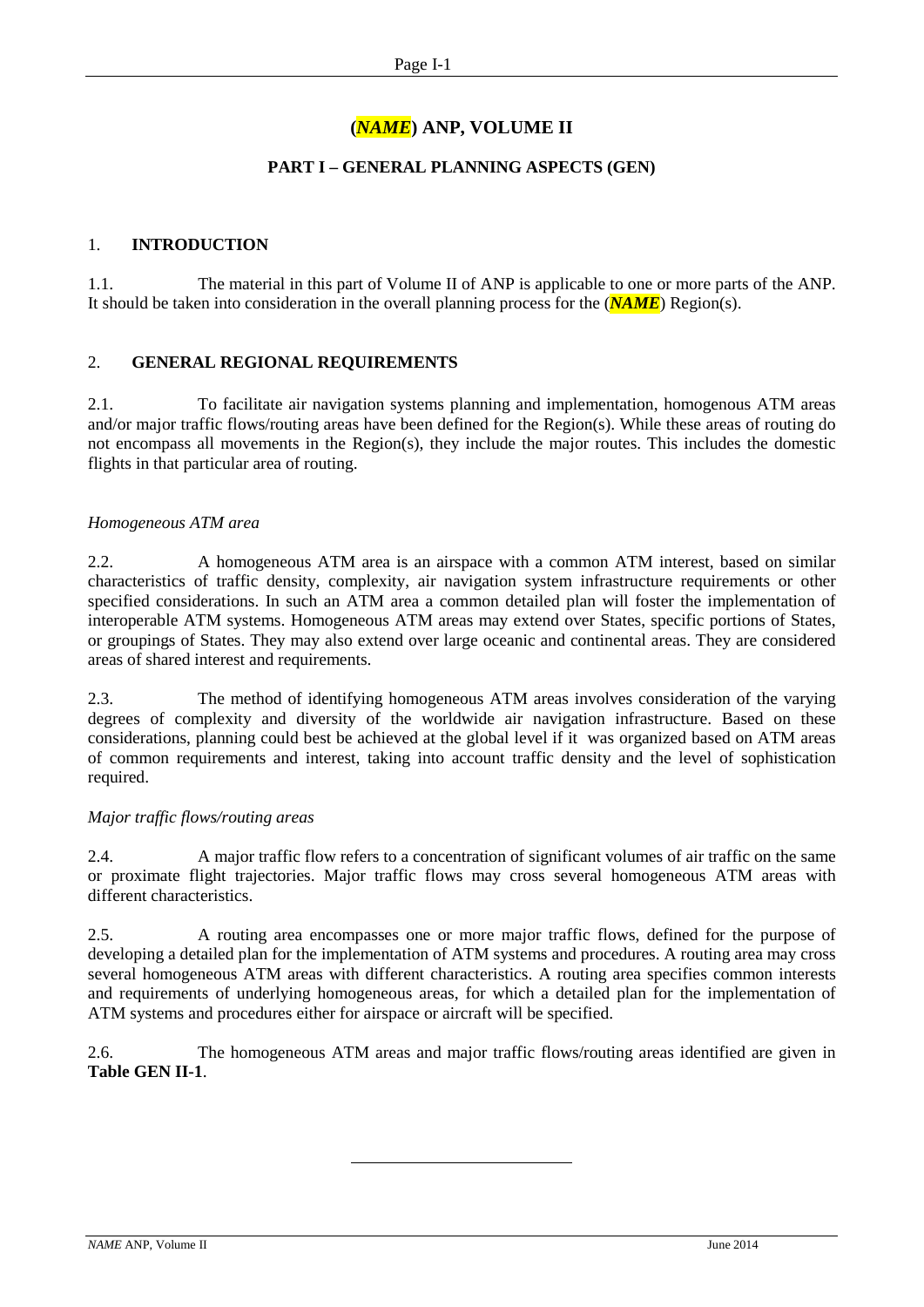# **(***NAME***) ANP, VOLUME II**

#### **PART I – GENERAL PLANNING ASPECTS (GEN)**

#### 1. **INTRODUCTION**

1.1. The material in this part of Volume II of ANP is applicable to one or more parts of the ANP. It should be taken into consideration in the overall planning process for the (*NAME*) Region(s).

#### 2. **GENERAL REGIONAL REQUIREMENTS**

2.1. To facilitate air navigation systems planning and implementation, homogenous ATM areas and/or major traffic flows/routing areas have been defined for the Region(s). While these areas of routing do not encompass all movements in the Region(s), they include the major routes. This includes the domestic flights in that particular area of routing.

#### *Homogeneous ATM area*

2.2. A homogeneous ATM area is an airspace with a common ATM interest, based on similar characteristics of traffic density, complexity, air navigation system infrastructure requirements or other specified considerations. In such an ATM area a common detailed plan will foster the implementation of interoperable ATM systems. Homogeneous ATM areas may extend over States, specific portions of States, or groupings of States. They may also extend over large oceanic and continental areas. They are considered areas of shared interest and requirements.

2.3. The method of identifying homogeneous ATM areas involves consideration of the varying degrees of complexity and diversity of the worldwide air navigation infrastructure. Based on these considerations, planning could best be achieved at the global level if it was organized based on ATM areas of common requirements and interest, taking into account traffic density and the level of sophistication required.

#### *Major traffic flows/routing areas*

2.4. A major traffic flow refers to a concentration of significant volumes of air traffic on the same or proximate flight trajectories. Major traffic flows may cross several homogeneous ATM areas with different characteristics.

2.5. A routing area encompasses one or more major traffic flows, defined for the purpose of developing a detailed plan for the implementation of ATM systems and procedures. A routing area may cross several homogeneous ATM areas with different characteristics. A routing area specifies common interests and requirements of underlying homogeneous areas, for which a detailed plan for the implementation of ATM systems and procedures either for airspace or aircraft will be specified.

2.6. The homogeneous ATM areas and major traffic flows/routing areas identified are given in **Table GEN II-1**.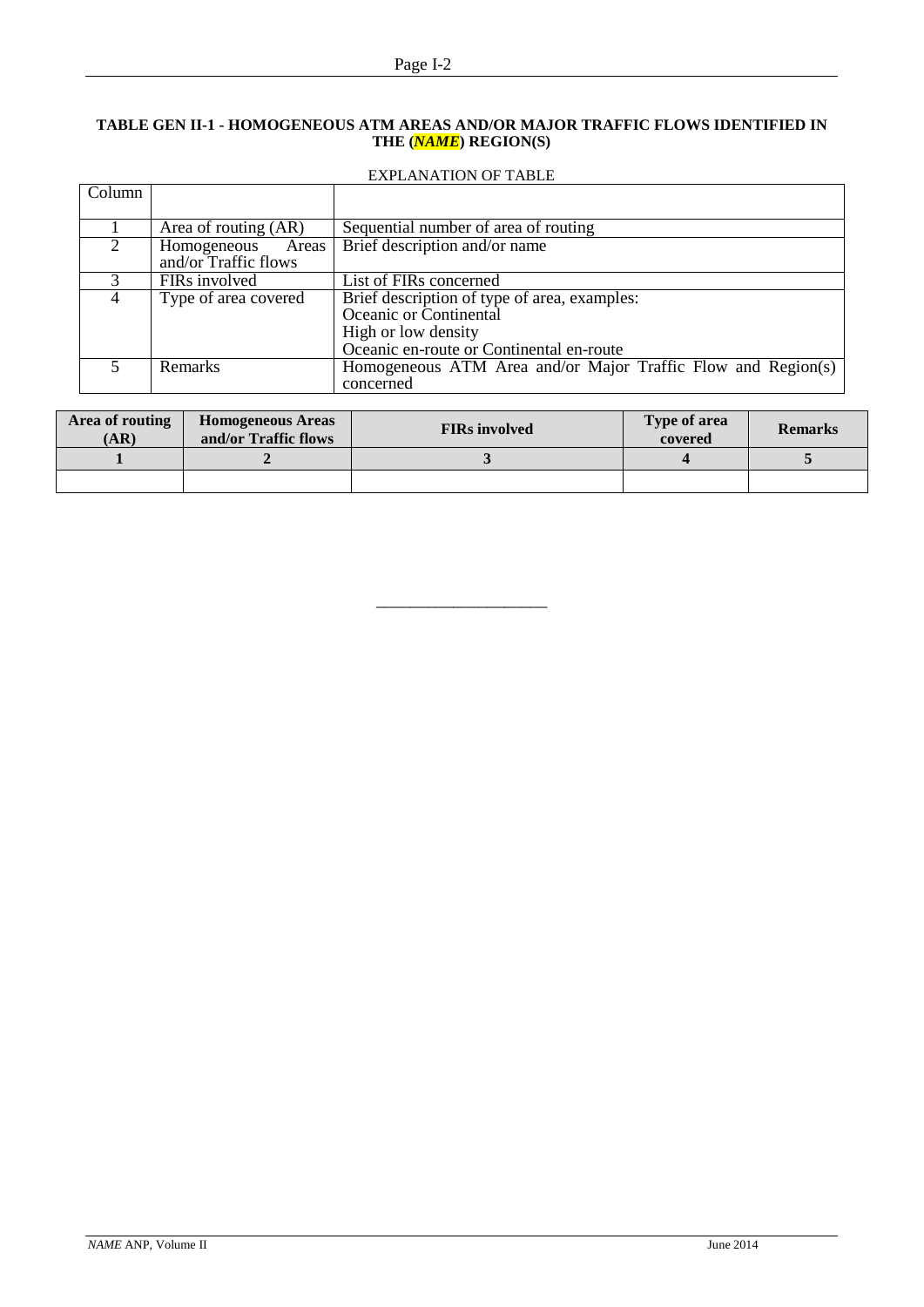#### **TABLE GEN II-1 - HOMOGENEOUS ATM AREAS AND/OR MAJOR TRAFFIC FLOWS IDENTIFIED IN THE (***NAME***) REGION(S)**

#### EXPLANATION OF TABLE

| Column |                      |                                                              |
|--------|----------------------|--------------------------------------------------------------|
|        |                      |                                                              |
|        | Area of routing (AR) | Sequential number of area of routing                         |
|        | Homogeneous<br>Areas | Brief description and/or name                                |
|        | and/or Traffic flows |                                                              |
|        | FIRs involved        | List of FIRs concerned                                       |
| 4      | Type of area covered | Brief description of type of area, examples:                 |
|        |                      | Oceanic or Continental                                       |
|        |                      | High or low density                                          |
|        |                      | Oceanic en-route or Continental en-route                     |
|        | <b>Remarks</b>       | Homogeneous ATM Area and/or Major Traffic Flow and Region(s) |
|        |                      | concerned                                                    |

| Area of routing<br>(AR) | <b>Homogeneous Areas</b><br>and/or Traffic flows | <b>FIRs</b> involved | Type of area<br>covered | <b>Remarks</b> |
|-------------------------|--------------------------------------------------|----------------------|-------------------------|----------------|
|                         |                                                  |                      |                         |                |
|                         |                                                  |                      |                         |                |

\_\_\_\_\_\_\_\_\_\_\_\_\_\_\_\_\_\_\_\_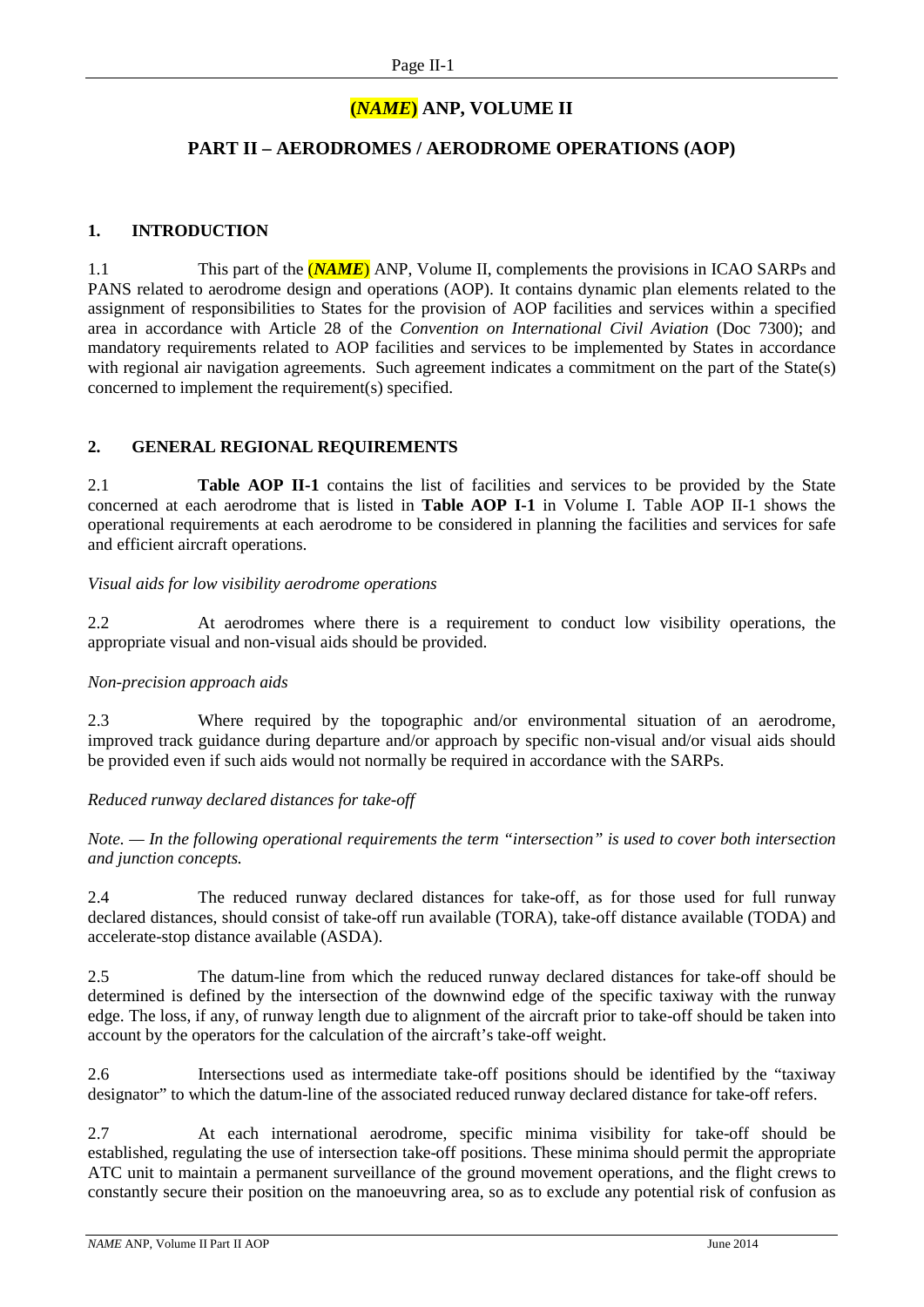# **(***NAME***) ANP, VOLUME II**

## **PART II – AERODROMES / AERODROME OPERATIONS (AOP)**

#### **1. INTRODUCTION**

1.1 This part of the (*NAME*) ANP, Volume II, complements the provisions in ICAO SARPs and PANS related to aerodrome design and operations (AOP). It contains dynamic plan elements related to the assignment of responsibilities to States for the provision of AOP facilities and services within a specified area in accordance with Article 28 of the *Convention on International Civil Aviation* (Doc 7300); and mandatory requirements related to AOP facilities and services to be implemented by States in accordance with regional air navigation agreements. Such agreement indicates a commitment on the part of the State(s) concerned to implement the requirement(s) specified.

#### **2. GENERAL REGIONAL REQUIREMENTS**

2.1 **Table AOP II-1** contains the list of facilities and services to be provided by the State concerned at each aerodrome that is listed in **Table AOP I-1** in Volume I. Table AOP II-1 shows the operational requirements at each aerodrome to be considered in planning the facilities and services for safe and efficient aircraft operations.

#### *Visual aids for low visibility aerodrome operations*

2.2 At aerodromes where there is a requirement to conduct low visibility operations, the appropriate visual and non-visual aids should be provided.

#### *Non-precision approach aids*

2.3 Where required by the topographic and/or environmental situation of an aerodrome, improved track guidance during departure and/or approach by specific non-visual and/or visual aids should be provided even if such aids would not normally be required in accordance with the SARPs.

#### *Reduced runway declared distances for take-off*

*Note. — In the following operational requirements the term "intersection" is used to cover both intersection and junction concepts.*

2.4 The reduced runway declared distances for take-off, as for those used for full runway declared distances, should consist of take-off run available (TORA), take-off distance available (TODA) and accelerate-stop distance available (ASDA).

2.5 The datum-line from which the reduced runway declared distances for take-off should be determined is defined by the intersection of the downwind edge of the specific taxiway with the runway edge. The loss, if any, of runway length due to alignment of the aircraft prior to take-off should be taken into account by the operators for the calculation of the aircraft's take-off weight.

2.6 Intersections used as intermediate take-off positions should be identified by the "taxiway designator" to which the datum-line of the associated reduced runway declared distance for take-off refers.

2.7 At each international aerodrome, specific minima visibility for take-off should be established, regulating the use of intersection take-off positions. These minima should permit the appropriate ATC unit to maintain a permanent surveillance of the ground movement operations, and the flight crews to constantly secure their position on the manoeuvring area, so as to exclude any potential risk of confusion as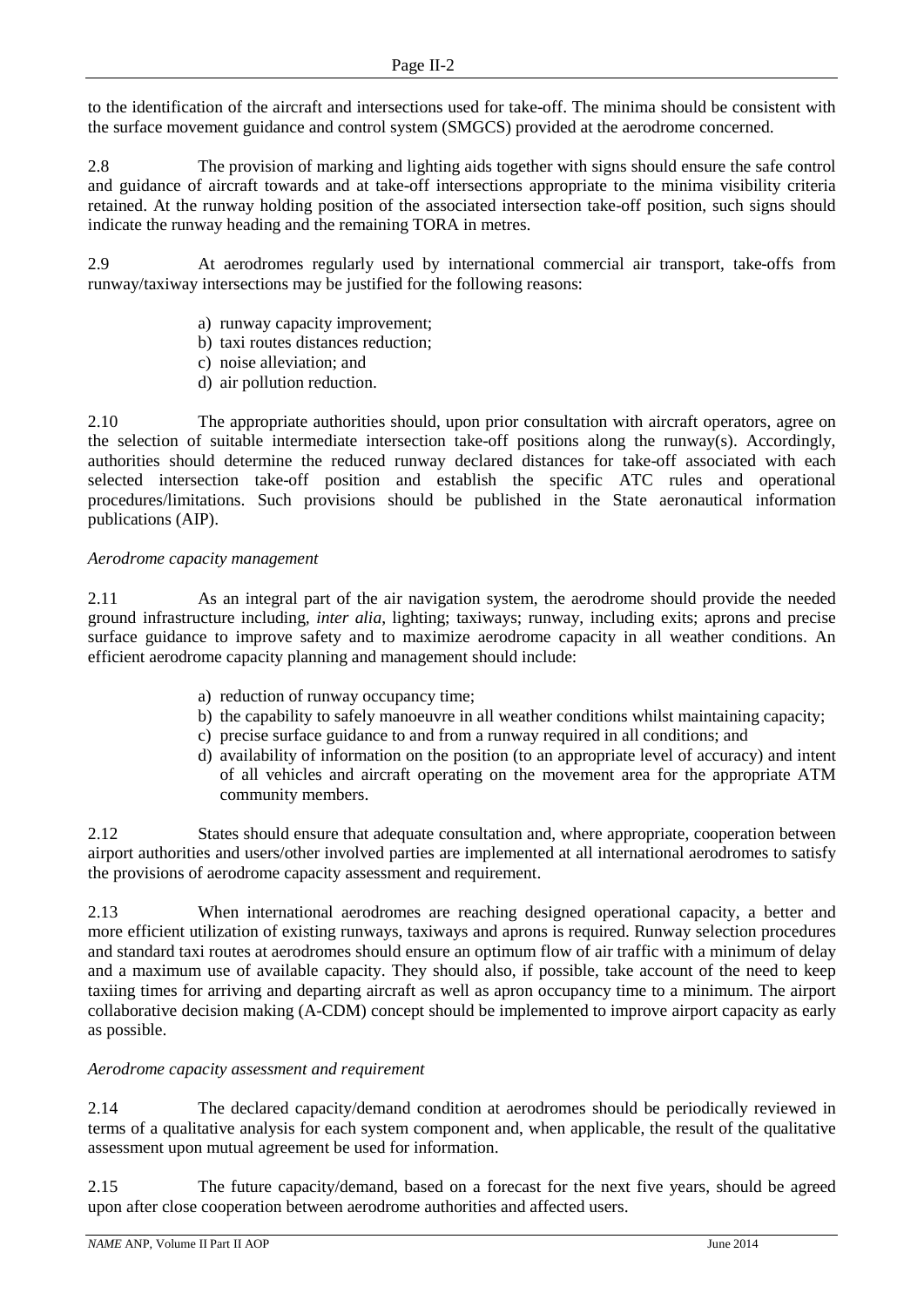to the identification of the aircraft and intersections used for take-off. The minima should be consistent with the surface movement guidance and control system (SMGCS) provided at the aerodrome concerned.

2.8 The provision of marking and lighting aids together with signs should ensure the safe control and guidance of aircraft towards and at take-off intersections appropriate to the minima visibility criteria retained. At the runway holding position of the associated intersection take-off position, such signs should indicate the runway heading and the remaining TORA in metres.

2.9 At aerodromes regularly used by international commercial air transport, take-offs from runway/taxiway intersections may be justified for the following reasons:

- a) runway capacity improvement;
- b) taxi routes distances reduction;
- c) noise alleviation; and
- d) air pollution reduction.

2.10 The appropriate authorities should, upon prior consultation with aircraft operators, agree on the selection of suitable intermediate intersection take-off positions along the runway(s). Accordingly, authorities should determine the reduced runway declared distances for take-off associated with each selected intersection take-off position and establish the specific ATC rules and operational procedures/limitations. Such provisions should be published in the State aeronautical information publications (AIP).

#### *Aerodrome capacity management*

2.11 As an integral part of the air navigation system, the aerodrome should provide the needed ground infrastructure including*, inter alia*, lighting; taxiways; runway, including exits; aprons and precise surface guidance to improve safety and to maximize aerodrome capacity in all weather conditions. An efficient aerodrome capacity planning and management should include:

- a) reduction of runway occupancy time;
- b) the capability to safely manoeuvre in all weather conditions whilst maintaining capacity;
- c) precise surface guidance to and from a runway required in all conditions; and
- d) availability of information on the position (to an appropriate level of accuracy) and intent of all vehicles and aircraft operating on the movement area for the appropriate ATM community members.

2.12 States should ensure that adequate consultation and, where appropriate, cooperation between airport authorities and users/other involved parties are implemented at all international aerodromes to satisfy the provisions of aerodrome capacity assessment and requirement.

2.13 When international aerodromes are reaching designed operational capacity, a better and more efficient utilization of existing runways, taxiways and aprons is required. Runway selection procedures and standard taxi routes at aerodromes should ensure an optimum flow of air traffic with a minimum of delay and a maximum use of available capacity. They should also, if possible, take account of the need to keep taxiing times for arriving and departing aircraft as well as apron occupancy time to a minimum. The airport collaborative decision making (A-CDM) concept should be implemented to improve airport capacity as early as possible.

#### *Aerodrome capacity assessment and requirement*

2.14 The declared capacity/demand condition at aerodromes should be periodically reviewed in terms of a qualitative analysis for each system component and, when applicable, the result of the qualitative assessment upon mutual agreement be used for information.

2.15 The future capacity/demand, based on a forecast for the next five years, should be agreed upon after close cooperation between aerodrome authorities and affected users.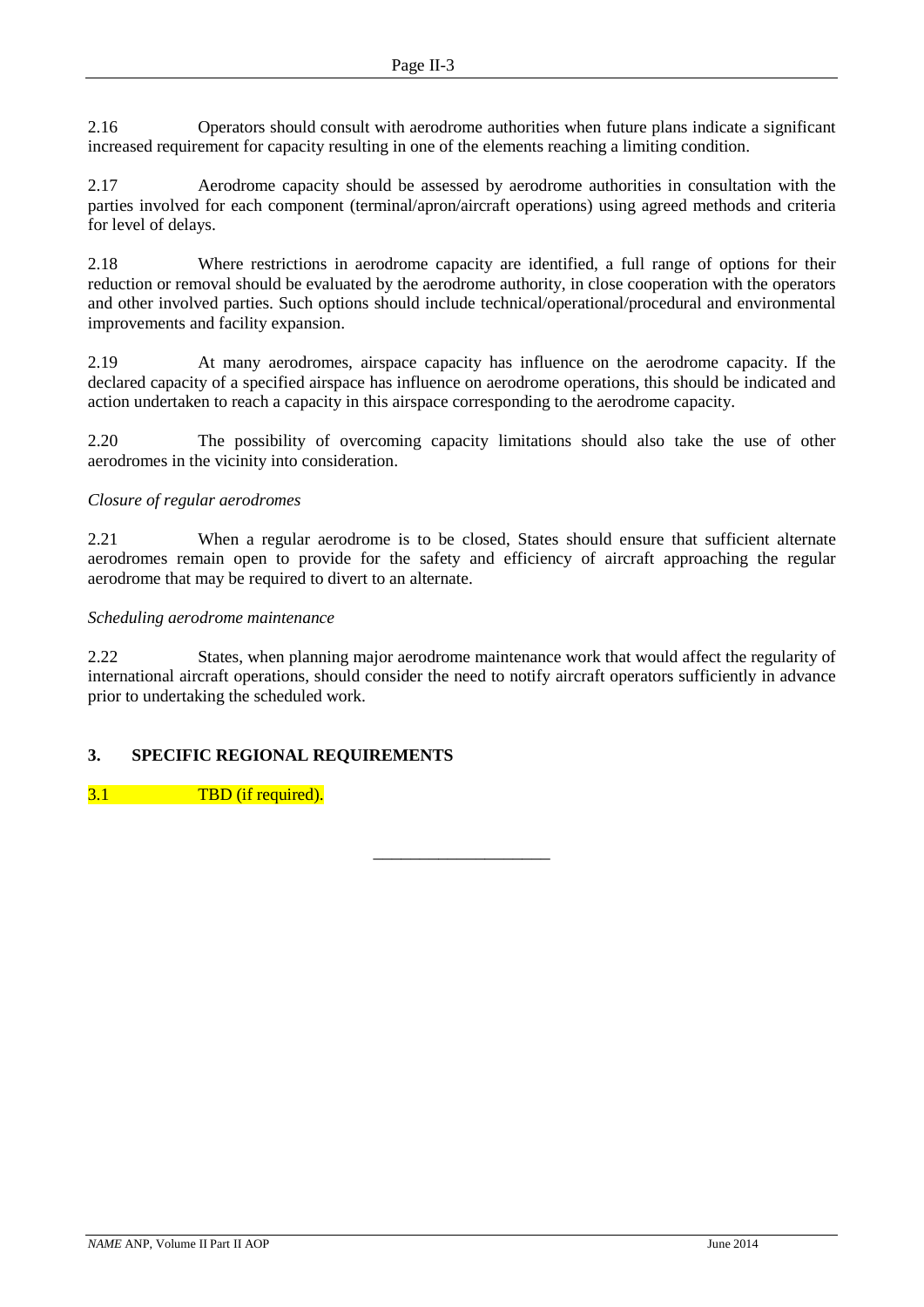2.16 Operators should consult with aerodrome authorities when future plans indicate a significant increased requirement for capacity resulting in one of the elements reaching a limiting condition.

2.17 Aerodrome capacity should be assessed by aerodrome authorities in consultation with the parties involved for each component (terminal/apron/aircraft operations) using agreed methods and criteria for level of delays.

2.18 Where restrictions in aerodrome capacity are identified, a full range of options for their reduction or removal should be evaluated by the aerodrome authority, in close cooperation with the operators and other involved parties. Such options should include technical/operational/procedural and environmental improvements and facility expansion.

2.19 At many aerodromes, airspace capacity has influence on the aerodrome capacity. If the declared capacity of a specified airspace has influence on aerodrome operations, this should be indicated and action undertaken to reach a capacity in this airspace corresponding to the aerodrome capacity.

2.20 The possibility of overcoming capacity limitations should also take the use of other aerodromes in the vicinity into consideration.

#### *Closure of regular aerodromes*

2.21 When a regular aerodrome is to be closed, States should ensure that sufficient alternate aerodromes remain open to provide for the safety and efficiency of aircraft approaching the regular aerodrome that may be required to divert to an alternate.

#### *Scheduling aerodrome maintenance*

2.22 States, when planning major aerodrome maintenance work that would affect the regularity of international aircraft operations, should consider the need to notify aircraft operators sufficiently in advance prior to undertaking the scheduled work.

–––––––––––––––––––

## **3. SPECIFIC REGIONAL REQUIREMENTS**

3.1 TBD (if required).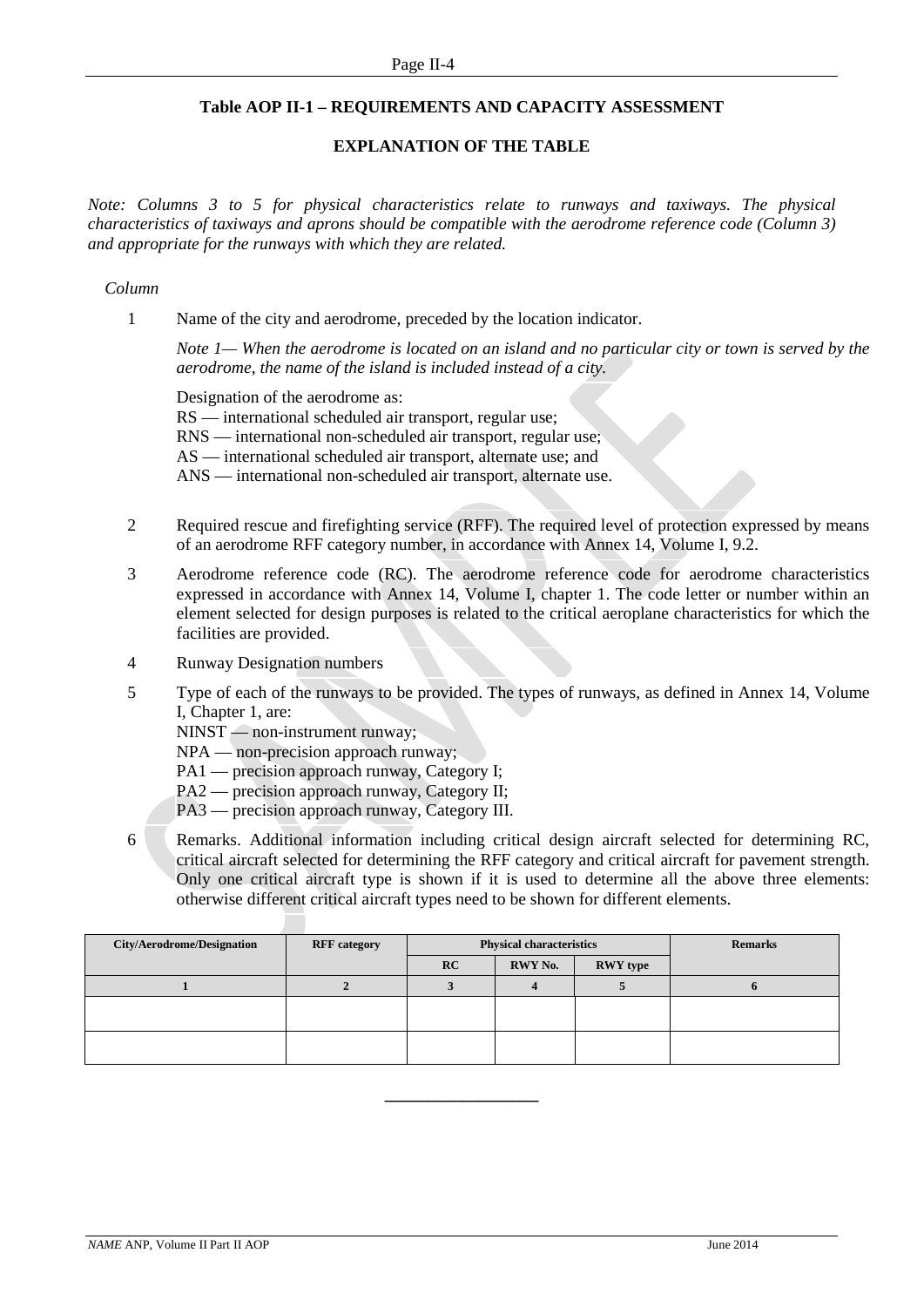#### **Table AOP II-1 – REQUIREMENTS AND CAPACITY ASSESSMENT**

#### **EXPLANATION OF THE TABLE**

*Note: Columns 3 to 5 for physical characteristics relate to runways and taxiways. The physical characteristics of taxiways and aprons should be compatible with the aerodrome reference code (Column 3) and appropriate for the runways with which they are related.*

#### *Column*

1 Name of the city and aerodrome, preceded by the location indicator.

*Note 1— When the aerodrome is located on an island and no particular city or town is served by the aerodrome, the name of the island is included instead of a city.*

Designation of the aerodrome as:

RS — international scheduled air transport, regular use;

RNS — international non-scheduled air transport, regular use;

AS — international scheduled air transport, alternate use; and

ANS — international non-scheduled air transport, alternate use.

- 2 Required rescue and firefighting service (RFF). The required level of protection expressed by means of an aerodrome RFF category number, in accordance with Annex 14, Volume I, 9.2.
- 3 Aerodrome reference code (RC). The aerodrome reference code for aerodrome characteristics expressed in accordance with Annex 14, Volume I, chapter 1. The code letter or number within an element selected for design purposes is related to the critical aeroplane characteristics for which the facilities are provided.
- 4 Runway Designation numbers
- 5 Type of each of the runways to be provided. The types of runways, as defined in Annex 14, Volume I, Chapter 1, are:

NINST — non-instrument runway;

- NPA non-precision approach runway;
- PA1 precision approach runway, Category I;
- PA2 precision approach runway, Category II;
- PA3 precision approach runway, Category III.
- 6 Remarks. Additional information including critical design aircraft selected for determining RC, critical aircraft selected for determining the RFF category and critical aircraft for pavement strength. Only one critical aircraft type is shown if it is used to determine all the above three elements: otherwise different critical aircraft types need to be shown for different elements.

| <b>City/Aerodrome/Designation</b> | <b>RFF</b> category | <b>Physical characteristics</b> |         |                 | <b>Remarks</b> |
|-----------------------------------|---------------------|---------------------------------|---------|-----------------|----------------|
|                                   |                     | RC                              | RWY No. | <b>RWY</b> type |                |
|                                   |                     |                                 |         |                 |                |
|                                   |                     |                                 |         |                 |                |
|                                   |                     |                                 |         |                 |                |
|                                   |                     |                                 |         |                 |                |
|                                   |                     |                                 |         |                 |                |

**\_\_\_\_\_\_\_\_\_\_\_\_\_\_\_\_\_\_**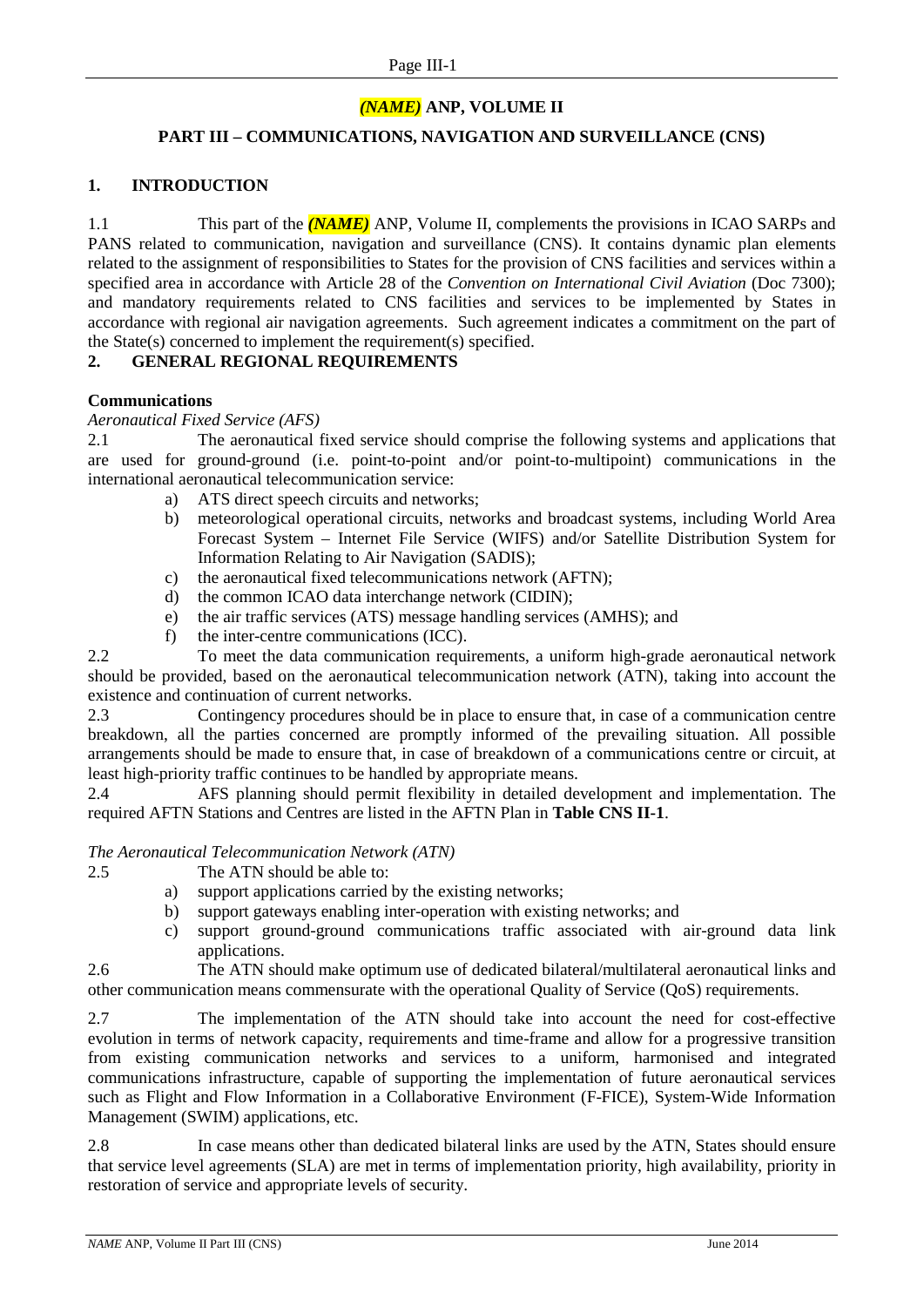### *(NAME)* **ANP, VOLUME II**

#### **PART III – COMMUNICATIONS, NAVIGATION AND SURVEILLANCE (CNS)**

#### **1. INTRODUCTION**

1.1 This part of the *(NAME)* ANP, Volume II, complements the provisions in ICAO SARPs and PANS related to communication, navigation and surveillance (CNS). It contains dynamic plan elements related to the assignment of responsibilities to States for the provision of CNS facilities and services within a specified area in accordance with Article 28 of the *Convention on International Civil Aviation* (Doc 7300); and mandatory requirements related to CNS facilities and services to be implemented by States in accordance with regional air navigation agreements. Such agreement indicates a commitment on the part of the State(s) concerned to implement the requirement(s) specified.

#### **2. GENERAL REGIONAL REQUIREMENTS**

#### **Communications**

#### *Aeronautical Fixed Service (AFS)*

2.1 The aeronautical fixed service should comprise the following systems and applications that are used for ground-ground (i.e. point-to-point and/or point-to-multipoint) communications in the international aeronautical telecommunication service:

- a) ATS direct speech circuits and networks;
- b) meteorological operational circuits, networks and broadcast systems, including World Area Forecast System – Internet File Service (WIFS) and/or Satellite Distribution System for Information Relating to Air Navigation (SADIS);
- c) the aeronautical fixed telecommunications network (AFTN);
- d) the common ICAO data interchange network (CIDIN);
- e) the air traffic services (ATS) message handling services (AMHS); and
- f) the inter-centre communications (ICC).

2.2 To meet the data communication requirements, a uniform high-grade aeronautical network should be provided, based on the aeronautical telecommunication network (ATN), taking into account the existence and continuation of current networks.

2.3 Contingency procedures should be in place to ensure that, in case of a communication centre breakdown, all the parties concerned are promptly informed of the prevailing situation. All possible arrangements should be made to ensure that, in case of breakdown of a communications centre or circuit, at least high-priority traffic continues to be handled by appropriate means.

2.4 AFS planning should permit flexibility in detailed development and implementation. The required AFTN Stations and Centres are listed in the AFTN Plan in **Table CNS II-1**.

#### *The Aeronautical Telecommunication Network (ATN)*

- 2.5 The ATN should be able to:
	- a) support applications carried by the existing networks;
	- b) support gateways enabling inter-operation with existing networks; and
	- c) support ground-ground communications traffic associated with air-ground data link applications.

2.6 The ATN should make optimum use of dedicated bilateral/multilateral aeronautical links and other communication means commensurate with the operational Quality of Service (QoS) requirements.

2.7 The implementation of the ATN should take into account the need for cost-effective evolution in terms of network capacity, requirements and time-frame and allow for a progressive transition from existing communication networks and services to a uniform, harmonised and integrated communications infrastructure, capable of supporting the implementation of future aeronautical services such as Flight and Flow Information in a Collaborative Environment (F-FICE), System-Wide Information Management (SWIM) applications, etc.

2.8 In case means other than dedicated bilateral links are used by the ATN, States should ensure that service level agreements (SLA) are met in terms of implementation priority, high availability, priority in restoration of service and appropriate levels of security.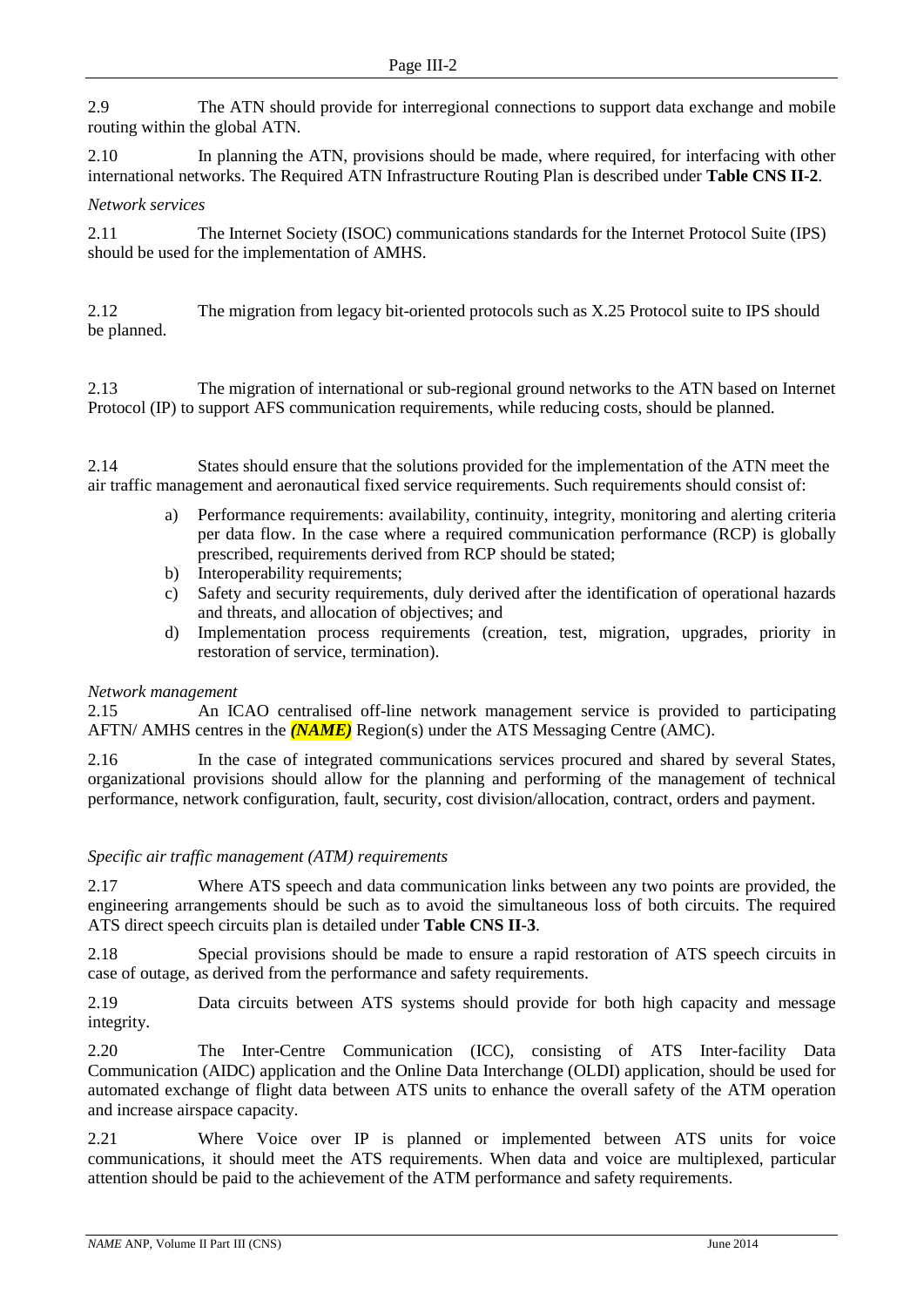2.9 The ATN should provide for interregional connections to support data exchange and mobile routing within the global ATN.

2.10 In planning the ATN, provisions should be made, where required, for interfacing with other international networks. The Required ATN Infrastructure Routing Plan is described under **Table CNS II-2**.

#### *Network services*

2.11 The Internet Society (ISOC) communications standards for the Internet Protocol Suite (IPS) should be used for the implementation of AMHS.

2.12 The migration from legacy bit-oriented protocols such as X.25 Protocol suite to IPS should be planned.

2.13 The migration of international or sub-regional ground networks to the ATN based on Internet Protocol (IP) to support AFS communication requirements, while reducing costs, should be planned.

2.14 States should ensure that the solutions provided for the implementation of the ATN meet the air traffic management and aeronautical fixed service requirements. Such requirements should consist of:

- a) Performance requirements: availability, continuity, integrity, monitoring and alerting criteria per data flow. In the case where a required communication performance (RCP) is globally prescribed, requirements derived from RCP should be stated;
- b) Interoperability requirements;
- c) Safety and security requirements, duly derived after the identification of operational hazards and threats, and allocation of objectives; and
- d) Implementation process requirements (creation, test, migration, upgrades, priority in restoration of service, termination).

#### *Network management*

2.15 An ICAO centralised off-line network management service is provided to participating AFTN/ AMHS centres in the *(NAME)* Region(s) under the ATS Messaging Centre (AMC).

2.16 In the case of integrated communications services procured and shared by several States, organizational provisions should allow for the planning and performing of the management of technical performance, network configuration, fault, security, cost division/allocation, contract, orders and payment.

#### *Specific air traffic management (ATM) requirements*

2.17 Where ATS speech and data communication links between any two points are provided, the engineering arrangements should be such as to avoid the simultaneous loss of both circuits. The required ATS direct speech circuits plan is detailed under **Table CNS II-3**.

2.18 Special provisions should be made to ensure a rapid restoration of ATS speech circuits in case of outage, as derived from the performance and safety requirements.

2.19 Data circuits between ATS systems should provide for both high capacity and message integrity.

2.20 The Inter-Centre Communication (ICC), consisting of ATS Inter-facility Data Communication (AIDC) application and the Online Data Interchange (OLDI) application, should be used for automated exchange of flight data between ATS units to enhance the overall safety of the ATM operation and increase airspace capacity.

2.21 Where Voice over IP is planned or implemented between ATS units for voice communications, it should meet the ATS requirements. When data and voice are multiplexed, particular attention should be paid to the achievement of the ATM performance and safety requirements.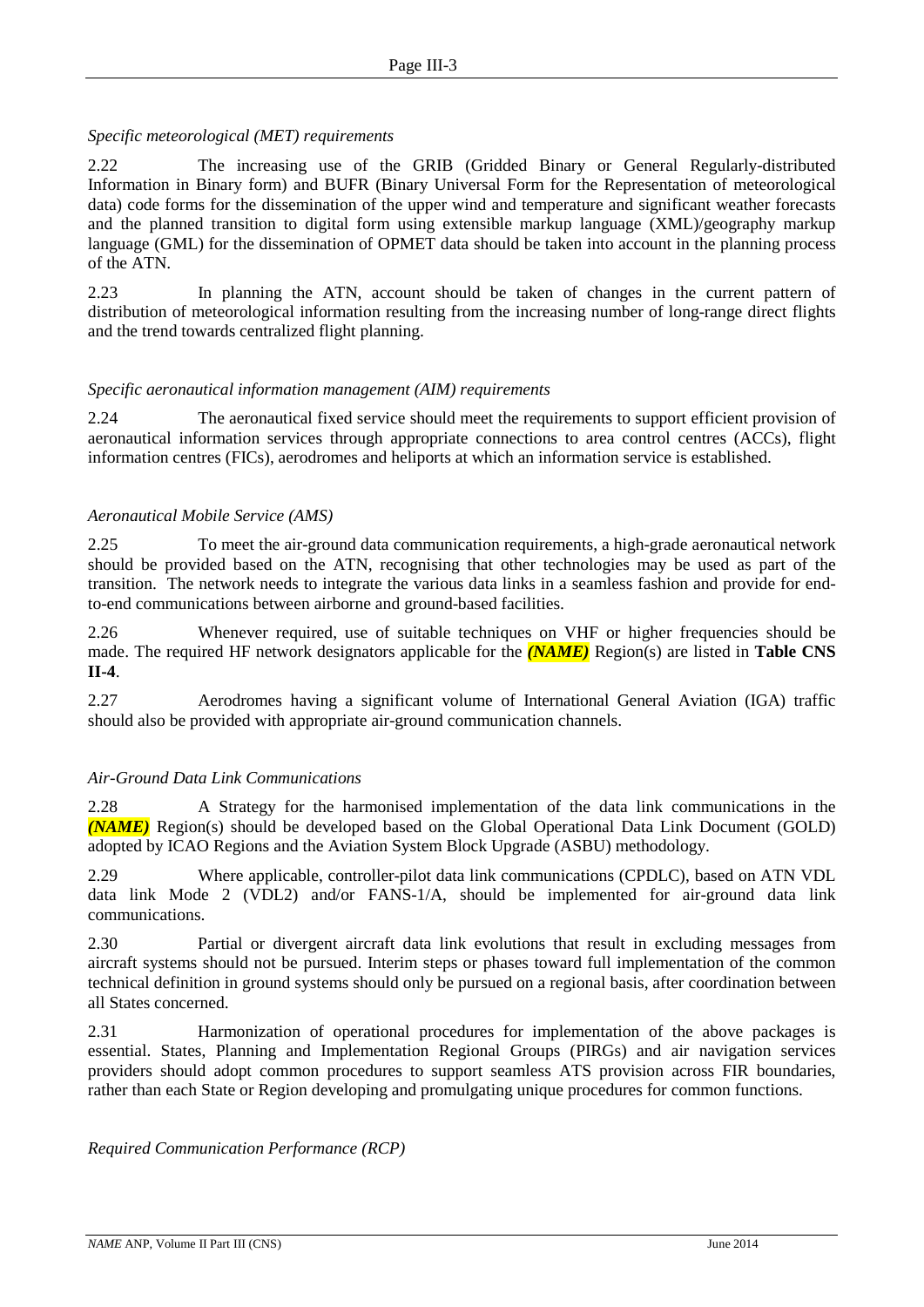#### *Specific meteorological (MET) requirements*

2.22 The increasing use of the GRIB (Gridded Binary or General Regularly-distributed Information in Binary form) and BUFR (Binary Universal Form for the Representation of meteorological data) code forms for the dissemination of the upper wind and temperature and significant weather forecasts and the planned transition to digital form using extensible markup language (XML)/geography markup language (GML) for the dissemination of OPMET data should be taken into account in the planning process of the ATN.

2.23 In planning the ATN, account should be taken of changes in the current pattern of distribution of meteorological information resulting from the increasing number of long-range direct flights and the trend towards centralized flight planning.

#### *Specific aeronautical information management (AIM) requirements*

2.24 The aeronautical fixed service should meet the requirements to support efficient provision of aeronautical information services through appropriate connections to area control centres (ACCs), flight information centres (FICs), aerodromes and heliports at which an information service is established.

#### *Aeronautical Mobile Service (AMS)*

2.25 To meet the air-ground data communication requirements, a high-grade aeronautical network should be provided based on the ATN, recognising that other technologies may be used as part of the transition. The network needs to integrate the various data links in a seamless fashion and provide for endto-end communications between airborne and ground-based facilities.

2.26 Whenever required, use of suitable techniques on VHF or higher frequencies should be made. The required HF network designators applicable for the *(NAME)* Region(s) are listed in **Table CNS II-4**.

2.27 Aerodromes having a significant volume of International General Aviation (IGA) traffic should also be provided with appropriate air-ground communication channels.

#### *Air-Ground Data Link Communications*

2.28 A Strategy for the harmonised implementation of the data link communications in the *(NAME)* Region(s) should be developed based on the Global Operational Data Link Document (GOLD) adopted by ICAO Regions and the Aviation System Block Upgrade (ASBU) methodology.

2.29 Where applicable, controller-pilot data link communications (CPDLC), based on ATN VDL data link Mode 2 (VDL2) and/or FANS-1/A, should be implemented for air-ground data link communications.

2.30 Partial or divergent aircraft data link evolutions that result in excluding messages from aircraft systems should not be pursued. Interim steps or phases toward full implementation of the common technical definition in ground systems should only be pursued on a regional basis, after coordination between all States concerned.

2.31 Harmonization of operational procedures for implementation of the above packages is essential. States, Planning and Implementation Regional Groups (PIRGs) and air navigation services providers should adopt common procedures to support seamless ATS provision across FIR boundaries, rather than each State or Region developing and promulgating unique procedures for common functions.

*Required Communication Performance (RCP)*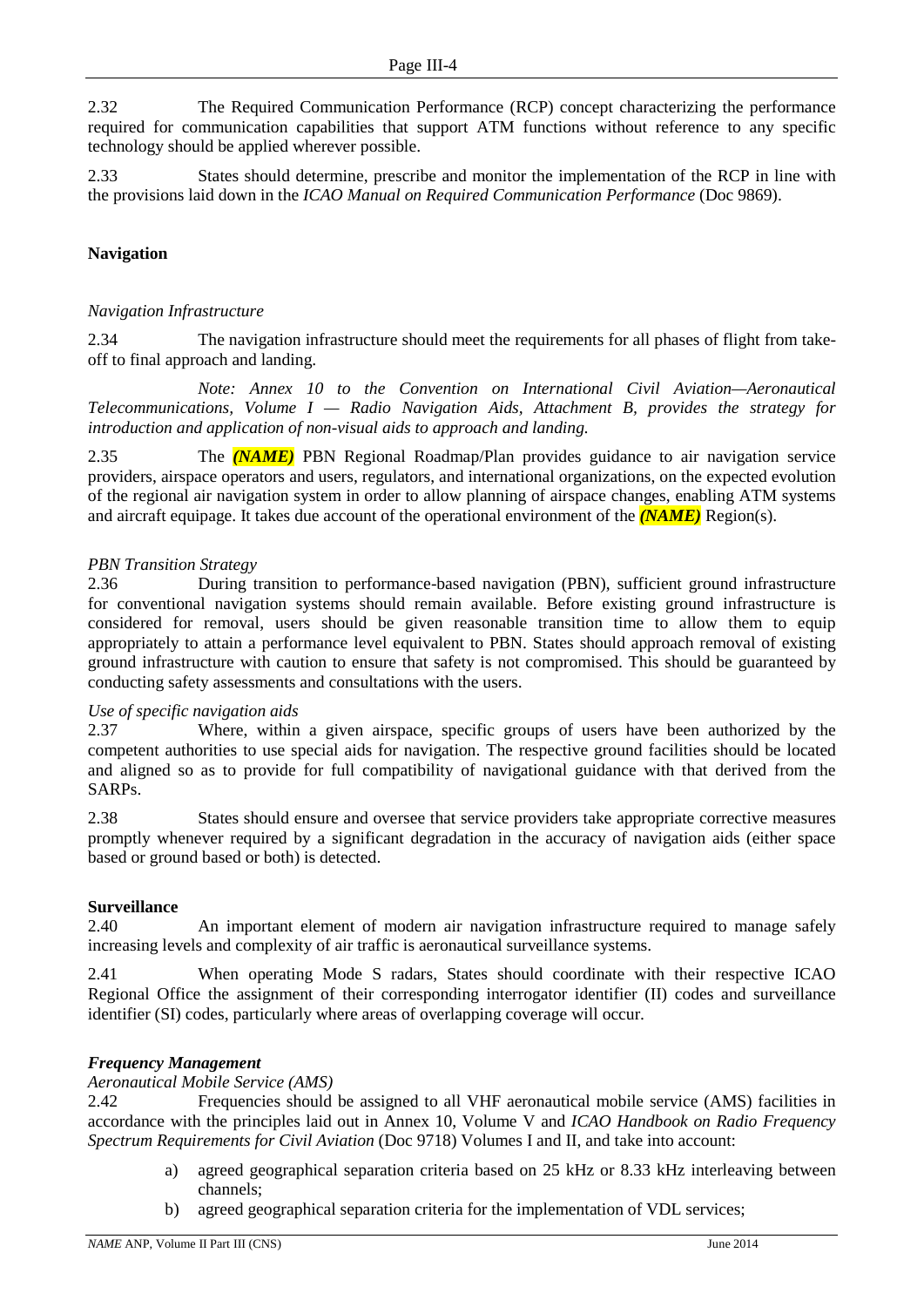2.32 The Required Communication Performance (RCP) concept characterizing the performance required for communication capabilities that support ATM functions without reference to any specific technology should be applied wherever possible.

2.33 States should determine, prescribe and monitor the implementation of the RCP in line with the provisions laid down in the *ICAO Manual on Required Communication Performance* (Doc 9869).

#### **Navigation**

#### *Navigation Infrastructure*

2.34 The navigation infrastructure should meet the requirements for all phases of flight from takeoff to final approach and landing.

*Note: Annex 10 to the Convention on International Civil Aviation—Aeronautical Telecommunications, Volume I — Radio Navigation Aids, Attachment B, provides the strategy for introduction and application of non-visual aids to approach and landing.*

2.35 The *(NAME)* PBN Regional Roadmap/Plan provides guidance to air navigation service providers, airspace operators and users, regulators, and international organizations, on the expected evolution of the regional air navigation system in order to allow planning of airspace changes, enabling ATM systems and aircraft equipage. It takes due account of the operational environment of the *(NAME)* Region(s).

#### *PBN Transition Strategy*

2.36 During transition to performance-based navigation (PBN), sufficient ground infrastructure for conventional navigation systems should remain available. Before existing ground infrastructure is considered for removal, users should be given reasonable transition time to allow them to equip appropriately to attain a performance level equivalent to PBN. States should approach removal of existing ground infrastructure with caution to ensure that safety is not compromised. This should be guaranteed by conducting safety assessments and consultations with the users.

#### *Use of specific navigation aids*

2.37 Where, within a given airspace, specific groups of users have been authorized by the competent authorities to use special aids for navigation. The respective ground facilities should be located and aligned so as to provide for full compatibility of navigational guidance with that derived from the SARPs.

2.38 States should ensure and oversee that service providers take appropriate corrective measures promptly whenever required by a significant degradation in the accuracy of navigation aids (either space based or ground based or both) is detected.

#### **Surveillance**

2.40 An important element of modern air navigation infrastructure required to manage safely increasing levels and complexity of air traffic is aeronautical surveillance systems.

2.41 When operating Mode S radars, States should coordinate with their respective ICAO Regional Office the assignment of their corresponding interrogator identifier (II) codes and surveillance identifier (SI) codes, particularly where areas of overlapping coverage will occur.

#### *Frequency Management*

*Aeronautical Mobile Service (AMS)*

2.42 Frequencies should be assigned to all VHF aeronautical mobile service (AMS) facilities in accordance with the principles laid out in Annex 10, Volume V and *ICAO Handbook on Radio Frequency Spectrum Requirements for Civil Aviation* (Doc 9718) Volumes I and II, and take into account:

- a) agreed geographical separation criteria based on 25 kHz or 8.33 kHz interleaving between channels;
- b) agreed geographical separation criteria for the implementation of VDL services;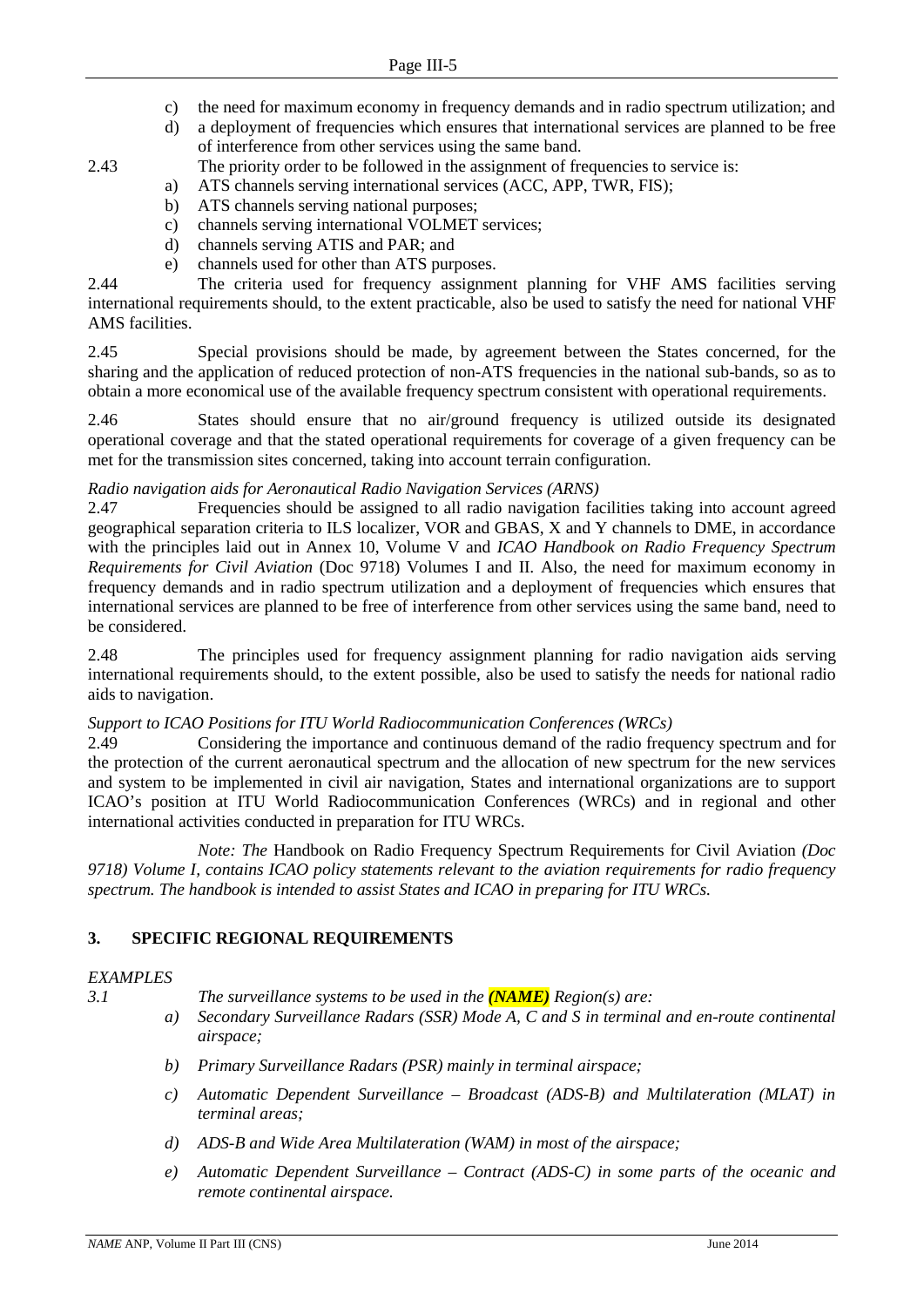- c) the need for maximum economy in frequency demands and in radio spectrum utilization; and
- d) a deployment of frequencies which ensures that international services are planned to be free of interference from other services using the same band.
- 2.43 The priority order to be followed in the assignment of frequencies to service is:
	- a) ATS channels serving international services (ACC, APP, TWR, FIS);
	- b) ATS channels serving national purposes;
	- c) channels serving international VOLMET services;
	- d) channels serving ATIS and PAR; and
	- e) channels used for other than ATS purposes.

2.44 The criteria used for frequency assignment planning for VHF AMS facilities serving international requirements should, to the extent practicable, also be used to satisfy the need for national VHF AMS facilities.

2.45 Special provisions should be made, by agreement between the States concerned, for the sharing and the application of reduced protection of non-ATS frequencies in the national sub-bands, so as to obtain a more economical use of the available frequency spectrum consistent with operational requirements.

2.46 States should ensure that no air/ground frequency is utilized outside its designated operational coverage and that the stated operational requirements for coverage of a given frequency can be met for the transmission sites concerned, taking into account terrain configuration.

#### *Radio navigation aids for Aeronautical Radio Navigation Services (ARNS)*

2.47 Frequencies should be assigned to all radio navigation facilities taking into account agreed geographical separation criteria to ILS localizer, VOR and GBAS, X and Y channels to DME, in accordance with the principles laid out in Annex 10, Volume V and *ICAO Handbook on Radio Frequency Spectrum Requirements for Civil Aviation* (Doc 9718) Volumes I and II. Also, the need for maximum economy in frequency demands and in radio spectrum utilization and a deployment of frequencies which ensures that international services are planned to be free of interference from other services using the same band, need to be considered.

2.48 The principles used for frequency assignment planning for radio navigation aids serving international requirements should, to the extent possible, also be used to satisfy the needs for national radio aids to navigation.

#### *Support to ICAO Positions for ITU World Radiocommunication Conferences (WRCs)*

2.49 Considering the importance and continuous demand of the radio frequency spectrum and for the protection of the current aeronautical spectrum and the allocation of new spectrum for the new services and system to be implemented in civil air navigation, States and international organizations are to support ICAO's position at ITU World Radiocommunication Conferences (WRCs) and in regional and other international activities conducted in preparation for ITU WRCs.

*Note: The* Handbook on Radio Frequency Spectrum Requirements for Civil Aviation *(Doc 9718) Volume I, contains ICAO policy statements relevant to the aviation requirements for radio frequency spectrum. The handbook is intended to assist States and ICAO in preparing for ITU WRCs.*

#### **3. SPECIFIC REGIONAL REQUIREMENTS**

#### *EXAMPLES*

- *3.1 The surveillance systems to be used in the (NAME) Region(s) are:*
	- *a) Secondary Surveillance Radars (SSR) Mode A, C and S in terminal and en-route continental airspace;*
	- *b) Primary Surveillance Radars (PSR) mainly in terminal airspace;*
	- *c) Automatic Dependent Surveillance – Broadcast (ADS-B) and Multilateration (MLAT) in terminal areas;*
	- *d) ADS-B and Wide Area Multilateration (WAM) in most of the airspace;*
	- *e) Automatic Dependent Surveillance – Contract (ADS-C) in some parts of the oceanic and remote continental airspace.*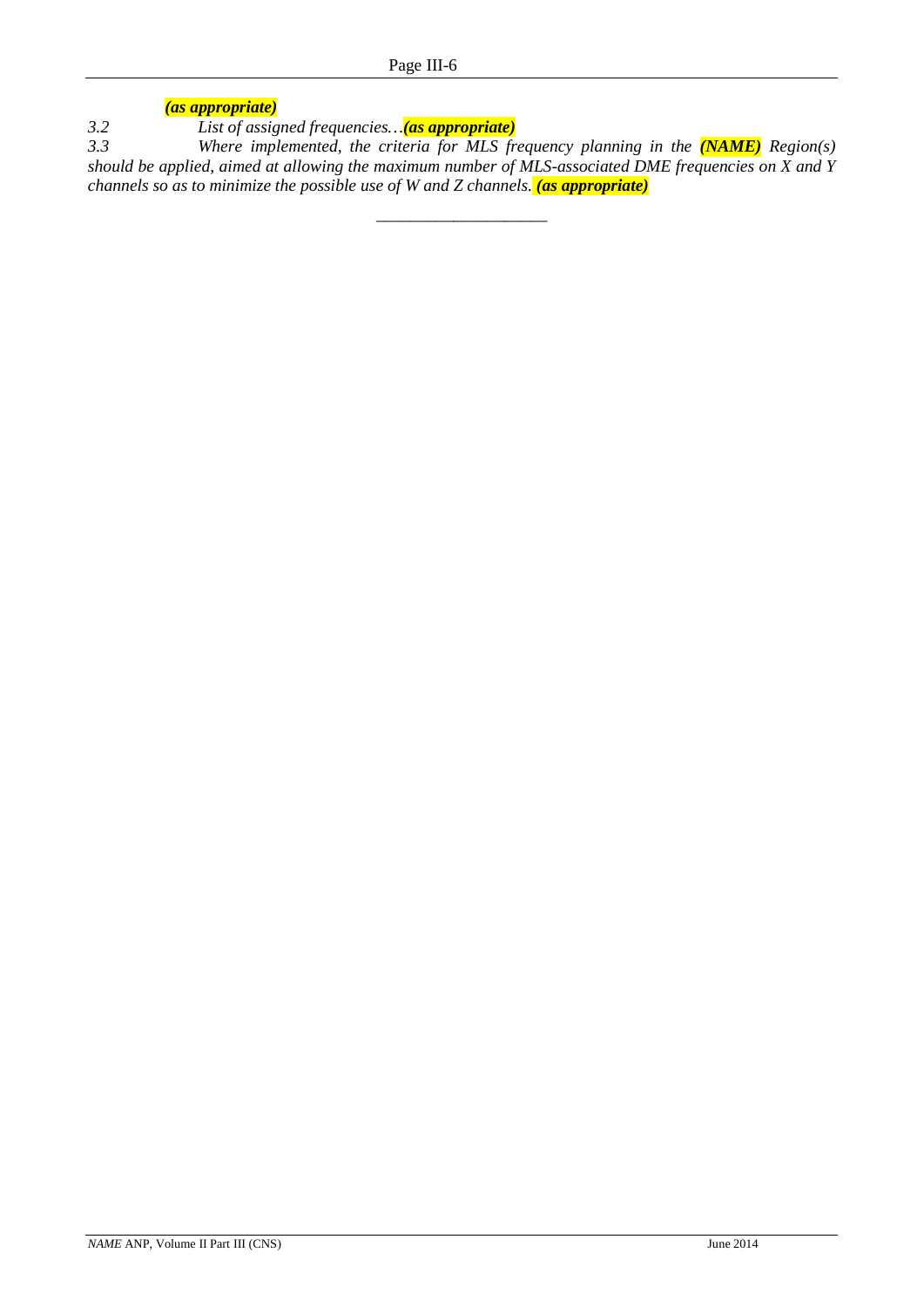*(as appropriate)*

*3.2 List of assigned frequencies…(as appropriate)*

*3.3 Where implemented, the criteria for MLS frequency planning in the (NAME) Region(s) should be applied, aimed at allowing the maximum number of MLS-associated DME frequencies on X and Y channels so as to minimize the possible use of W and Z channels. (as appropriate)*

\_\_\_\_\_\_\_\_\_\_\_\_\_\_\_\_\_\_\_\_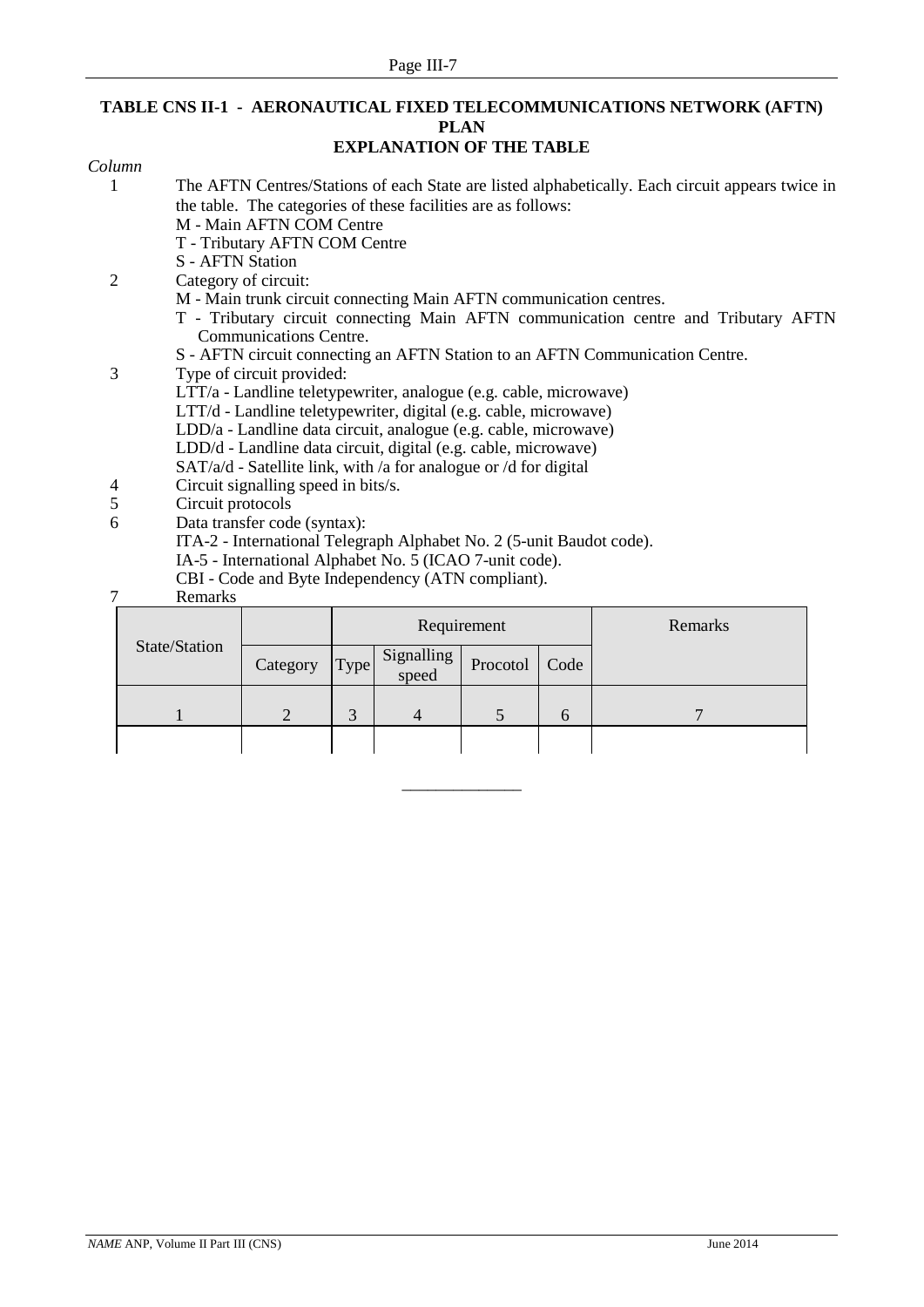# **TABLE CNS II-1 - AERONAUTICAL FIXED TELECOMMUNICATIONS NETWORK (AFTN) PLAN**

# **EXPLANATION OF THE TABLE**

| Column         |                   |                                                                      |      |                     |             |      |                                                                                                  |
|----------------|-------------------|----------------------------------------------------------------------|------|---------------------|-------------|------|--------------------------------------------------------------------------------------------------|
| 1              |                   |                                                                      |      |                     |             |      | The AFTN Centres/Stations of each State are listed alphabetically. Each circuit appears twice in |
|                |                   | the table. The categories of these facilities are as follows:        |      |                     |             |      |                                                                                                  |
|                |                   | M - Main AFTN COM Centre                                             |      |                     |             |      |                                                                                                  |
|                |                   | T - Tributary AFTN COM Centre                                        |      |                     |             |      |                                                                                                  |
|                | S - AFTN Station  |                                                                      |      |                     |             |      |                                                                                                  |
| $\overline{2}$ |                   | Category of circuit:                                                 |      |                     |             |      |                                                                                                  |
|                |                   | M - Main trunk circuit connecting Main AFTN communication centres.   |      |                     |             |      |                                                                                                  |
|                |                   |                                                                      |      |                     |             |      | T - Tributary circuit connecting Main AFTN communication centre and Tributary AFTN               |
|                |                   | <b>Communications Centre.</b>                                        |      |                     |             |      |                                                                                                  |
|                |                   |                                                                      |      |                     |             |      | S - AFTN circuit connecting an AFTN Station to an AFTN Communication Centre.                     |
| 3              |                   | Type of circuit provided:                                            |      |                     |             |      |                                                                                                  |
|                |                   | LTT/a - Landline teletypewriter, analogue (e.g. cable, microwave)    |      |                     |             |      |                                                                                                  |
|                |                   | LTT/d - Landline teletypewriter, digital (e.g. cable, microwave)     |      |                     |             |      |                                                                                                  |
|                |                   | LDD/a - Landline data circuit, analogue (e.g. cable, microwave)      |      |                     |             |      |                                                                                                  |
|                |                   | LDD/d - Landline data circuit, digital (e.g. cable, microwave)       |      |                     |             |      |                                                                                                  |
|                |                   | SAT/a/d - Satellite link, with /a for analogue or /d for digital     |      |                     |             |      |                                                                                                  |
| 4              |                   | Circuit signalling speed in bits/s.                                  |      |                     |             |      |                                                                                                  |
| 5              | Circuit protocols |                                                                      |      |                     |             |      |                                                                                                  |
| 6              |                   | Data transfer code (syntax):                                         |      |                     |             |      |                                                                                                  |
|                |                   | ITA-2 - International Telegraph Alphabet No. 2 (5-unit Baudot code). |      |                     |             |      |                                                                                                  |
|                |                   | IA-5 - International Alphabet No. 5 (ICAO 7-unit code).              |      |                     |             |      |                                                                                                  |
|                |                   | CBI - Code and Byte Independency (ATN compliant).                    |      |                     |             |      |                                                                                                  |
| 7              | Remarks           |                                                                      |      |                     |             |      |                                                                                                  |
|                |                   |                                                                      |      |                     | Requirement |      | Remarks                                                                                          |
|                | State/Station     | Category                                                             | Type | Signalling<br>speed | Procotol    | Code |                                                                                                  |
|                |                   |                                                                      |      |                     |             |      |                                                                                                  |

1 2 3 4 5 6 7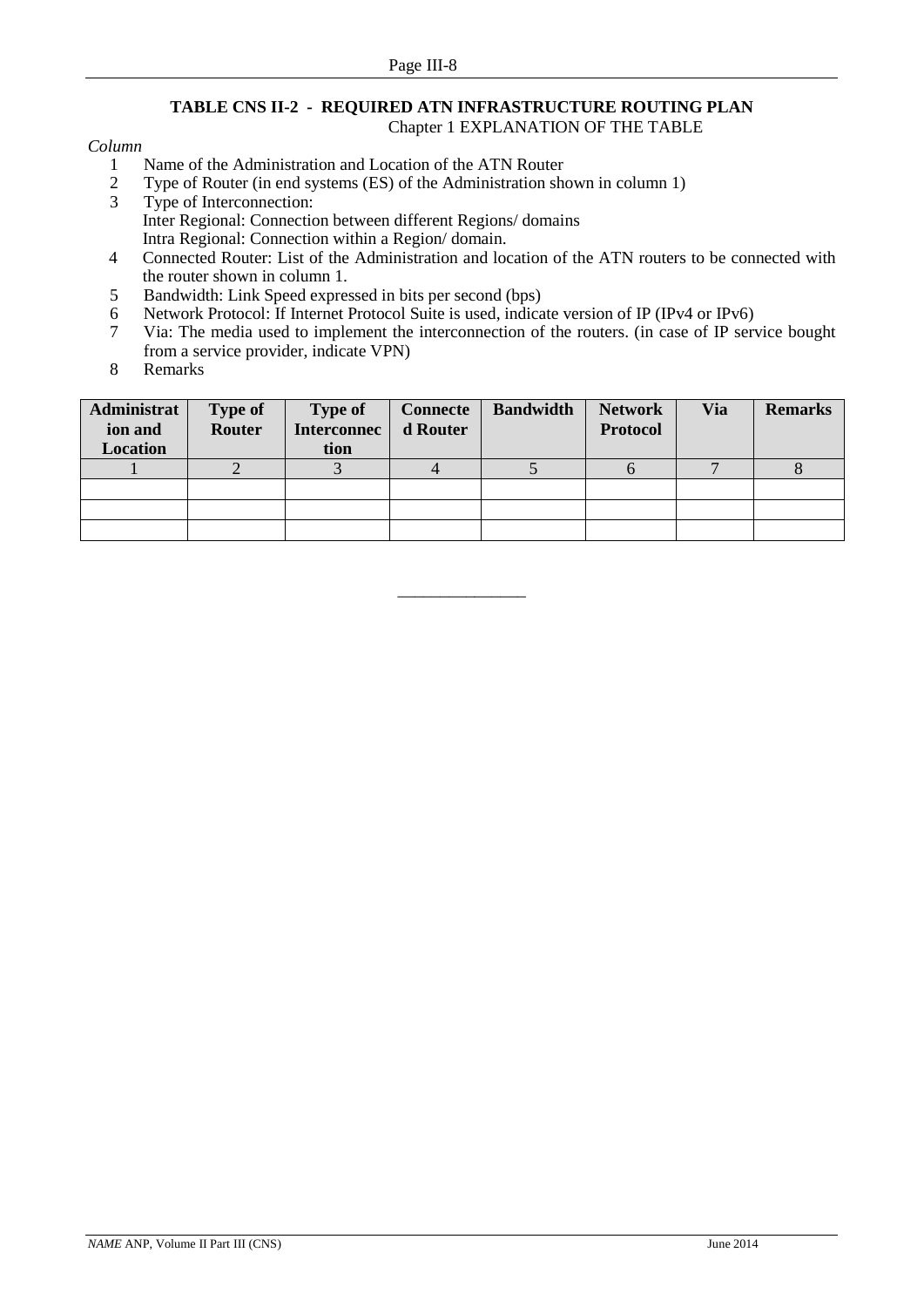#### **TABLE CNS II-2 - REQUIRED ATN INFRASTRUCTURE ROUTING PLAN** Chapter 1 EXPLANATION OF THE TABLE

#### *Column*

- 1 Name of the Administration and Location of the ATN Router<br>2 Type of Router (in end systems (ES) of the Administration she
- 2 Type of Router (in end systems (ES) of the Administration shown in column 1)<br>
Type of Interconnection
- Type of Interconnection: Inter Regional: Connection between different Regions/ domains Intra Regional: Connection within a Region/ domain.
- 4 Connected Router: List of the Administration and location of the ATN routers to be connected with the router shown in column 1.
- 5 Bandwidth: Link Speed expressed in bits per second (bps)
- 6 Network Protocol: If Internet Protocol Suite is used, indicate version of IP (IPv4 or IPv6)<br>7 Via: The media used to implement the interconnection of the routers. (in case of IP servers)
- 7 Via: The media used to implement the interconnection of the routers. (in case of IP service bought from a service provider, indicate VPN)
- 8 Remarks

| Administrat<br>ion and<br>Location | <b>Type of</b><br>Router | <b>Type of</b><br><b>Interconnec</b><br>tion | <b>Connecte</b><br>d Router | <b>Bandwidth</b> | <b>Network</b><br><b>Protocol</b> | Via | <b>Remarks</b> |
|------------------------------------|--------------------------|----------------------------------------------|-----------------------------|------------------|-----------------------------------|-----|----------------|
|                                    |                          |                                              |                             |                  |                                   |     |                |
|                                    |                          |                                              |                             |                  |                                   |     |                |
|                                    |                          |                                              |                             |                  |                                   |     |                |
|                                    |                          |                                              |                             |                  |                                   |     |                |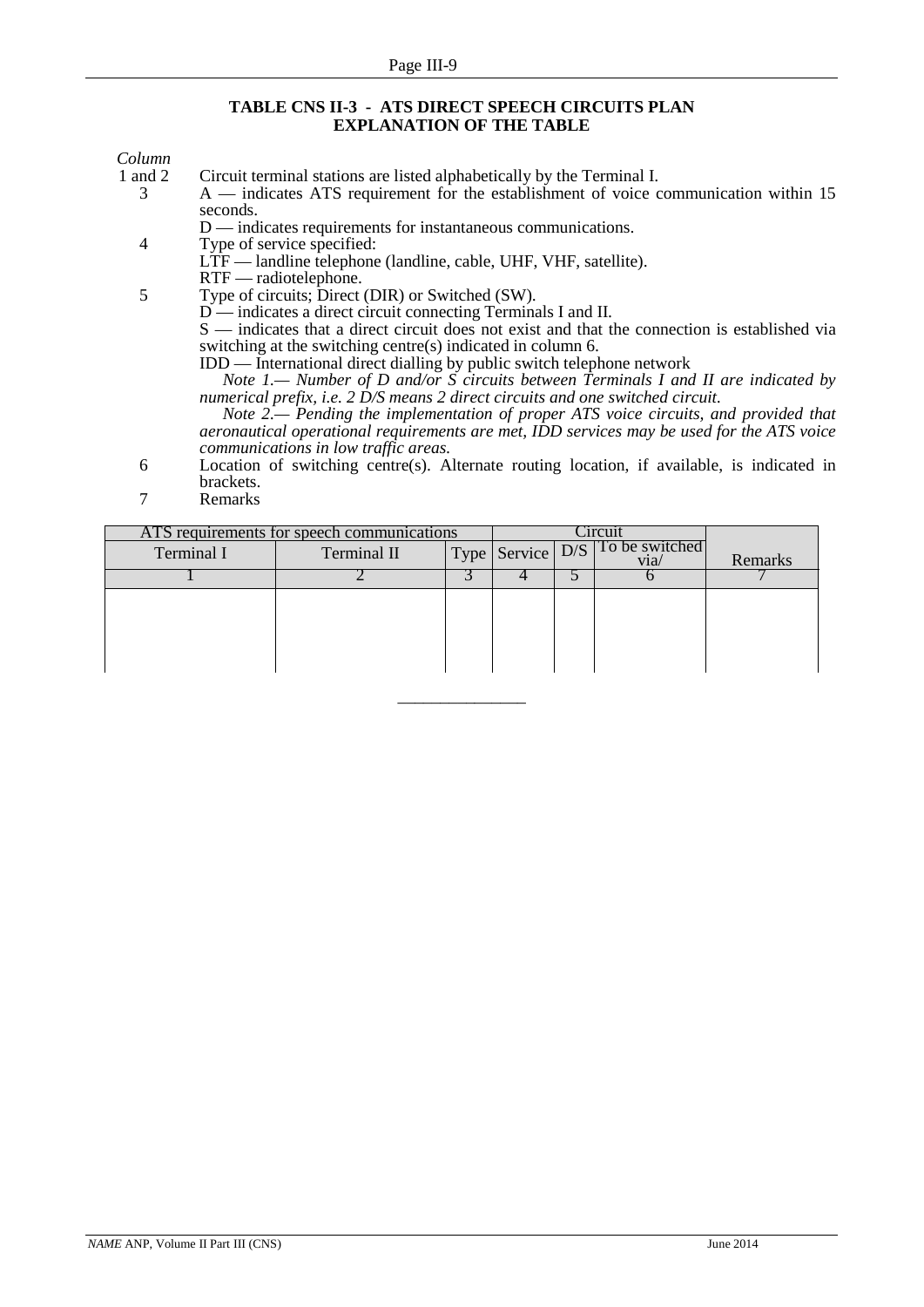#### **TABLE CNS II-3 - ATS DIRECT SPEECH CIRCUITS PLAN EXPLANATION OF THE TABLE**

# *Column*

1 and 2 Circuit terminal stations are listed alphabetically by the Terminal I.<br>
2 A — indicates ATS requirement for the establishment of voice c A — indicates ATS requirement for the establishment of voice communication within 15 seconds.

D — indicates requirements for instantaneous communications.

- 4 Type of service specified:
	- LTF landline telephone (landline, cable, UHF, VHF, satellite).
- RTF radiotelephone.

5 Type of circuits; Direct (DIR) or Switched (SW).

D — indicates a direct circuit connecting Terminals I and II.

S — indicates that a direct circuit does not exist and that the connection is established via switching at the switching centre(s) indicated in column 6.

IDD — International direct dialling by public switch telephone network

*Note 1.— Number of D and/or S circuits between Terminals I and II are indicated by numerical prefix, i.e. 2 D/S means 2 direct circuits and one switched circuit.*

*Note 2.— Pending the implementation of proper ATS voice circuits, and provided that aeronautical operational requirements are met, IDD services may be used for the ATS voice communications in low traffic areas.*

- 6 Location of switching centre(s). Alternate routing location, if available, is indicated in brackets.
- 7 Remarks

| ATS requirements for speech communications |  |  |  | <b>hrcui</b>          |         |
|--------------------------------------------|--|--|--|-----------------------|---------|
| Terminal II                                |  |  |  | To be switched<br>via | Remarks |
|                                            |  |  |  |                       |         |
|                                            |  |  |  |                       |         |
|                                            |  |  |  |                       |         |
|                                            |  |  |  |                       |         |
|                                            |  |  |  |                       |         |
|                                            |  |  |  | Type Service D/S      |         |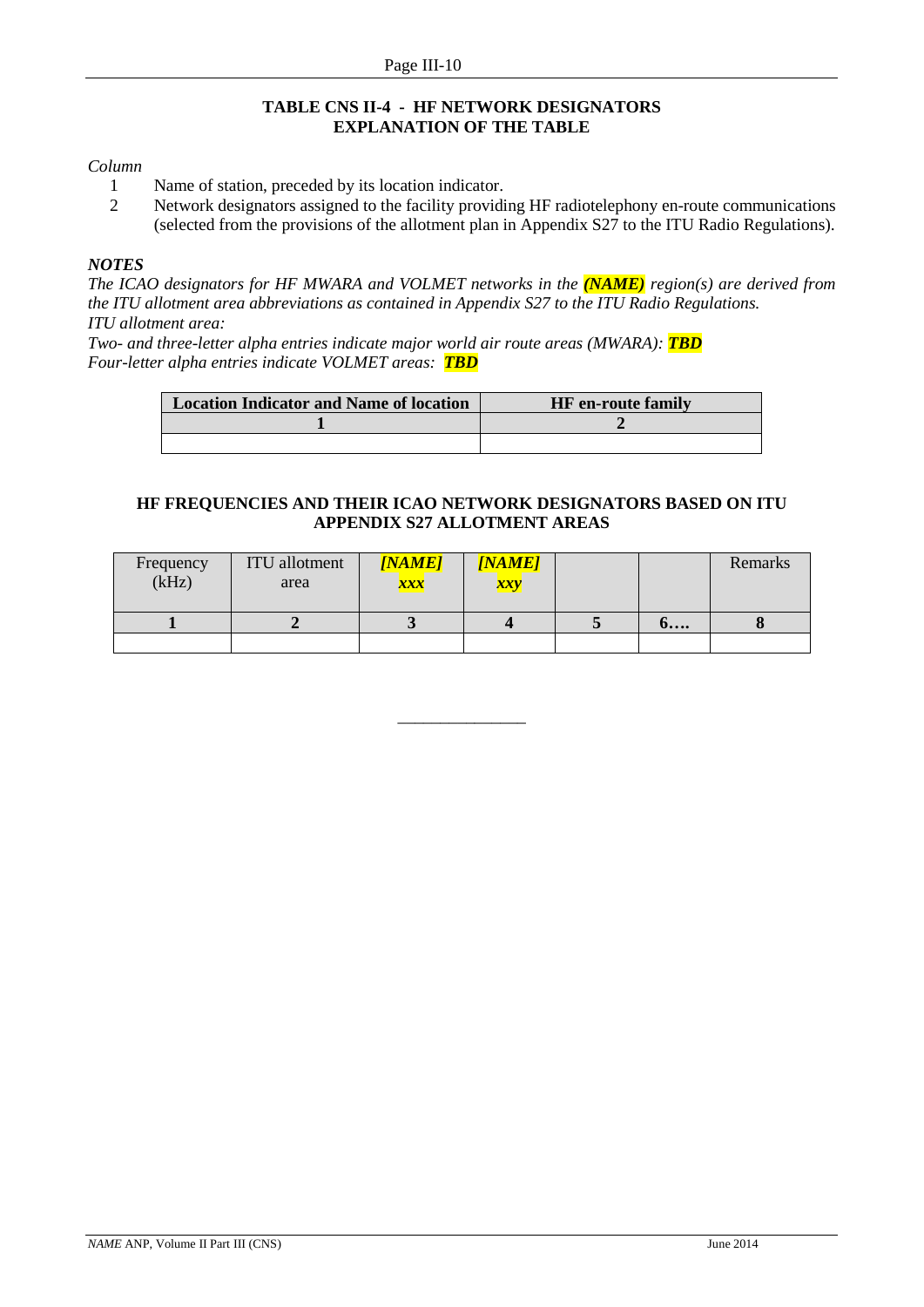#### **TABLE CNS II-4 - HF NETWORK DESIGNATORS EXPLANATION OF THE TABLE**

#### *Column*

- 1 Name of station, preceded by its location indicator.
- 2 Network designators assigned to the facility providing HF radiotelephony en-route communications (selected from the provisions of the allotment plan in Appendix S27 to the ITU Radio Regulations).

#### *NOTES*

*The ICAO designators for HF MWARA and VOLMET networks in the (NAME) region(s) are derived from the ITU allotment area abbreviations as contained in Appendix S27 to the ITU Radio Regulations. ITU allotment area:*

*Two- and three-letter alpha entries indicate major world air route areas (MWARA): TBD Four-letter alpha entries indicate VOLMET areas: TBD*

| <b>Location Indicator and Name of location</b> | <b>HF</b> en-route family |
|------------------------------------------------|---------------------------|
|                                                |                           |
|                                                |                           |

#### **HF FREQUENCIES AND THEIR ICAO NETWORK DESIGNATORS BASED ON ITU APPENDIX S27 ALLOTMENT AREAS**

| Frequency<br>(kHz) | <b>ITU</b> allotment<br>area | <b>[NAME]</b><br>xxx | <i><b>[NAME]</b></i><br>xxy |                    | Remarks |
|--------------------|------------------------------|----------------------|-----------------------------|--------------------|---------|
|                    |                              |                      |                             | $\mathbf{0} \dots$ |         |
|                    |                              |                      |                             |                    |         |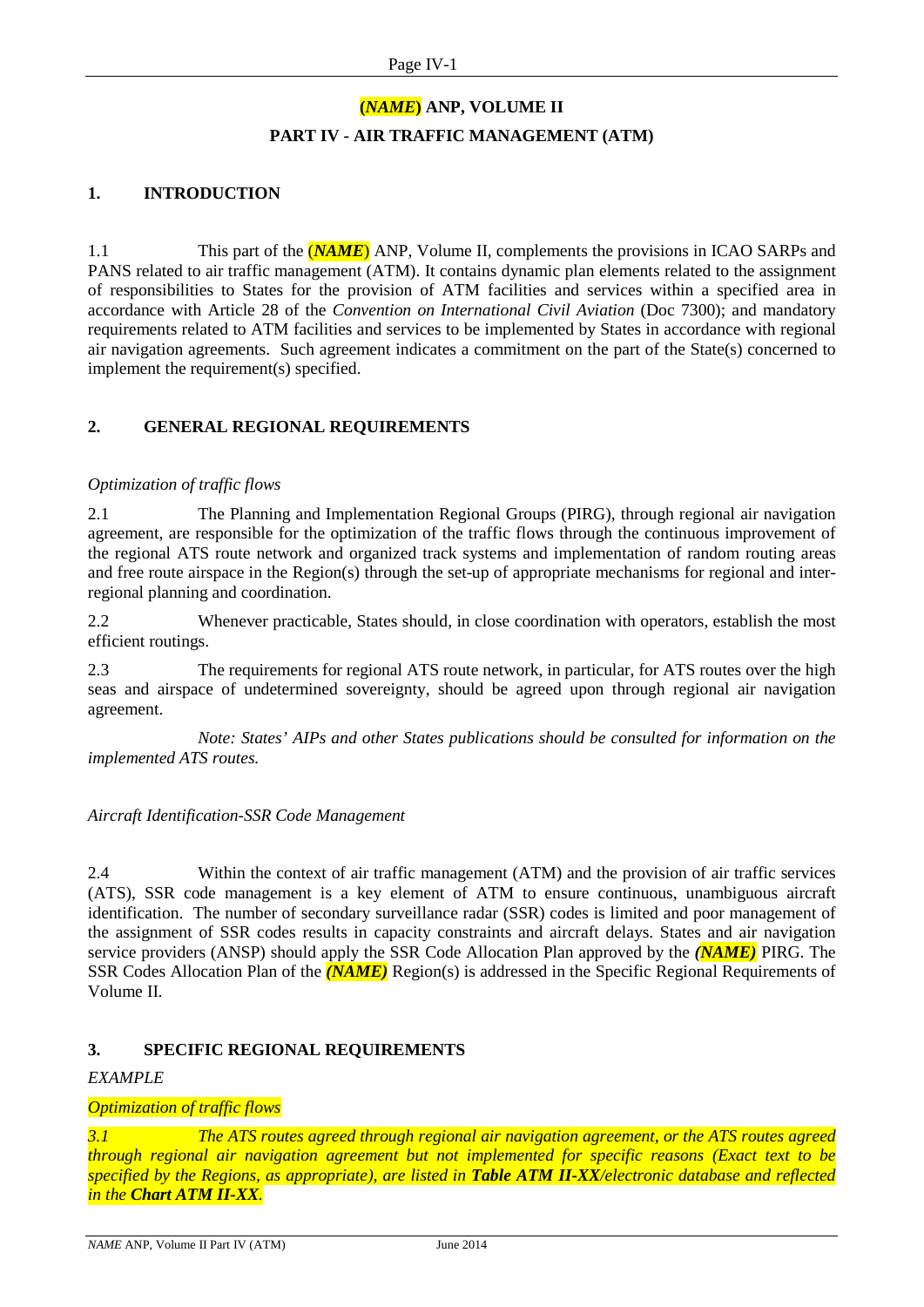# **(***NAME***) ANP, VOLUME II PART IV - AIR TRAFFIC MANAGEMENT (ATM)**

#### **1. INTRODUCTION**

1.1 This part of the (*NAME*) ANP, Volume II, complements the provisions in ICAO SARPs and PANS related to air traffic management (ATM). It contains dynamic plan elements related to the assignment of responsibilities to States for the provision of ATM facilities and services within a specified area in accordance with Article 28 of the *Convention on International Civil Aviation* (Doc 7300); and mandatory requirements related to ATM facilities and services to be implemented by States in accordance with regional air navigation agreements. Such agreement indicates a commitment on the part of the State(s) concerned to implement the requirement(s) specified.

#### **2. GENERAL REGIONAL REQUIREMENTS**

#### *Optimization of traffic flows*

2.1 The Planning and Implementation Regional Groups (PIRG), through regional air navigation agreement, are responsible for the optimization of the traffic flows through the continuous improvement of the regional ATS route network and organized track systems and implementation of random routing areas and free route airspace in the Region(s) through the set-up of appropriate mechanisms for regional and interregional planning and coordination.

2.2 Whenever practicable, States should, in close coordination with operators, establish the most efficient routings.

2.3 The requirements for regional ATS route network, in particular, for ATS routes over the high seas and airspace of undetermined sovereignty, should be agreed upon through regional air navigation agreement.

*Note: States' AIPs and other States publications should be consulted for information on the implemented ATS routes.* 

#### *Aircraft Identification-SSR Code Management*

2.4 Within the context of air traffic management (ATM) and the provision of air traffic services (ATS), SSR code management is a key element of ATM to ensure continuous, unambiguous aircraft identification. The number of secondary surveillance radar (SSR) codes is limited and poor management of the assignment of SSR codes results in capacity constraints and aircraft delays. States and air navigation service providers (ANSP) should apply the SSR Code Allocation Plan approved by the *(NAME)* PIRG. The SSR Codes Allocation Plan of the *(NAME)* Region(s) is addressed in the Specific Regional Requirements of Volume II.

#### **3. SPECIFIC REGIONAL REQUIREMENTS**

#### *EXAMPLE*

#### *Optimization of traffic flows*

*3.1 The ATS routes agreed through regional air navigation agreement, or the ATS routes agreed through regional air navigation agreement but not implemented for specific reasons (Exact text to be specified by the Regions, as appropriate), are listed in Table ATM II-XX/electronic database and reflected in the Chart ATM II-XX.*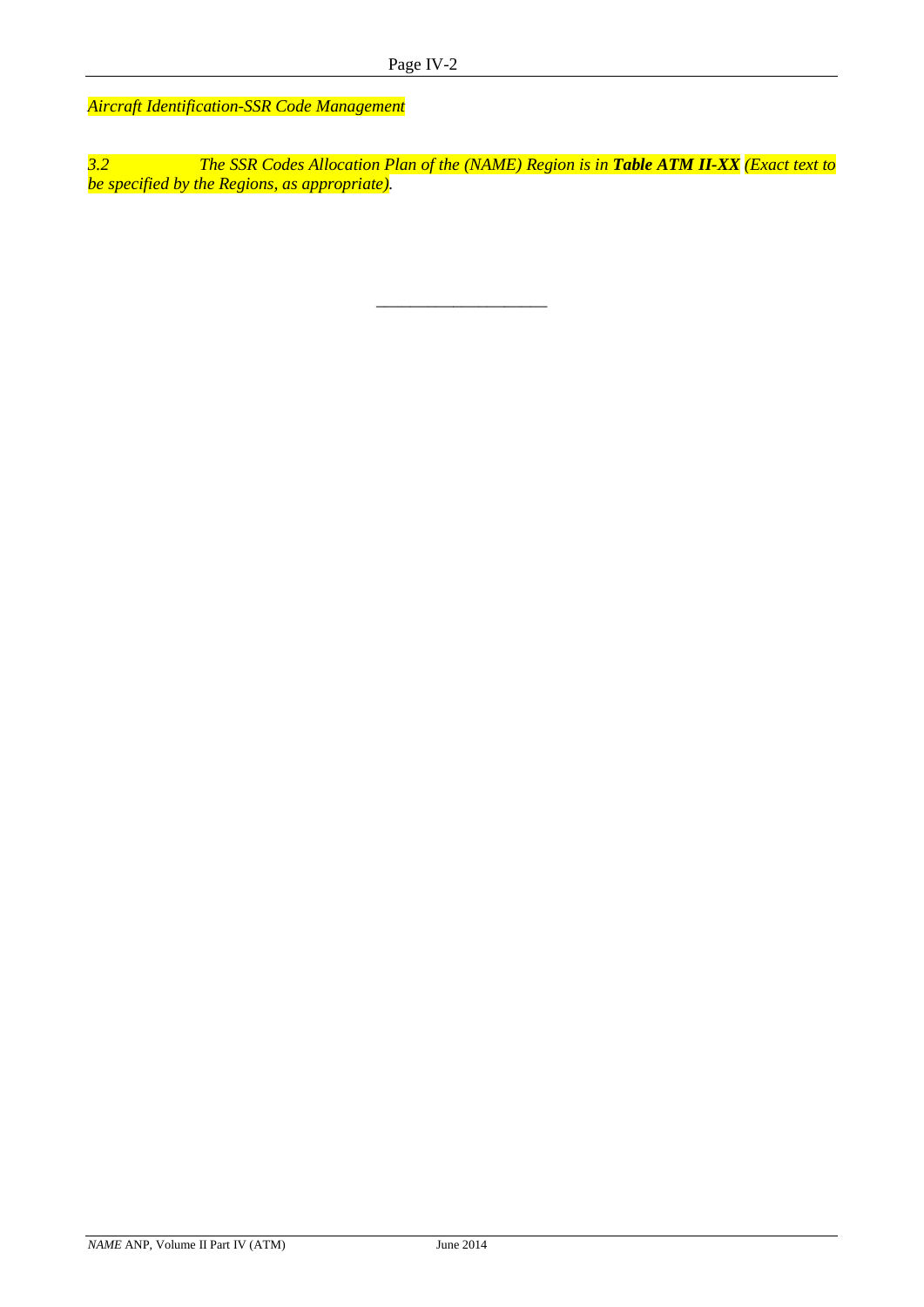*Aircraft Identification-SSR Code Management*

*3.2 The SSR Codes Allocation Plan of the (NAME) Region is in Table ATM II-XX (Exact text to be specified by the Regions, as appropriate).*

\_\_\_\_\_\_\_\_\_\_\_\_\_\_\_\_\_\_\_\_

*NAME* ANP, Volume II Part IV (ATM) June 2014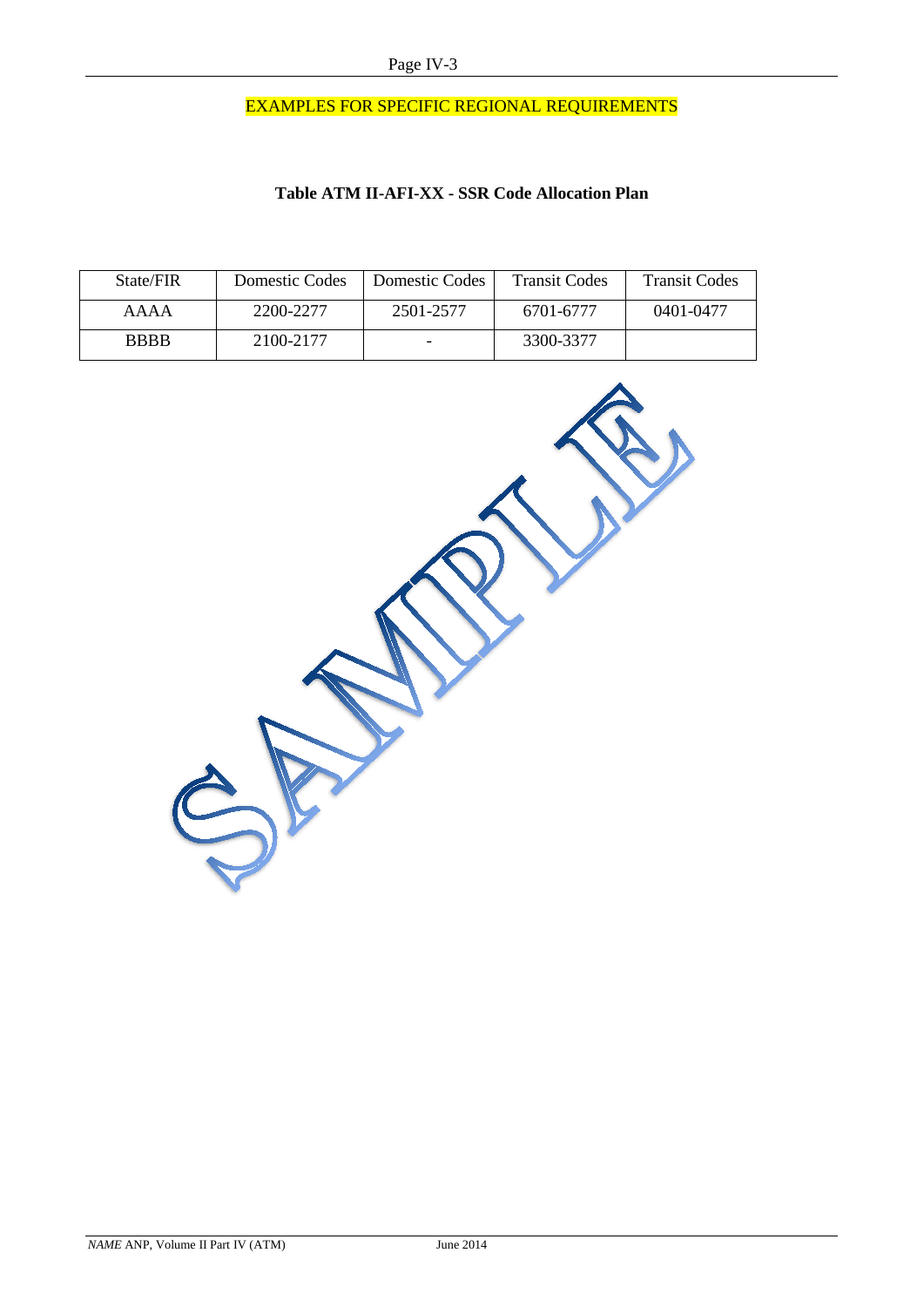# EXAMPLES FOR SPECIFIC REGIONAL REQUIREMENTS

#### **Table ATM II-AFI-XX - SSR Code Allocation Plan**

| State/FIR   | Domestic Codes | Domestic Codes | <b>Transit Codes</b> | <b>Transit Codes</b> |
|-------------|----------------|----------------|----------------------|----------------------|
| AAAA        | 2200-2277      | 2501-2577      | 6701-6777            | 0401-0477            |
| <b>BBBB</b> | 2100-2177      |                | 3300-3377            |                      |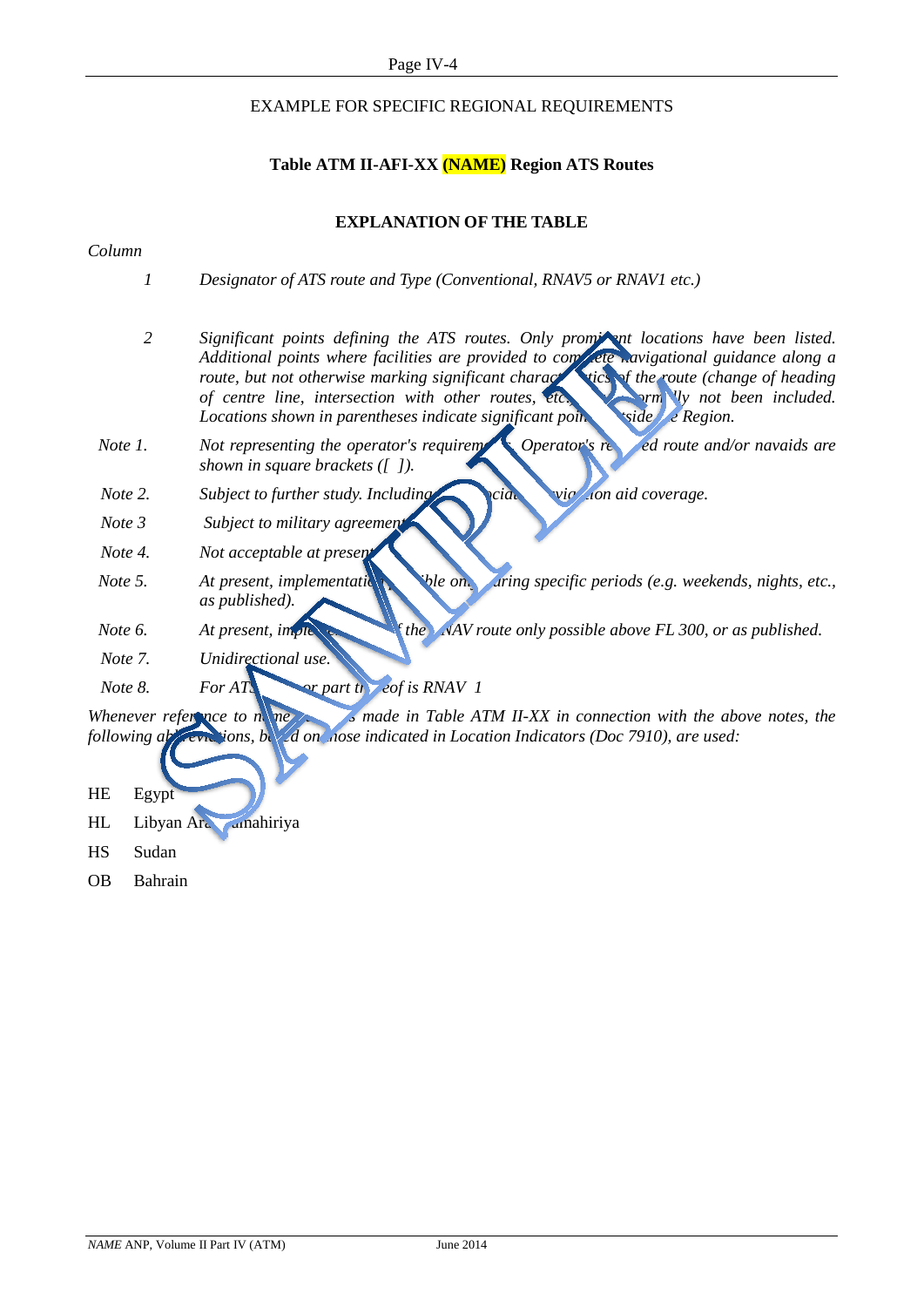#### EXAMPLE FOR SPECIFIC REGIONAL REQUIREMENTS

#### **Table ATM II-AFI-XX (NAME) Region ATS Routes**

#### **EXPLANATION OF THE TABLE**

#### *Column*

- *1 Designator of ATS route and Type (Conventional, RNAV5 or RNAV1 etc.)*
- 2 **Significant points defining the ATS routes. Only promited locations have been listed.** *Additional points where facilities are provided to complete navigational guidance along a route, but not otherwise marking significant characteristics of the route (change of heading route) of centre line, intersection with other routes, etc.* **have not been included.**  $\frac{1}{2}$  **have not** *orm Uy not been included. Locations shown in parentheses indicate significant points side the Region.*
- *Note 1. Not representing the operator's requirements. Operator's requirements are and/or navaids are shown in square brackets ([ ]).*
- *Note 2. Subject to further study. Including the analyzion aid coverage.*
- *Note 3 Subject to military agreement.*
- *Note 4. Not acceptable at present.*
- *Note 5. At present, implementation ble only during specific periods (e.g. weekends, nights, etc.,*  $\overline{\phantom{a}}$ *as published).*
- *Note 6. At present, implement of the NAV route only possible above FL 300, or as published.*
- *Note 7. Unidirectional use.*
- *Note 8. For ATS <u>or part thereof is RNAV 1</u>*

*Whenever reference to name is made in Table ATM II-XX in connection with the above notes, the following abbreviations, based on nose indicated in Location Indicators (Doc 7910), are used:* 

- HE Egypt
- HL Libyan Araba Amahiriya
- HS Sudan
- OB Bahrain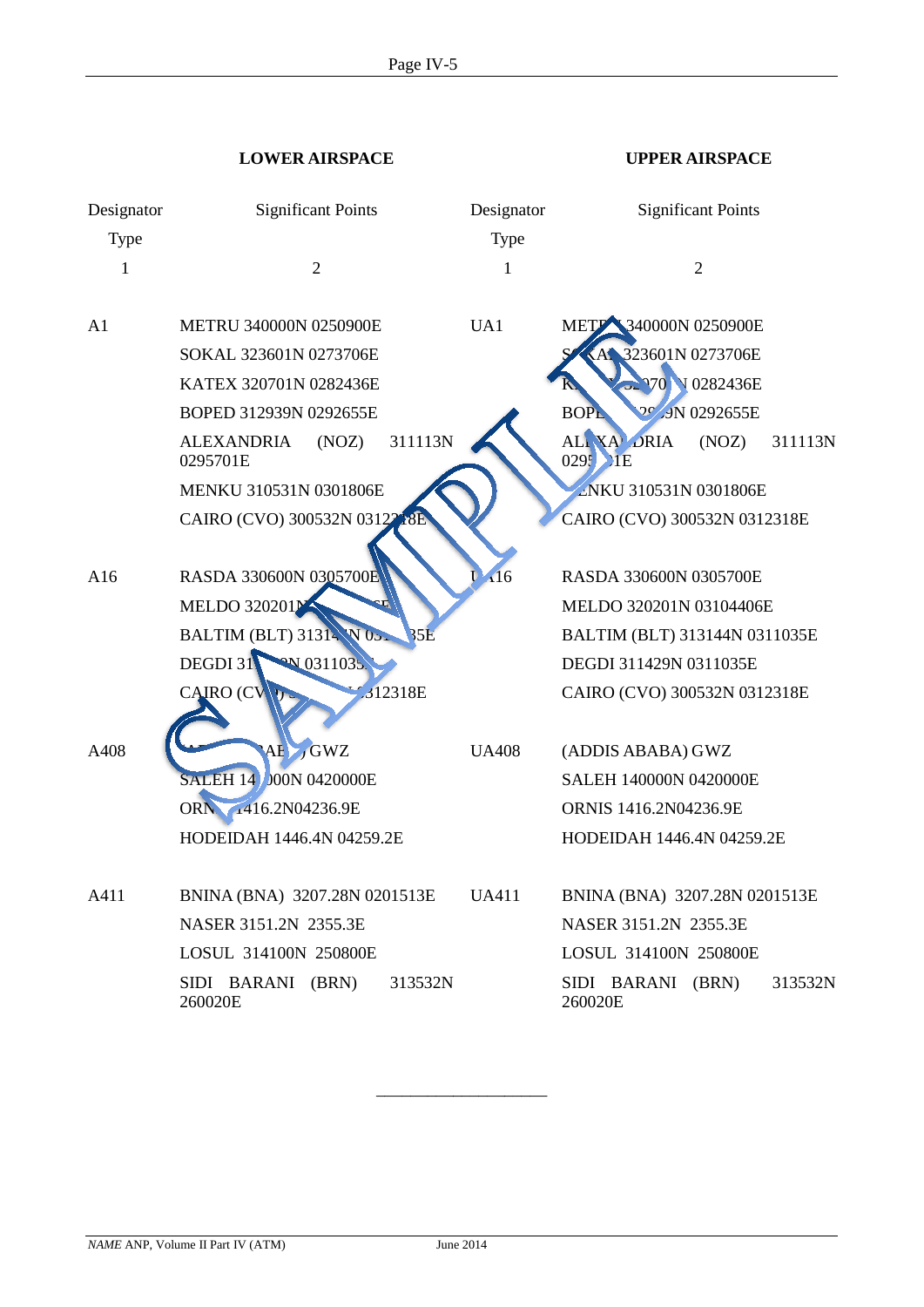**LOWER AIRSPACE UPPER AIRSPACE**

| Designator<br>Type | <b>Significant Points</b><br>$\overline{2}$       | Designator<br>Type<br>1 | <b>Significant Points</b><br>$\mathfrak{2}$ |
|--------------------|---------------------------------------------------|-------------------------|---------------------------------------------|
| 1                  |                                                   |                         |                                             |
| A1                 | <b>METRU 340000N 0250900E</b>                     | UA1                     | METP 340000N 0250900E                       |
|                    | SOKAL 323601N 0273706E                            |                         | KAI 323601N 0273706E                        |
|                    | KATEX 320701N 0282436E                            |                         | 970 V 0282436E                              |
|                    | BOPED 312939N 0292655E                            |                         | 20 J9N 0292655E<br><b>BOPL</b>              |
|                    | 311113N<br><b>ALEXANDRIA</b><br>(NOZ)<br>0295701E |                         | ALI XA DRIA<br>(NOZ)<br>311113N<br>0295 HE  |
|                    | MENKU 310531N 0301806E                            |                         | ENKU 310531N 0301806E                       |
|                    | CAIRO (CVO) 300532N 03122<br><b>18F</b>           |                         | CAIRO (CVO) 300532N 0312318E                |
|                    |                                                   |                         |                                             |
| A16                | RASDA 330600N 0305700E                            | A16                     | RASDA 330600N 0305700E                      |
|                    | <b>MELDO 320201M</b>                              |                         | MELDO 320201N 03104406E                     |
|                    | <b>BALTIM (BLT) 31314 W 05.</b><br><b>35E</b>     |                         | BALTIM (BLT) 313144N 0311035E               |
|                    | <b>ON 0311035.</b><br>DEGDI 31                    |                         | DEGDI 311429N 0311035E                      |
|                    | CAIRO (CV<br>312318E                              |                         | CAIRO (CVO) 300532N 0312318E                |
|                    |                                                   |                         |                                             |
| A408               | AE GWZ                                            | <b>UA408</b>            | (ADDIS ABABA) GWZ                           |
|                    | <b>SALEH 14 000N 0420000E</b>                     |                         | <b>SALEH 140000N 0420000E</b>               |
|                    | ORN. 1416.2N04236.9E                              |                         | ORNIS 1416.2N04236.9E                       |
|                    | HODEIDAH 1446.4N 04259.2E                         |                         | HODEIDAH 1446.4N 04259.2E                   |
|                    |                                                   |                         |                                             |
| A411               | BNINA (BNA) 3207.28N 0201513E                     | <b>UA411</b>            | BNINA (BNA) 3207.28N 0201513E               |
|                    | NASER 3151.2N 2355.3E                             |                         | NASER 3151.2N 2355.3E                       |
|                    | LOSUL 314100N 250800E                             |                         | LOSUL 314100N 250800E                       |
|                    | SIDI BARANI (BRN)<br>313532N<br>260020E           |                         | SIDI BARANI (BRN)<br>313532N<br>260020E     |

\_\_\_\_\_\_\_\_\_\_\_\_\_\_\_\_\_\_\_\_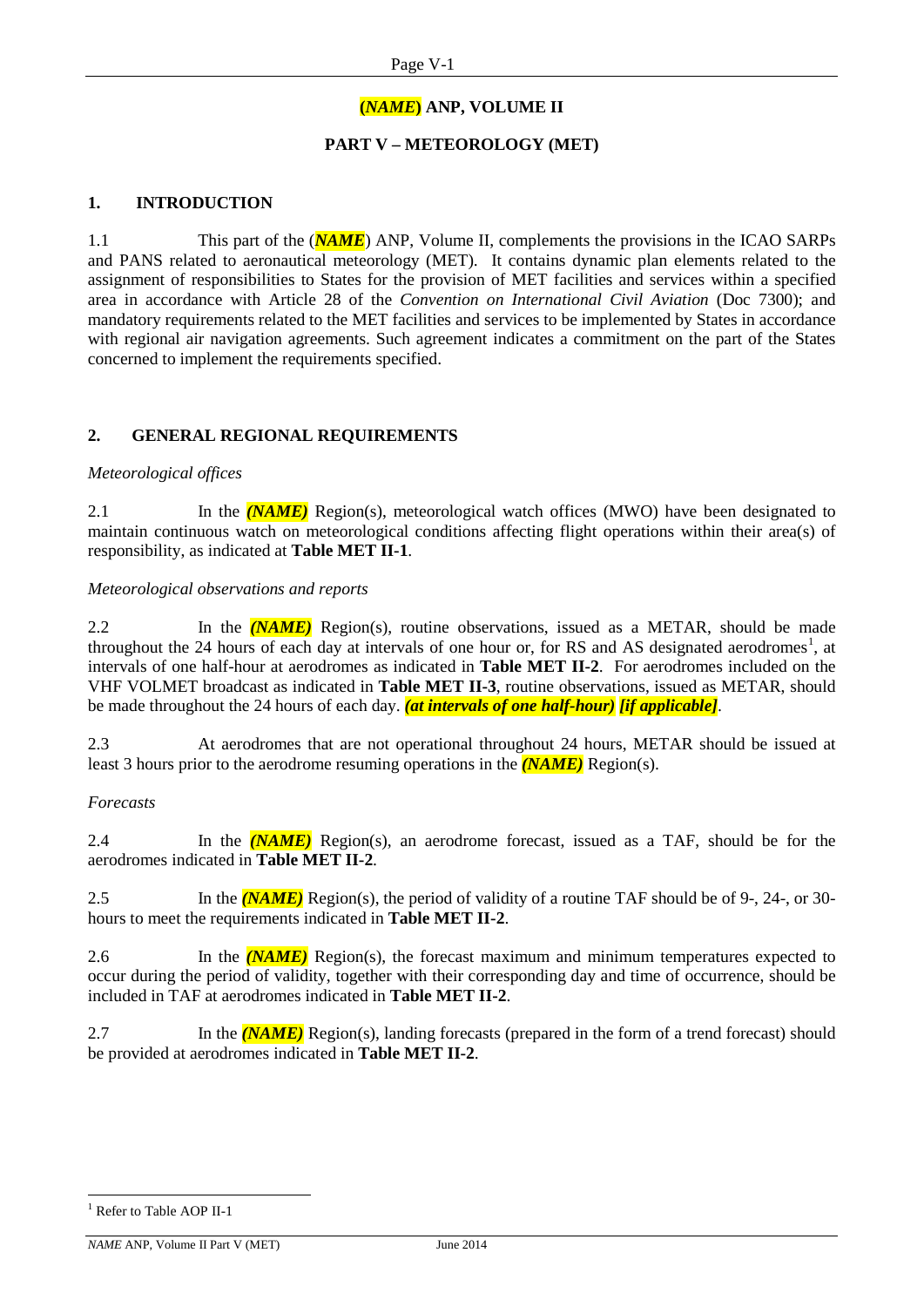#### **(***NAME***) ANP, VOLUME II**

#### **PART V – METEOROLOGY (MET)**

#### **1. INTRODUCTION**

1.1 This part of the (*NAME*) ANP, Volume II, complements the provisions in the ICAO SARPs and PANS related to aeronautical meteorology (MET). It contains dynamic plan elements related to the assignment of responsibilities to States for the provision of MET facilities and services within a specified area in accordance with Article 28 of the *Convention on International Civil Aviation* (Doc 7300); and mandatory requirements related to the MET facilities and services to be implemented by States in accordance with regional air navigation agreements. Such agreement indicates a commitment on the part of the States concerned to implement the requirements specified.

#### **2. GENERAL REGIONAL REQUIREMENTS**

#### *Meteorological offices*

2.1 In the *(NAME)* Region(s), meteorological watch offices (MWO) have been designated to maintain continuous watch on meteorological conditions affecting flight operations within their area(s) of responsibility, as indicated at **Table MET II-1**.

#### *Meteorological observations and reports*

2.2 In the *(NAME)* Region(s), routine observations, issued as a METAR, should be made throughout the 24 hours of each day at intervals of one hour or, for RS and AS designated aerodromes<sup>[1](#page-25-0)</sup>, at intervals of one half-hour at aerodromes as indicated in **Table MET II-2**. For aerodromes included on the VHF VOLMET broadcast as indicated in **Table MET II-3**, routine observations, issued as METAR, should be made throughout the 24 hours of each day. *(at intervals of one half-hour) [if applicable]*.

2.3 At aerodromes that are not operational throughout 24 hours, METAR should be issued at least 3 hours prior to the aerodrome resuming operations in the *(NAME)* Region(s).

#### *Forecasts*

2.4 In the *(NAME)* Region(s), an aerodrome forecast, issued as a TAF, should be for the aerodromes indicated in **Table MET II-2**.

2.5 In the *(NAME)* Region(s), the period of validity of a routine TAF should be of 9-, 24-, or 30 hours to meet the requirements indicated in **Table MET II-2**.

2.6 In the *(NAME)* Region(s), the forecast maximum and minimum temperatures expected to occur during the period of validity, together with their corresponding day and time of occurrence, should be included in TAF at aerodromes indicated in **Table MET II-2**.

2.7 In the *(NAME)* Region(s), landing forecasts (prepared in the form of a trend forecast) should be provided at aerodromes indicated in **Table MET II-2**.

<span id="page-25-0"></span><sup>&</sup>lt;sup>1</sup> Refer to Table AOP II-1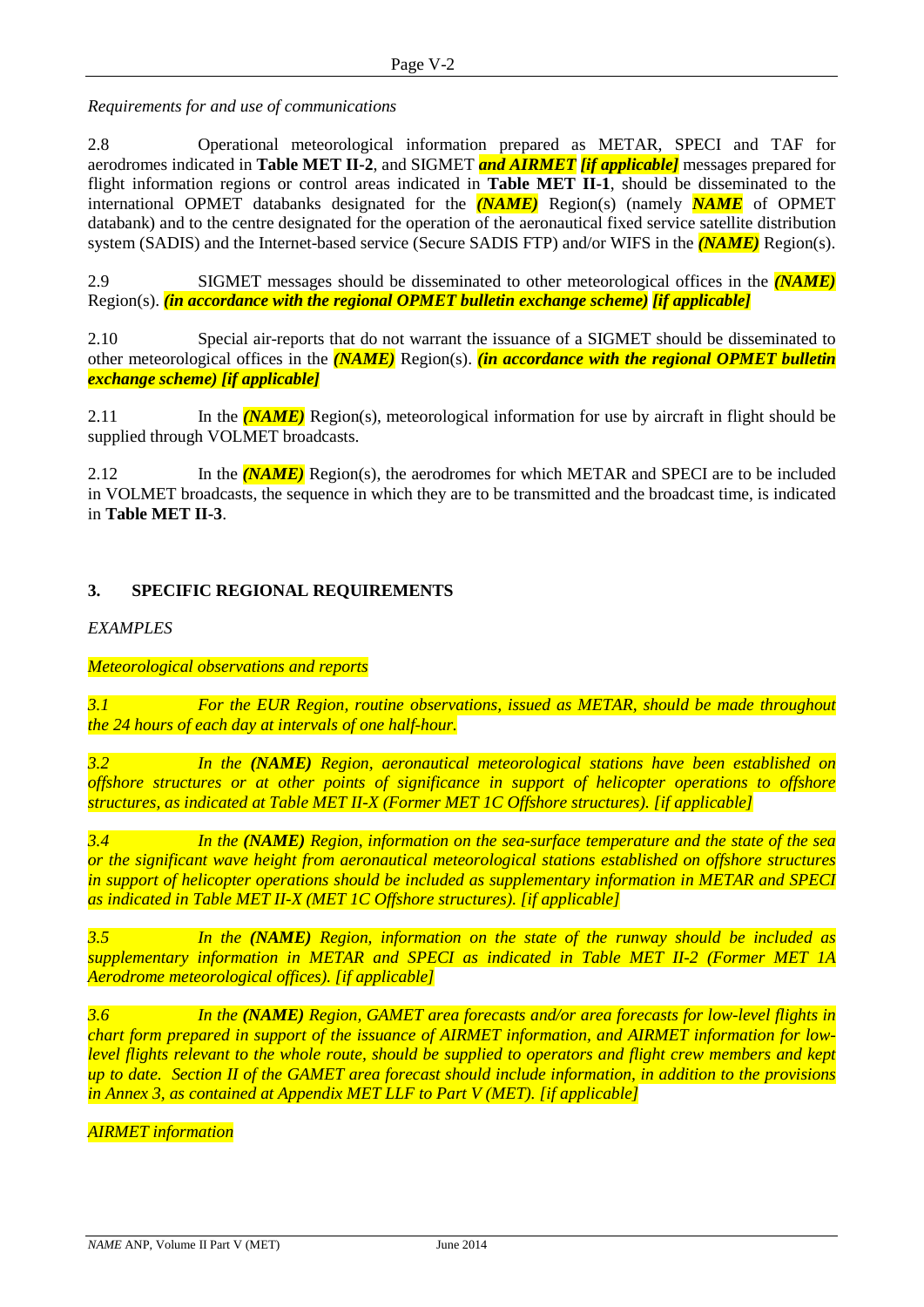*Requirements for and use of communications*

2.8 Operational meteorological information prepared as METAR, SPECI and TAF for aerodromes indicated in **Table MET II-2**, and SIGMET *and AIRMET [if applicable]* messages prepared for flight information regions or control areas indicated in **Table MET II-1**, should be disseminated to the international OPMET databanks designated for the *(NAME)* Region(s) (namely *NAME* of OPMET databank) and to the centre designated for the operation of the aeronautical fixed service satellite distribution system (SADIS) and the Internet-based service (Secure SADIS FTP) and/or WIFS in the *(NAME)* Region(s).

2.9 SIGMET messages should be disseminated to other meteorological offices in the *(NAME)* Region(s). *(in accordance with the regional OPMET bulletin exchange scheme) [if applicable]*

2.10 Special air-reports that do not warrant the issuance of a SIGMET should be disseminated to other meteorological offices in the *(NAME)* Region(s). *(in accordance with the regional OPMET bulletin exchange scheme) [if applicable]*

2.11 In the *(NAME)* Region(s), meteorological information for use by aircraft in flight should be supplied through VOLMET broadcasts.

2.12 In the *(NAME)* Region(s), the aerodromes for which METAR and SPECI are to be included in VOLMET broadcasts, the sequence in which they are to be transmitted and the broadcast time, is indicated in **Table MET II-3**.

#### **3. SPECIFIC REGIONAL REQUIREMENTS**

*EXAMPLES*

#### *Meteorological observations and reports*

*3.1 For the EUR Region, routine observations, issued as METAR, should be made throughout the 24 hours of each day at intervals of one half-hour.*

*3.2 In the (NAME) Region, aeronautical meteorological stations have been established on offshore structures or at other points of significance in support of helicopter operations to offshore structures, as indicated at Table MET II-X (Former MET 1C Offshore structures). [if applicable]*

*3.4 In the (NAME) Region, information on the sea-surface temperature and the state of the sea or the significant wave height from aeronautical meteorological stations established on offshore structures in support of helicopter operations should be included as supplementary information in METAR and SPECI as indicated in Table MET II-X (MET 1C Offshore structures). [if applicable]*

*3.5 In the (NAME) Region, information on the state of the runway should be included as supplementary information in METAR and SPECI as indicated in Table MET II-2 (Former MET 1A Aerodrome meteorological offices). [if applicable]*

*3.6 In the (NAME) Region, GAMET area forecasts and/or area forecasts for low-level flights in chart form prepared in support of the issuance of AIRMET information, and AIRMET information for lowlevel flights relevant to the whole route, should be supplied to operators and flight crew members and kept up to date. Section II of the GAMET area forecast should include information, in addition to the provisions in Annex 3, as contained at Appendix MET LLF to Part V (MET). [if applicable]*

*AIRMET information*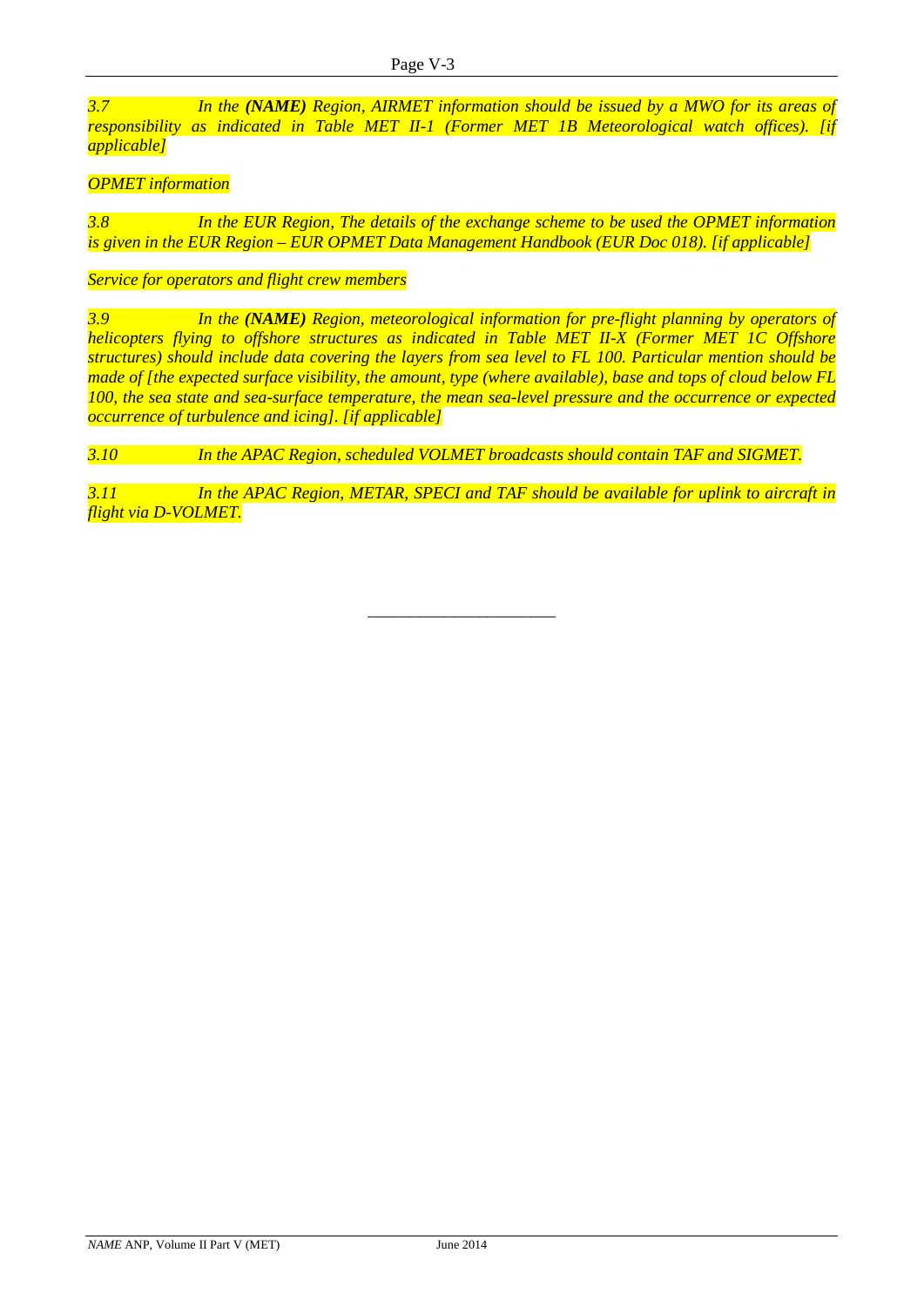*3.7 In the (NAME) Region, AIRMET information should be issued by a MWO for its areas of responsibility as indicated in Table MET II-1 (Former MET 1B Meteorological watch offices). [if applicable]*

#### *OPMET information*

*3.8 In the EUR Region, The details of the exchange scheme to be used the OPMET information is given in the EUR Region – EUR OPMET Data Management Handbook (EUR Doc 018). [if applicable]*

*Service for operators and flight crew members*

*3.9 In the (NAME) Region, meteorological information for pre-flight planning by operators of helicopters flying to offshore structures as indicated in Table MET II-X (Former MET 1C Offshore structures) should include data covering the layers from sea level to FL 100. Particular mention should be made of [the expected surface visibility, the amount, type (where available), base and tops of cloud below FL 100, the sea state and sea-surface temperature, the mean sea-level pressure and the occurrence or expected occurrence of turbulence and icing]. [if applicable]*

*3.10 In the APAC Region, scheduled VOLMET broadcasts should contain TAF and SIGMET.*

*3.11 In the APAC Region, METAR, SPECI and TAF should be available for uplink to aircraft in flight via D-VOLMET.*

\_\_\_\_\_\_\_\_\_\_\_\_\_\_\_\_\_\_\_\_\_\_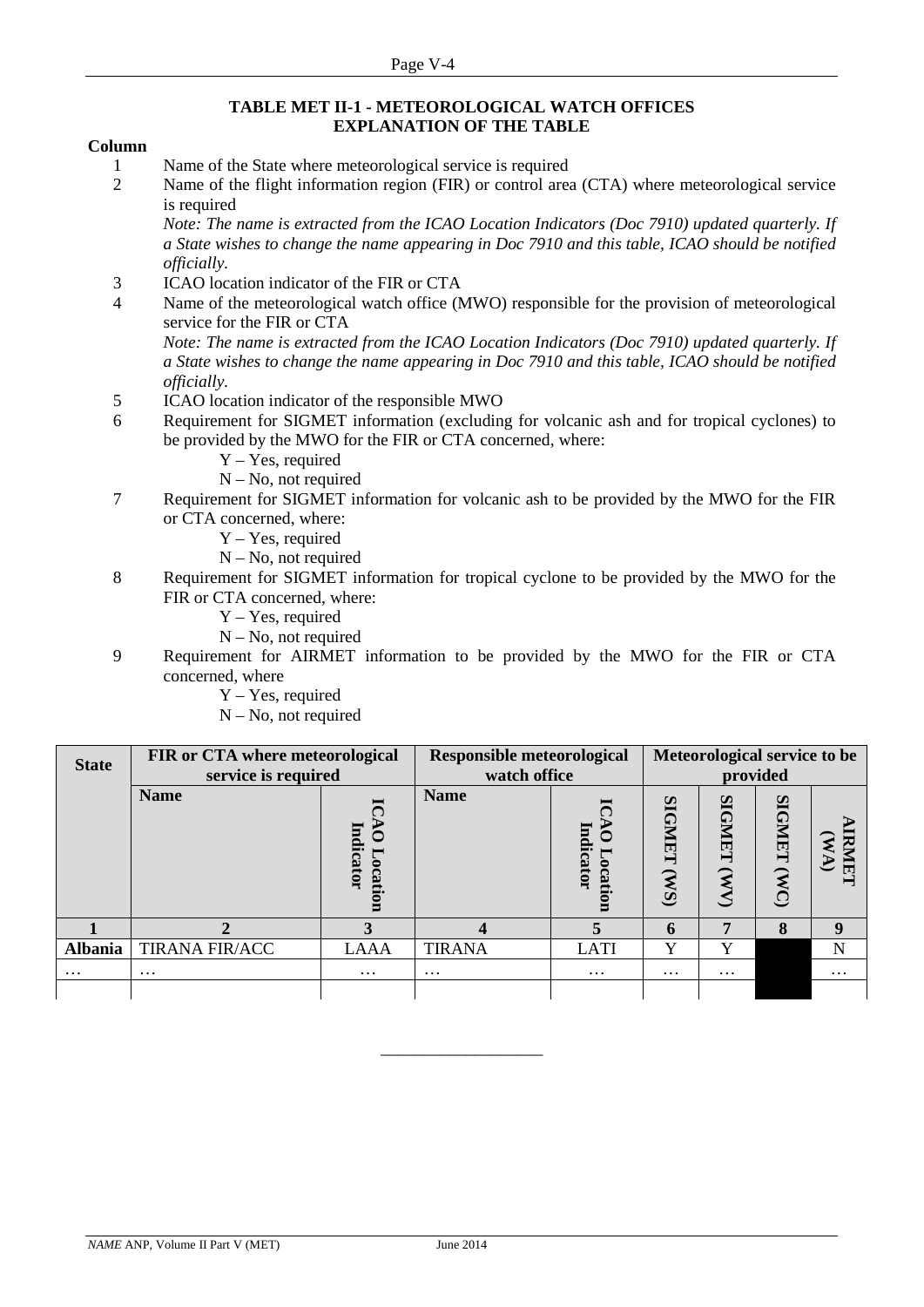#### **TABLE MET II-1 - METEOROLOGICAL WATCH OFFICES EXPLANATION OF THE TABLE**

#### **Column**

- 1 Name of the State where meteorological service is required
- 2 Name of the flight information region (FIR) or control area (CTA) where meteorological service is required

*Note: The name is extracted from the ICAO Location Indicators (Doc 7910) updated quarterly. If a State wishes to change the name appearing in Doc 7910 and this table, ICAO should be notified officially.*

- 3 ICAO location indicator of the FIR or CTA
- 4 Name of the meteorological watch office (MWO) responsible for the provision of meteorological service for the FIR or CTA

*Note: The name is extracted from the ICAO Location Indicators (Doc 7910) updated quarterly. If a State wishes to change the name appearing in Doc 7910 and this table, ICAO should be notified officially.*

- 5 ICAO location indicator of the responsible MWO
- 6 Requirement for SIGMET information (excluding for volcanic ash and for tropical cyclones) to be provided by the MWO for the FIR or CTA concerned, where:
	- Y Yes, required
	- N No, not required
- 7 Requirement for SIGMET information for volcanic ash to be provided by the MWO for the FIR or CTA concerned, where:
	- Y Yes, required
	- N No, not required
- 8 Requirement for SIGMET information for tropical cyclone to be provided by the MWO for the FIR or CTA concerned, where:
	- Y Yes, required
	- N No, not required
- 9 Requirement for AIRMET information to be provided by the MWO for the FIR or CTA concerned, where
	- Y Yes, required
	- N No, not required

| <b>State</b>   | FIR or CTA where meteorological<br>service is required |                    | <b>Responsible meteorological</b><br>watch office | Meteorological service to be<br>provided |                                    |                                         |                                  |          |
|----------------|--------------------------------------------------------|--------------------|---------------------------------------------------|------------------------------------------|------------------------------------|-----------------------------------------|----------------------------------|----------|
|                | <b>Name</b>                                            | Indicator<br>ocati | <b>Name</b>                                       | Indicator<br>ocation                     | <b>SIGMET</b><br>(S <sub>M</sub> ) | <b>SIGNET</b><br>$\widehat{\mathbf{z}}$ | <b>SIGNET</b><br>$\mathbf{W}$ C) | 局        |
|                |                                                        |                    |                                                   |                                          | 6                                  | 7                                       | 8                                | 9        |
| <b>Albania</b> | <b>TIRANA FIR/ACC</b>                                  | <b>LAAA</b>        | <b>TIRANA</b>                                     | <b>LATI</b>                              | Y                                  | Y                                       |                                  | N        |
| $\cdots$       | $\cdots$                                               | $\cdots$           | $\cdots$                                          | $\cdots$                                 | $\cdots$                           | $\cdots$                                |                                  | $\cdots$ |
|                |                                                        |                    |                                                   |                                          |                                    |                                         |                                  |          |

\_\_\_\_\_\_\_\_\_\_\_\_\_\_\_\_\_\_\_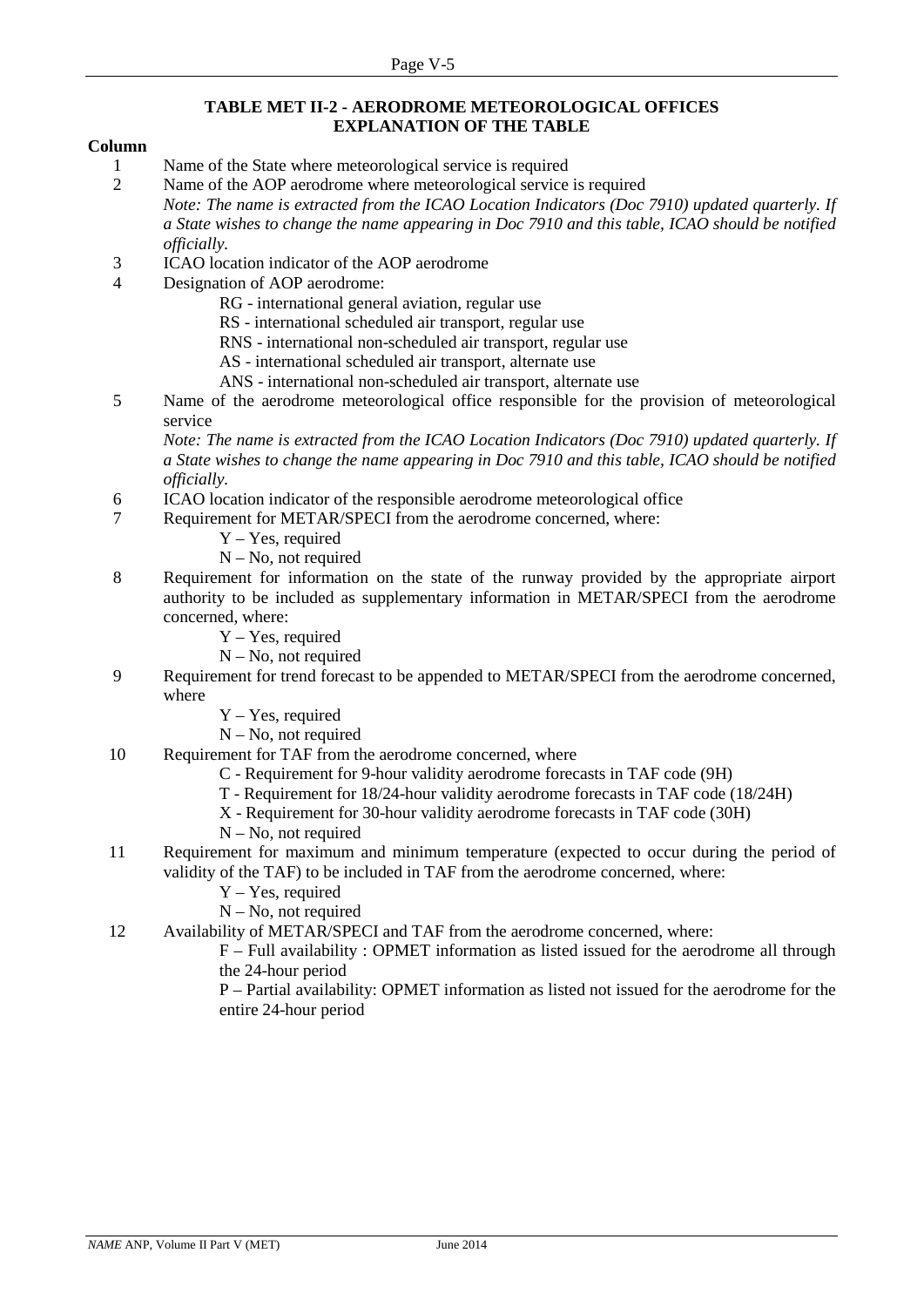#### **TABLE MET II-2 - AERODROME METEOROLOGICAL OFFICES EXPLANATION OF THE TABLE**

#### **Column**

1 Name of the State where meteorological service is required

2 Name of the AOP aerodrome where meteorological service is required *Note: The name is extracted from the ICAO Location Indicators (Doc 7910) updated quarterly. If a State wishes to change the name appearing in Doc 7910 and this table, ICAO should be notified officially.*

- 3 ICAO location indicator of the AOP aerodrome
- 4 Designation of AOP aerodrome:

RG - international general aviation, regular use

RS - international scheduled air transport, regular use

RNS - international non-scheduled air transport, regular use

AS - international scheduled air transport, alternate use

- ANS international non-scheduled air transport, alternate use
- 5 Name of the aerodrome meteorological office responsible for the provision of meteorological service

*Note: The name is extracted from the ICAO Location Indicators (Doc 7910) updated quarterly. If a State wishes to change the name appearing in Doc 7910 and this table, ICAO should be notified officially.*

6 ICAO location indicator of the responsible aerodrome meteorological office

7 Requirement for METAR/SPECI from the aerodrome concerned, where:

- Y Yes, required
- $N No$ , not required
- 8 Requirement for information on the state of the runway provided by the appropriate airport authority to be included as supplementary information in METAR/SPECI from the aerodrome concerned, where:
	- Y Yes, required
	- N No, not required
- 9 Requirement for trend forecast to be appended to METAR/SPECI from the aerodrome concerned, where
	- Y Yes, required
	- N No, not required
- 10 Requirement for TAF from the aerodrome concerned, where
	- C Requirement for 9-hour validity aerodrome forecasts in TAF code (9H)
	- T Requirement for 18/24-hour validity aerodrome forecasts in TAF code (18/24H)
	- X Requirement for 30-hour validity aerodrome forecasts in TAF code (30H)
	- N No, not required
- 11 Requirement for maximum and minimum temperature (expected to occur during the period of validity of the TAF) to be included in TAF from the aerodrome concerned, where:
	- Y Yes, required
	- $N No$ , not required
- 12 Availability of METAR/SPECI and TAF from the aerodrome concerned, where:

F – Full availability : OPMET information as listed issued for the aerodrome all through the 24-hour period

P – Partial availability: OPMET information as listed not issued for the aerodrome for the entire 24-hour period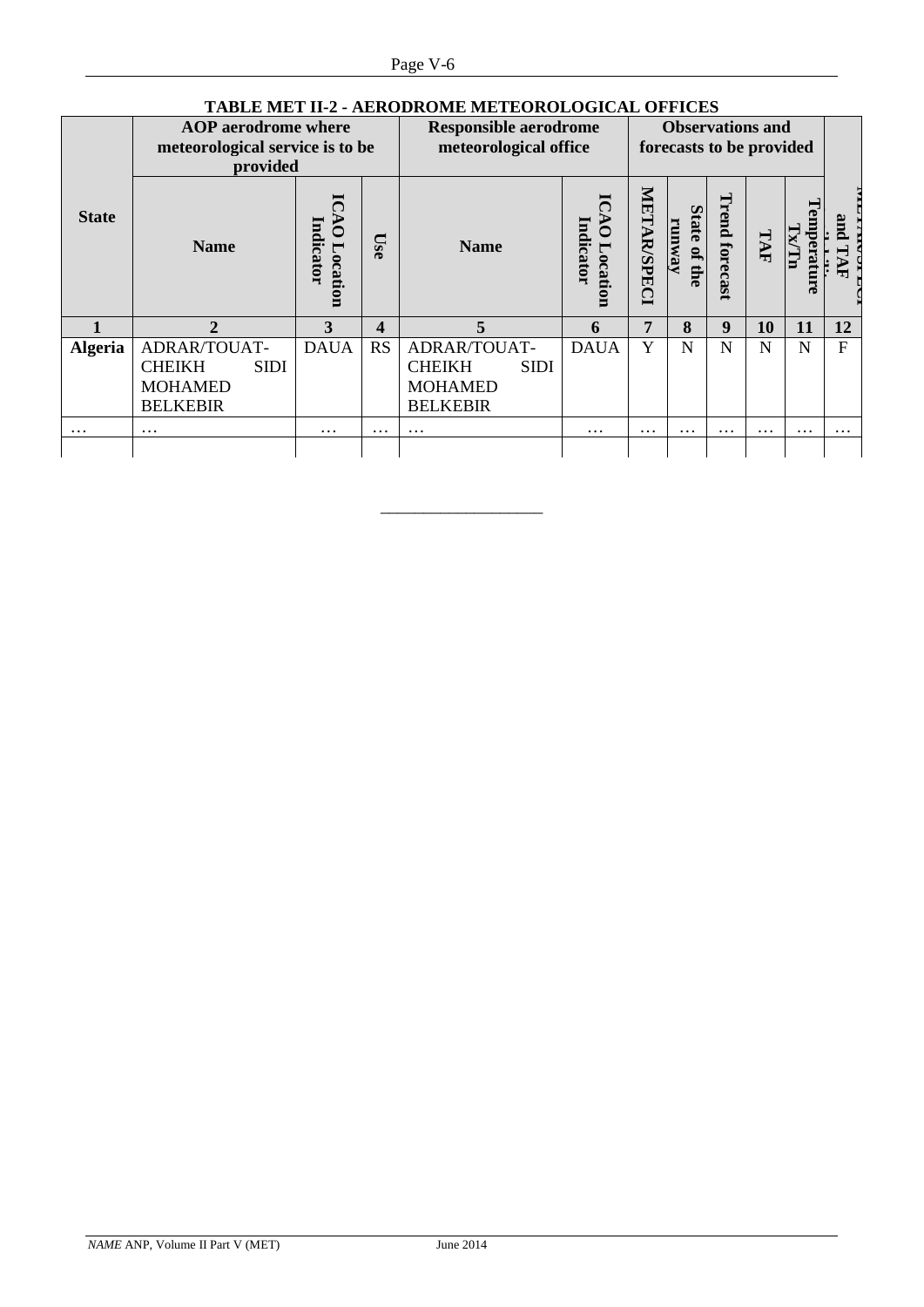| TABLE MET 11-2 - AERODROME METEOROLOGICAL OFFICES |                                 |                             |                  |                              |                              |                    |                                  |                         |          |           |                |
|---------------------------------------------------|---------------------------------|-----------------------------|------------------|------------------------------|------------------------------|--------------------|----------------------------------|-------------------------|----------|-----------|----------------|
|                                                   | <b>AOP</b> aerodrome where      |                             |                  |                              | <b>Responsible aerodrome</b> |                    |                                  | <b>Observations and</b> |          |           |                |
|                                                   | meteorological service is to be |                             |                  | meteorological office        |                              |                    | forecasts to be provided         |                         |          |           |                |
|                                                   | provided                        |                             |                  |                              |                              |                    |                                  |                         |          |           |                |
| <b>State</b>                                      | <b>Name</b>                     | Indicator<br><i>ocation</i> | <b>Use</b>       | <b>Name</b>                  | Indicator<br>Ō<br>Locati     | <b>METAR/SPECI</b> | <b>State</b><br>гипуау<br>of the | Trend forecast          | TAF      | emperatur | an<br>ᆔ        |
|                                                   | $\mathbf{2}$                    | 3                           | $\boldsymbol{4}$ | 5                            | 6                            | 7                  | 8                                | 9                       | 10       | 11        | 12             |
| <b>Algeria</b>                                    | ADRAR/TOUAT-                    | <b>DAUA</b>                 | <b>RS</b>        | ADRAR/TOUAT-                 | <b>DAUA</b>                  | Y                  | N                                | N                       | N        | N         | $\overline{F}$ |
|                                                   | <b>CHEIKH</b><br><b>SIDI</b>    |                             |                  | <b>CHEIKH</b><br><b>SIDI</b> |                              |                    |                                  |                         |          |           |                |
|                                                   | <b>MOHAMED</b>                  |                             |                  | <b>MOHAMED</b>               |                              |                    |                                  |                         |          |           |                |
|                                                   | <b>BELKEBIR</b>                 |                             |                  | <b>BELKEBIR</b>              |                              |                    |                                  |                         |          |           |                |
| $\cdots$                                          | $\cdots$                        | $\cdots$                    | $\cdots$         | $\cdots$                     | $\cdots$                     | $\cdots$           | $\cdots$                         | $\cdots$                | $\cdots$ | $\cdots$  | $\cdots$       |
|                                                   |                                 |                             |                  |                              |                              |                    |                                  |                         |          |           |                |

\_\_\_\_\_\_\_\_\_\_\_\_\_\_\_\_\_\_\_

# **TABLE MET II-2 - AERODROME METEOROLOGICAL OFFICES**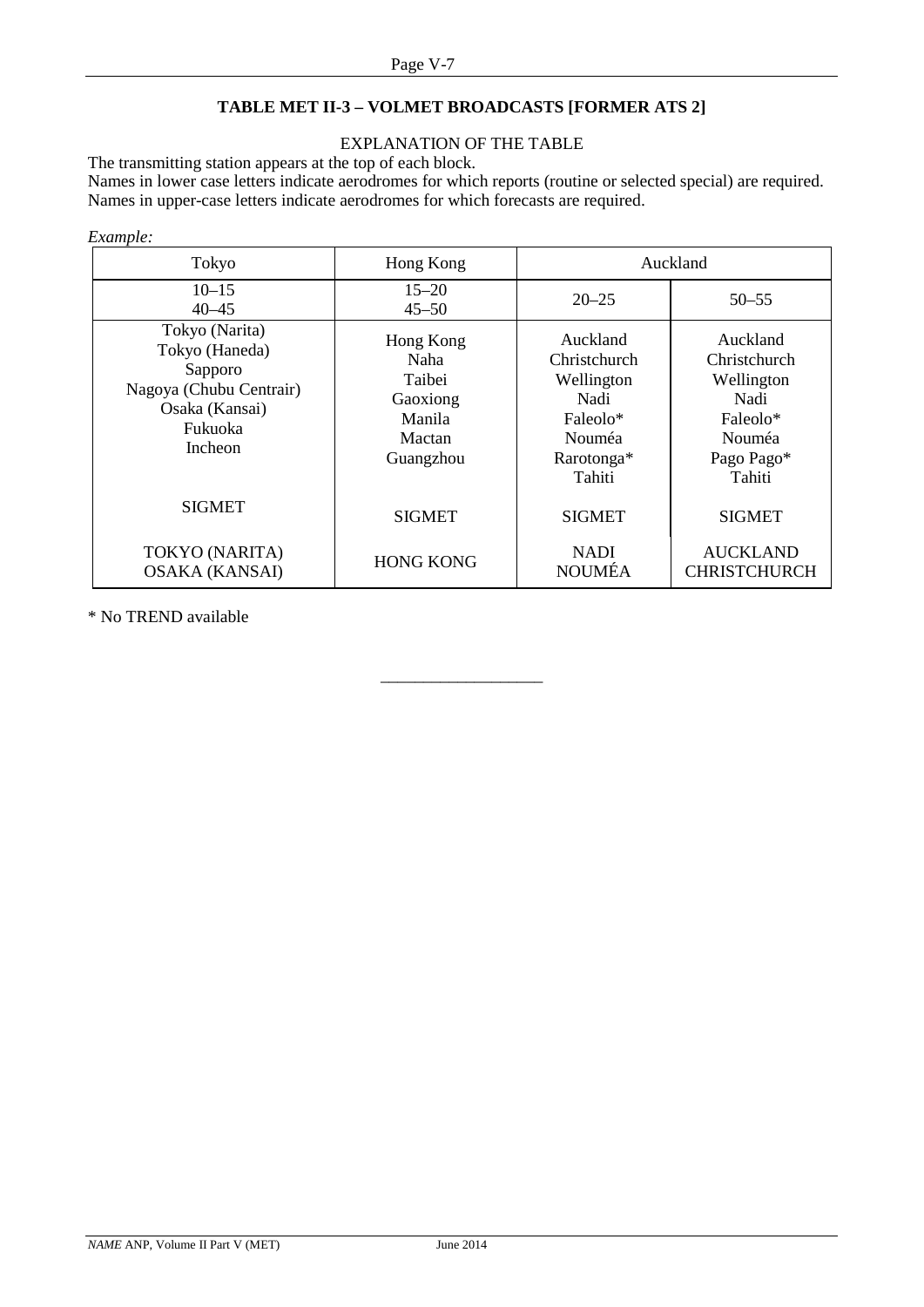# **TABLE MET II-3 – VOLMET BROADCASTS [FORMER ATS 2]**

#### EXPLANATION OF THE TABLE

The transmitting station appears at the top of each block.

Names in lower case letters indicate aerodromes for which reports (routine or selected special) are required. Names in upper-case letters indicate aerodromes for which forecasts are required.

#### *Example:*

| Tokyo                                                                                                          | Hong Kong                                                                |                                                                                              | Auckland                                                                                            |
|----------------------------------------------------------------------------------------------------------------|--------------------------------------------------------------------------|----------------------------------------------------------------------------------------------|-----------------------------------------------------------------------------------------------------|
| $10 - 15$<br>$40 - 45$                                                                                         | $15 - 20$<br>$45 - 50$                                                   | $20 - 25$                                                                                    | $50 - 55$                                                                                           |
| Tokyo (Narita)<br>Tokyo (Haneda)<br>Sapporo<br>Nagoya (Chubu Centrair)<br>Osaka (Kansai)<br>Fukuoka<br>Incheon | Hong Kong<br>Naha<br>Taibei<br>Gaoxiong<br>Manila<br>Mactan<br>Guangzhou | Auckland<br>Christchurch<br>Wellington<br>Nadi<br>Faleolo*<br>Nouméa<br>Rarotonga*<br>Tahiti | Auckland<br>Christchurch<br>Wellington<br>Nadi<br>Faleolo*<br><b>Nouméa</b><br>Pago Pago*<br>Tahiti |
| <b>SIGMET</b>                                                                                                  | <b>SIGMET</b>                                                            | <b>SIGMET</b>                                                                                | <b>SIGMET</b>                                                                                       |
| TOKYO (NARITA)<br><b>OSAKA (KANSAI)</b>                                                                        | <b>HONG KONG</b>                                                         | <b>NADI</b><br><b>NOUMÉA</b>                                                                 | <b>AUCKLAND</b><br><b>CHRISTCHURCH</b>                                                              |

\_\_\_\_\_\_\_\_\_\_\_\_\_\_\_\_\_\_\_

\* No TREND available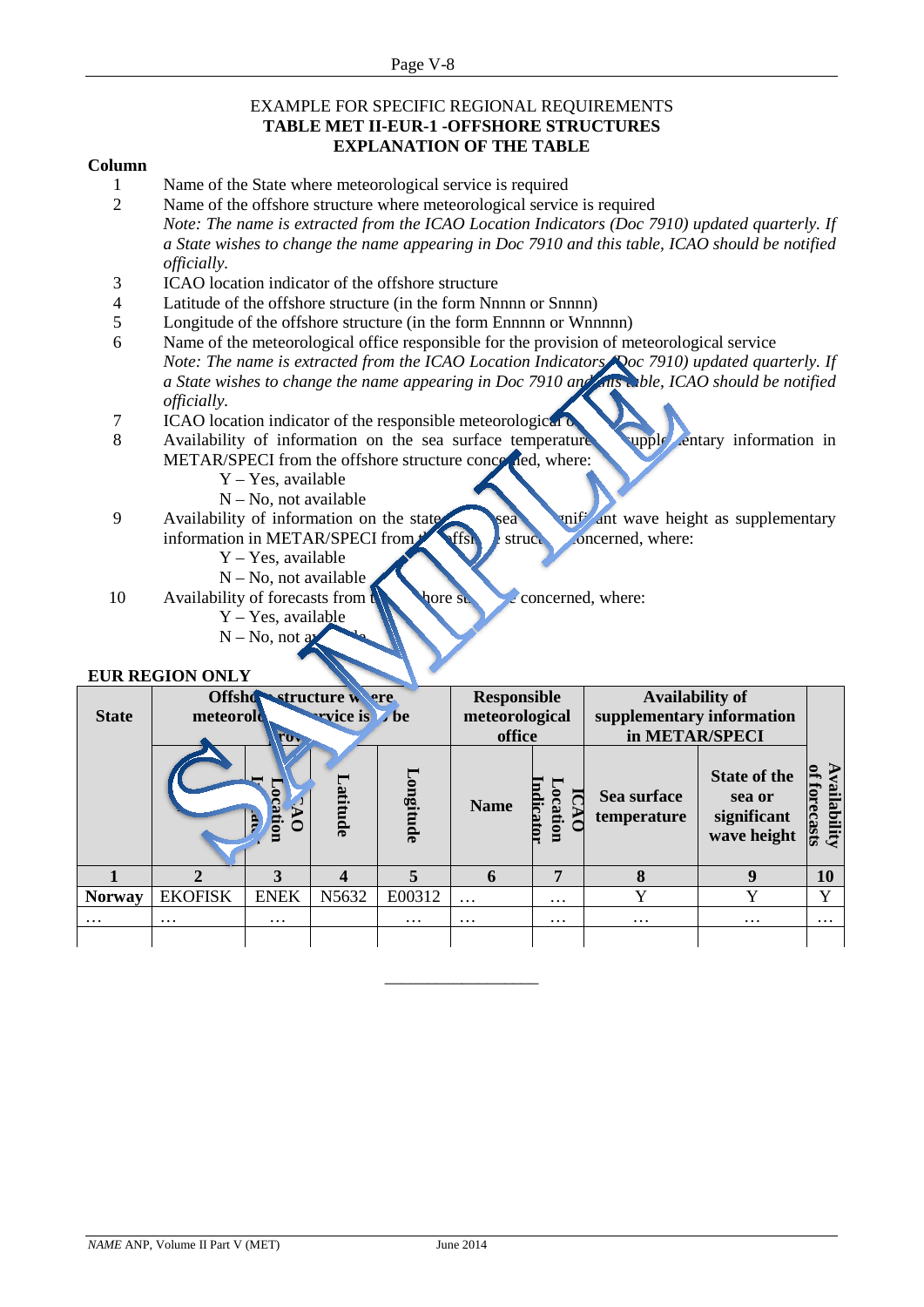#### EXAMPLE FOR SPECIFIC REGIONAL REQUIREMENTS **TABLE MET II-EUR-1 -OFFSHORE STRUCTURES EXPLANATION OF THE TABLE**

#### **Column**

- 1 Name of the State where meteorological service is required
- 2 Name of the offshore structure where meteorological service is required *Note: The name is extracted from the ICAO Location Indicators (Doc 7910) updated quarterly. If a State wishes to change the name appearing in Doc 7910 and this table, ICAO should be notified officially.*
- 3 ICAO location indicator of the offshore structure
- 4 Latitude of the offshore structure (in the form Nnnnn or Snnnn)
- 5 Longitude of the offshore structure (in the form Ennnnn or Wnnnnn)
- 6 Name of the meteorological office responsible for the provision of meteorological service *Note: The name is extracted from the ICAO Location Indicators*  $\sqrt{Q}$ *oc 7910) updated quarterly. If a State wishes to change the name appearing in Doc 7910 and answeble, ICAO should be notified officially.*
- 7 ICAO location indicator of the responsible meteorological of
- 8 Availability of information on the sea surface temperature supple entary information in METAR/SPECI from the offshore structure concerned, where:
	- Y Yes, available
	- N No, not available
- 9 Availability of information on the state sea or sea or significant wave height as supplementary information in METAR/SPECI from  $\blacklozenge$  ffshore structure concerned, where:
	- Y Yes, available
	- $N No$ , not available
- 10 Availability of forecasts from the value of  $\frac{1}{2}$  concerned, where:
	- Y Yes, available  $N - No$ , not as

#### **EUR REGION ONLY**

| <b>State</b>  | Offshowstructure were<br>wrice is be<br>meteorolo<br>$\mathbf{r}_{0}$ |             |          |                | <b>Responsible</b><br>meteorological<br>office |                    | <b>Availability of</b><br>supplementary information<br>in METAR/SPECI |                                                             |                       |
|---------------|-----------------------------------------------------------------------|-------------|----------|----------------|------------------------------------------------|--------------------|-----------------------------------------------------------------------|-------------------------------------------------------------|-----------------------|
|               |                                                                       | mone:       | Latitude | Longitude      | <b>Name</b>                                    | dicator<br>ocation | Sea surface<br>temperature                                            | <b>State of the</b><br>sea or<br>significant<br>wave height | vailability<br>ecasts |
|               |                                                                       | 3           |          | $\overline{a}$ | 6                                              | 7                  | 8                                                                     | 9                                                           | 10                    |
| <b>Norway</b> | <b>EKOFISK</b>                                                        | <b>ENEK</b> | N5632    | E00312         | $\cdots$                                       | $\cdots$           |                                                                       | Y                                                           | $\mathbf{v}$          |
| $\cdots$      | $\cdots$                                                              | $\cdots$    |          | $\cdots$       | $\cdots$                                       | $\cdots$           | $\cdots$                                                              | $\cdots$                                                    | $\cdots$              |
|               |                                                                       |             |          |                |                                                |                    |                                                                       |                                                             |                       |

\_\_\_\_\_\_\_\_\_\_\_\_\_\_\_\_\_\_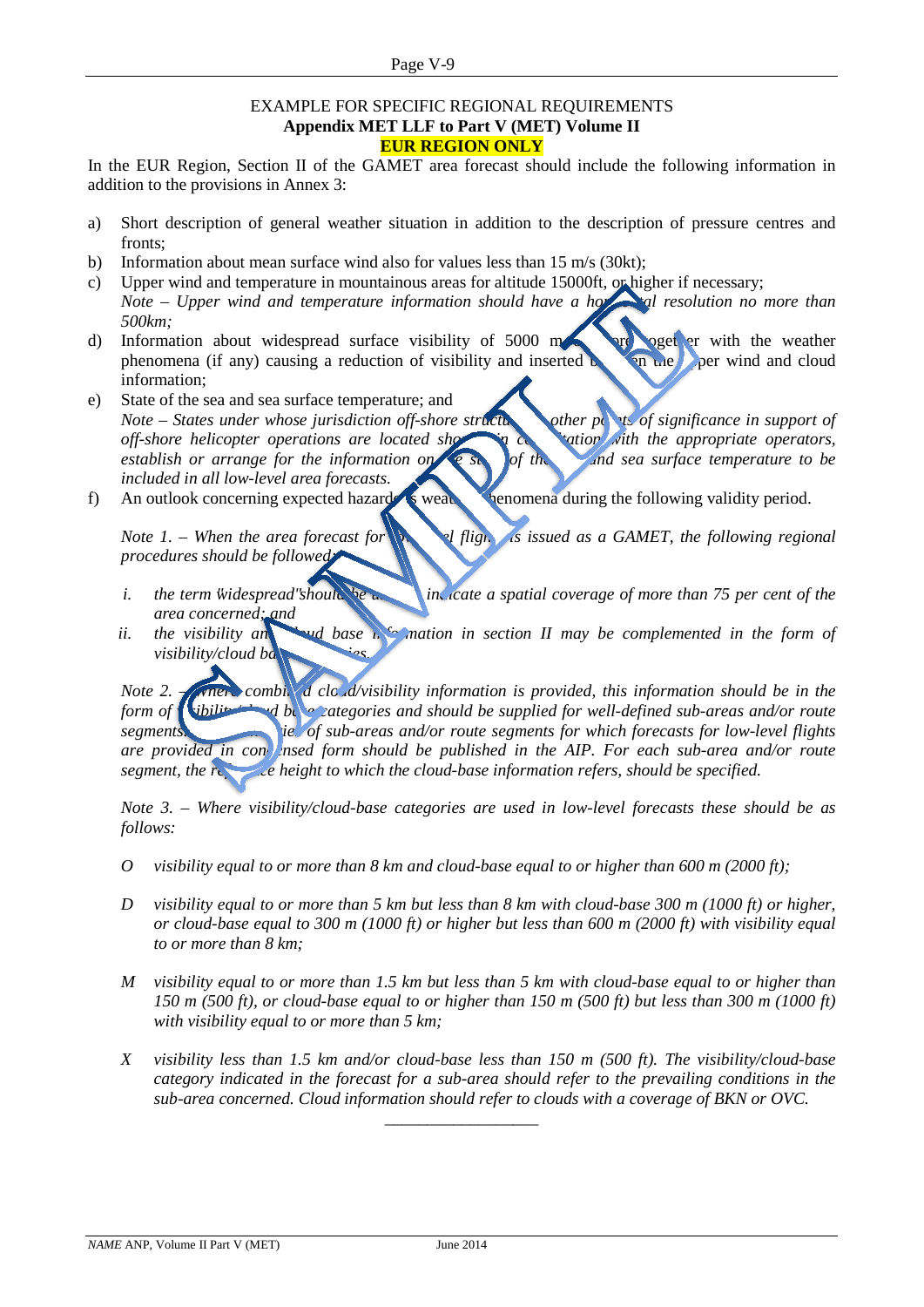#### EXAMPLE FOR SPECIFIC REGIONAL REQUIREMENTS **Appendix MET LLF to Part V (MET) Volume II EUR REGION ONLY**

In the EUR Region, Section II of the GAMET area forecast should include the following information in addition to the provisions in Annex 3:

- a) Short description of general weather situation in addition to the description of pressure centres and fronts;
- b) Information about mean surface wind also for values less than 15 m/s (30kt);
- c) Upper wind and temperature in mountainous areas for altitude 15000ft, or higher if necessary; *Note – Upper wind and temperature information should have a horizontal resolution no more than 500km;*
- d) Information about widespread surface visibility of  $5000 \text{ m}$  or  $\epsilon$  or  $\epsilon$  with the weather phenomena (if any) causing a reduction of visibility and inserted  $\mathbf{b}$  and upper wind and cloud information;
- e) State of the sea and sea surface temperature; and *Note – States under whose jurisdiction off-shore structure of order points of significance in support of off-shore helicopter operations are located showing consultation with the appropriate operators, establish or arrange for the information on the sea of the sea surface temperature to be included in all low-level area forecasts.*
- f) An outlook concerning expected hazardous weather phenomena during the following validity period.

*Note 1. – When the area forecast for a level flight is issued as a GAMET, the following regional procedures should be followed:*

- *i.* the term "widespread" should be used to *indicate a spatial coverage of more than 75 per cent of the area concerned; and*
- *ii.* the visibility and all base in commation in section II may be complemented in the form of *visibility/cloud ba*

*Note 2. ANDER Combined cloud/visibility information is provided, this information should be in the form of vibility did occutegories and should be supplied for well-defined sub-areas and/or route* $\frac{1}{2}$ *segments. boundary <b>boundary boundary <i>segments for which forecasts for low-level flights are* provided in condensed form should be published in the AIP. For each sub-area and/or route *segment, the reference height to which the cloud-base information refers, should be specified.* 

*Note 3. – Where visibility/cloud-base categories are used in low-level forecasts these should be as follows:*

- *O visibility equal to or more than 8 km and cloud-base equal to or higher than 600 m (2000 ft);*
- *D visibility equal to or more than 5 km but less than 8 km with cloud-base 300 m (1000 ft) or higher, or cloud-base equal to 300 m (1000 ft) or higher but less than 600 m (2000 ft) with visibility equal to or more than 8 km;*
- *M visibility equal to or more than 1.5 km but less than 5 km with cloud-base equal to or higher than 150 m (500 ft), or cloud-base equal to or higher than 150 m (500 ft) but less than 300 m (1000 ft) with visibility equal to or more than 5 km;*
- *X visibility less than 1.5 km and/or cloud-base less than 150 m (500 ft). The visibility/cloud-base category indicated in the forecast for a sub-area should refer to the prevailing conditions in the sub-area concerned. Cloud information should refer to clouds with a coverage of BKN or OVC.*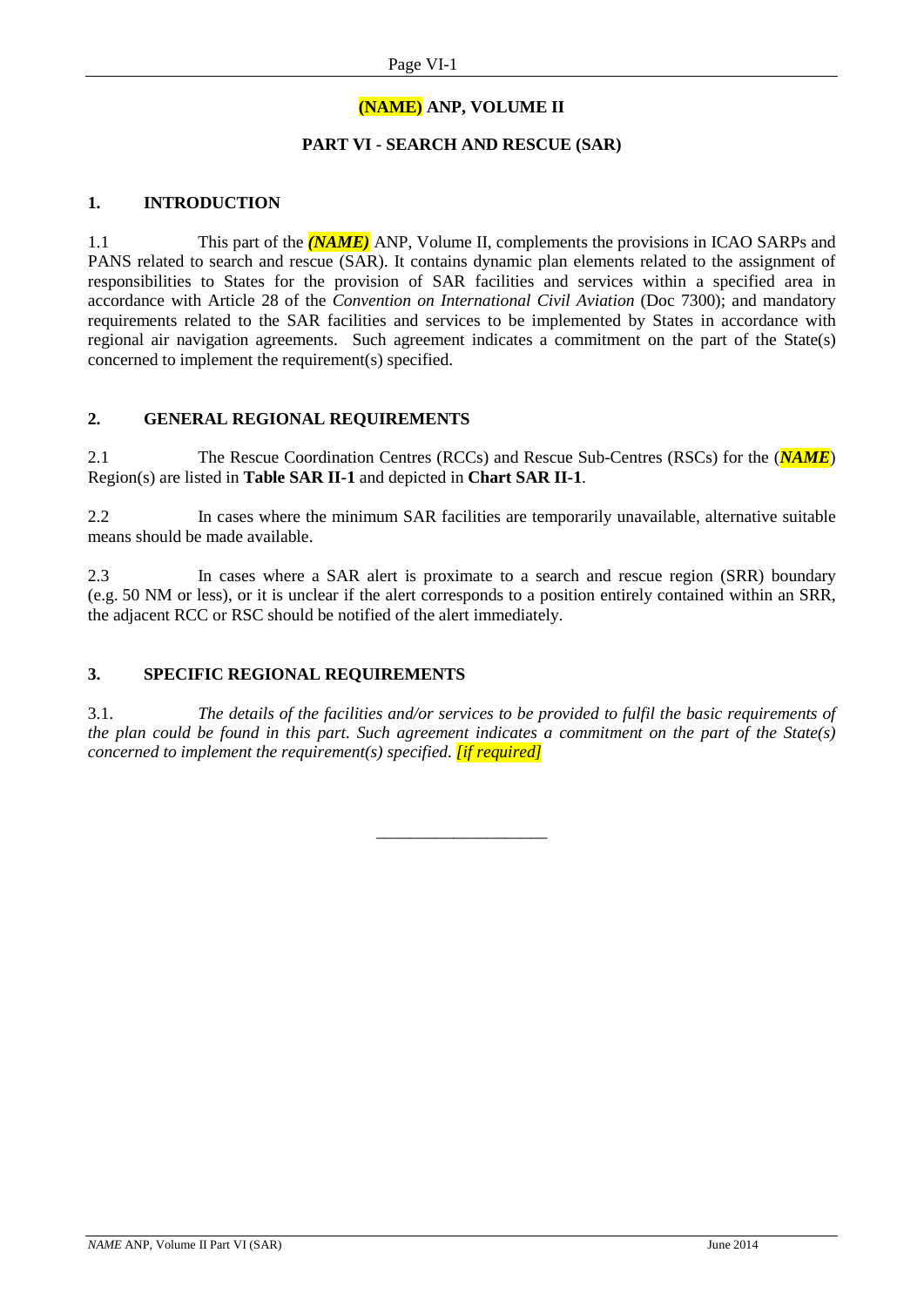#### **(NAME) ANP, VOLUME II**

#### **PART VI - SEARCH AND RESCUE (SAR)**

#### **1. INTRODUCTION**

1.1 This part of the *(NAME)* ANP, Volume II, complements the provisions in ICAO SARPs and PANS related to search and rescue (SAR). It contains dynamic plan elements related to the assignment of responsibilities to States for the provision of SAR facilities and services within a specified area in accordance with Article 28 of the *Convention on International Civil Aviation* (Doc 7300); and mandatory requirements related to the SAR facilities and services to be implemented by States in accordance with regional air navigation agreements. Such agreement indicates a commitment on the part of the State(s) concerned to implement the requirement(s) specified.

#### **2. GENERAL REGIONAL REQUIREMENTS**

2.1 The Rescue Coordination Centres (RCCs) and Rescue Sub-Centres (RSCs) for the (*NAME*) Region(s) are listed in **Table SAR II-1** and depicted in **Chart SAR II-1**.

2.2 In cases where the minimum SAR facilities are temporarily unavailable, alternative suitable means should be made available.

2.3 In cases where a SAR alert is proximate to a search and rescue region (SRR) boundary (e.g. 50 NM or less), or it is unclear if the alert corresponds to a position entirely contained within an SRR, the adjacent RCC or RSC should be notified of the alert immediately.

#### **3. SPECIFIC REGIONAL REQUIREMENTS**

3.1. *The details of the facilities and/or services to be provided to fulfil the basic requirements of the plan could be found in this part. Such agreement indicates a commitment on the part of the State(s) concerned to implement the requirement(s) specified. [if required]*

\_\_\_\_\_\_\_\_\_\_\_\_\_\_\_\_\_\_\_\_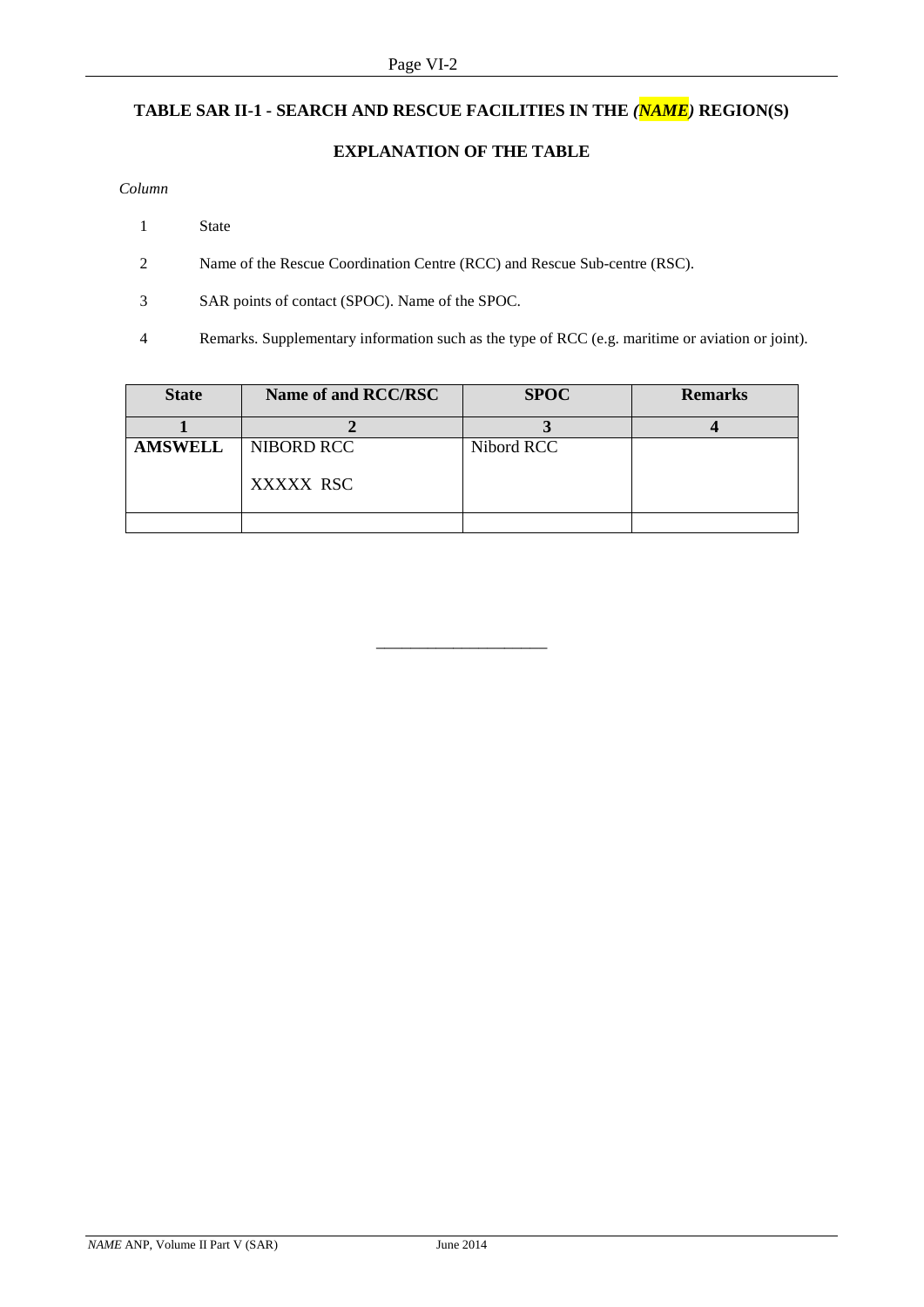# **TABLE SAR II-1 - SEARCH AND RESCUE FACILITIES IN THE** *(NAME)* **REGION(S)**

#### **EXPLANATION OF THE TABLE**

#### *Column*

- 1 State
- 2 Name of the Rescue Coordination Centre (RCC) and Rescue Sub-centre (RSC).
- 3 SAR points of contact (SPOC). Name of the SPOC.
- 4 Remarks. Supplementary information such as the type of RCC (e.g. maritime or aviation or joint).

| <b>State</b>   | Name of and RCC/RSC     | <b>SPOC</b> | <b>Remarks</b> |
|----------------|-------------------------|-------------|----------------|
|                |                         |             |                |
| <b>AMSWELL</b> | NIBORD RCC<br>XXXXX RSC | Nibord RCC  |                |
|                |                         |             |                |

\_\_\_\_\_\_\_\_\_\_\_\_\_\_\_\_\_\_\_\_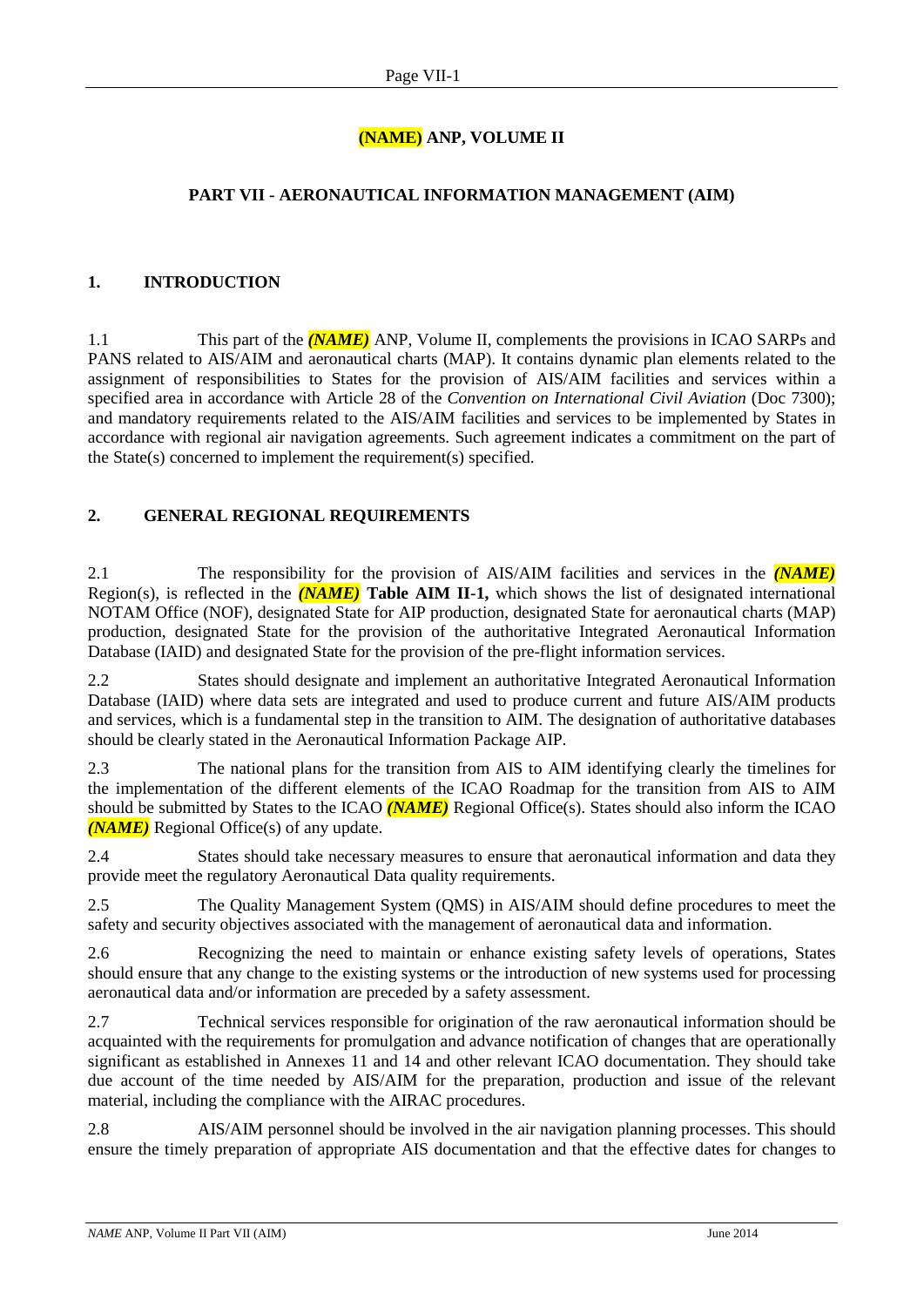# **(NAME) ANP, VOLUME II**

### **PART VII - AERONAUTICAL INFORMATION MANAGEMENT (AIM)**

#### **1. INTRODUCTION**

1.1 This part of the *(NAME)* ANP, Volume II, complements the provisions in ICAO SARPs and PANS related to AIS/AIM and aeronautical charts (MAP). It contains dynamic plan elements related to the assignment of responsibilities to States for the provision of AIS/AIM facilities and services within a specified area in accordance with Article 28 of the *Convention on International Civil Aviation* (Doc 7300); and mandatory requirements related to the AIS/AIM facilities and services to be implemented by States in accordance with regional air navigation agreements. Such agreement indicates a commitment on the part of the State(s) concerned to implement the requirement(s) specified.

#### **2. GENERAL REGIONAL REQUIREMENTS**

2.1 The responsibility for the provision of AIS/AIM facilities and services in the *(NAME)* Region(s), is reflected in the *(NAME)* **Table AIM II-1,** which shows the list of designated international NOTAM Office (NOF), designated State for AIP production, designated State for aeronautical charts (MAP) production, designated State for the provision of the authoritative Integrated Aeronautical Information Database (IAID) and designated State for the provision of the pre-flight information services.

2.2 States should designate and implement an authoritative Integrated Aeronautical Information Database (IAID) where data sets are integrated and used to produce current and future AIS/AIM products and services, which is a fundamental step in the transition to AIM. The designation of authoritative databases should be clearly stated in the Aeronautical Information Package AIP.

2.3 The national plans for the transition from AIS to AIM identifying clearly the timelines for the implementation of the different elements of the ICAO Roadmap for the transition from AIS to AIM should be submitted by States to the ICAO *(NAME)* Regional Office(s). States should also inform the ICAO *(NAME)* Regional Office(s) of any update.

2.4 States should take necessary measures to ensure that aeronautical information and data they provide meet the regulatory Aeronautical Data quality requirements.

2.5 The Quality Management System (QMS) in AIS/AIM should define procedures to meet the safety and security objectives associated with the management of aeronautical data and information.

2.6 Recognizing the need to maintain or enhance existing safety levels of operations, States should ensure that any change to the existing systems or the introduction of new systems used for processing aeronautical data and/or information are preceded by a safety assessment.

2.7 Technical services responsible for origination of the raw aeronautical information should be acquainted with the requirements for promulgation and advance notification of changes that are operationally significant as established in Annexes 11 and 14 and other relevant ICAO documentation. They should take due account of the time needed by AIS/AIM for the preparation, production and issue of the relevant material, including the compliance with the AIRAC procedures.

2.8 AIS/AIM personnel should be involved in the air navigation planning processes. This should ensure the timely preparation of appropriate AIS documentation and that the effective dates for changes to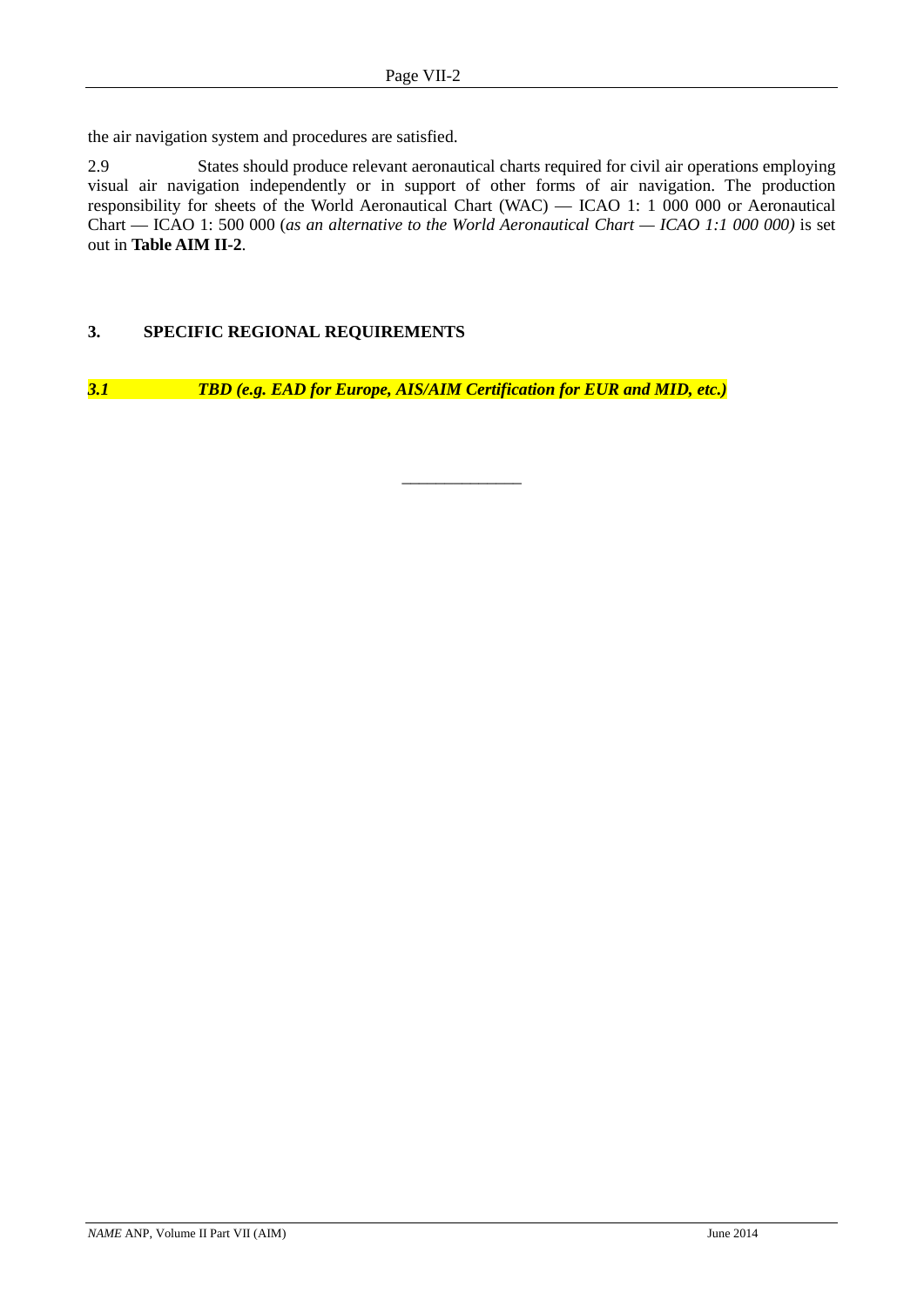the air navigation system and procedures are satisfied.

2.9 States should produce relevant aeronautical charts required for civil air operations employing visual air navigation independently or in support of other forms of air navigation. The production responsibility for sheets of the World Aeronautical Chart (WAC) — ICAO 1: 1 000 000 or Aeronautical Chart — ICAO 1: 500 000 (*as an alternative to the World Aeronautical Chart — ICAO 1:1 000 000)* is set out in **Table AIM II-2**.

\_\_\_\_\_\_\_\_\_\_\_\_\_\_

#### **3. SPECIFIC REGIONAL REQUIREMENTS**

*3.1 TBD (e.g. EAD for Europe, AIS/AIM Certification for EUR and MID, etc.)*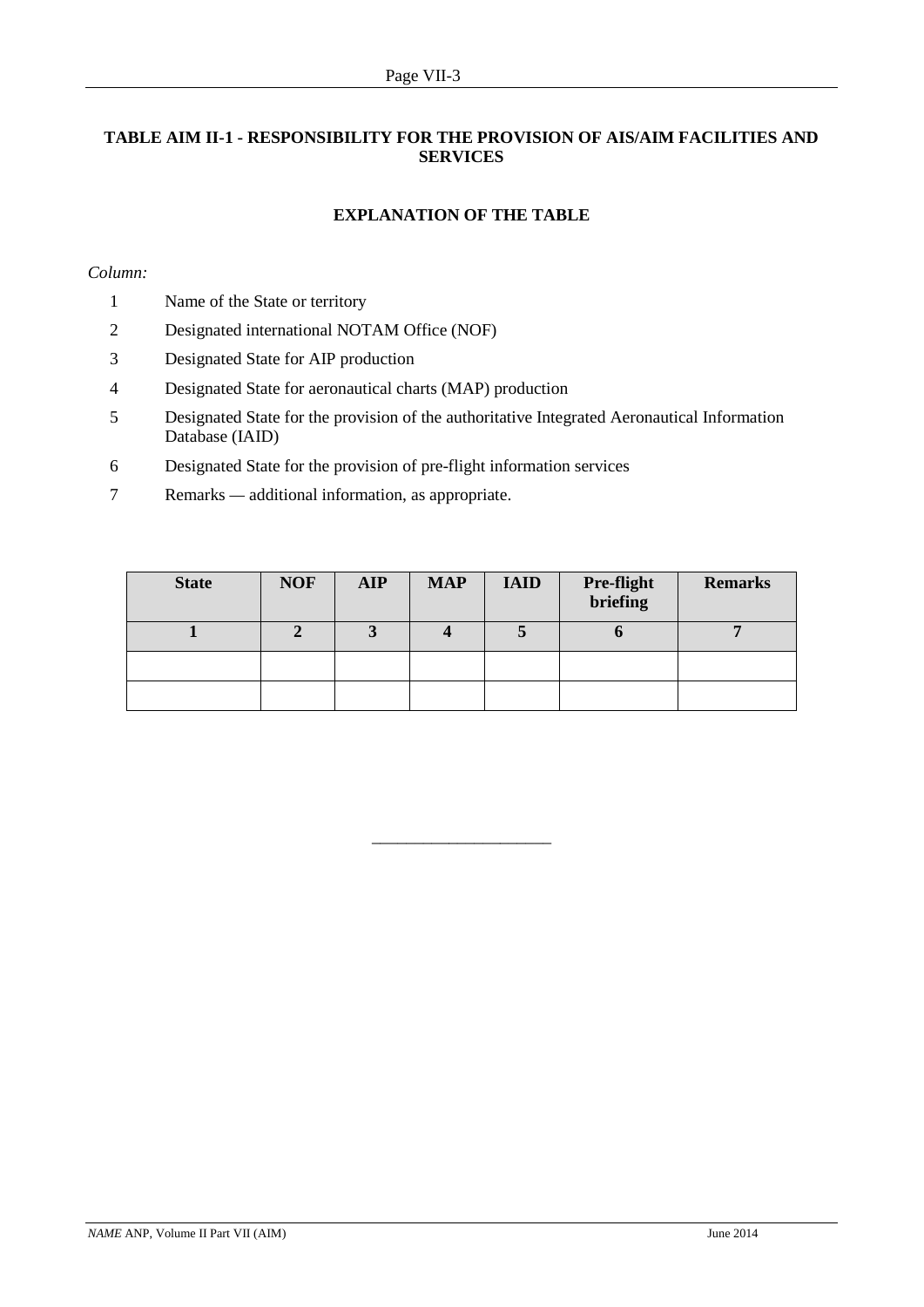#### **TABLE AIM II-1 - RESPONSIBILITY FOR THE PROVISION OF AIS/AIM FACILITIES AND SERVICES**

#### **EXPLANATION OF THE TABLE**

#### *Column:*

- 1 Name of the State or territory
- 2 Designated international NOTAM Office (NOF)
- 3 Designated State for AIP production
- 4 Designated State for aeronautical charts (MAP) production
- 5 Designated State for the provision of the authoritative Integrated Aeronautical Information Database (IAID)
- 6 Designated State for the provision of pre-flight information services
- 7 Remarks *—* additional information, as appropriate.

| <b>State</b> | <b>NOF</b> | <b>AIP</b> | <b>MAP</b> | <b>IAID</b> | <b>Pre-flight</b><br>briefing | <b>Remarks</b> |
|--------------|------------|------------|------------|-------------|-------------------------------|----------------|
|              |            |            |            |             |                               |                |
|              |            |            |            |             |                               |                |
|              |            |            |            |             |                               |                |

 $\_$